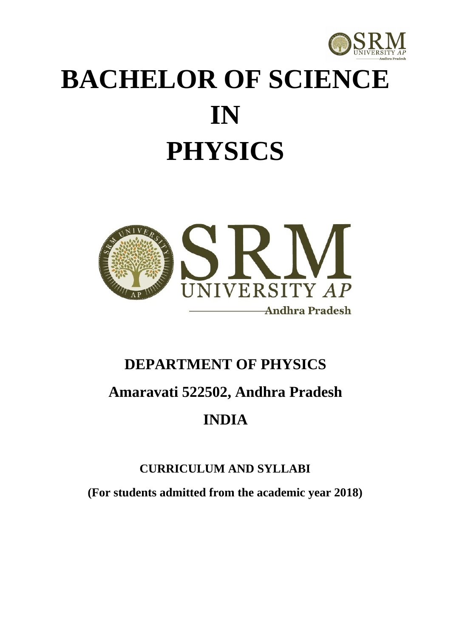

# **BACHELOR OF SCIENCE IN PHYSICS**



## **DEPARTMENT OF PHYSICS Amaravati 522502, Andhra Pradesh INDIA**

### **CURRICULUM AND SYLLABI**

**(For students admitted from the academic year 2018)**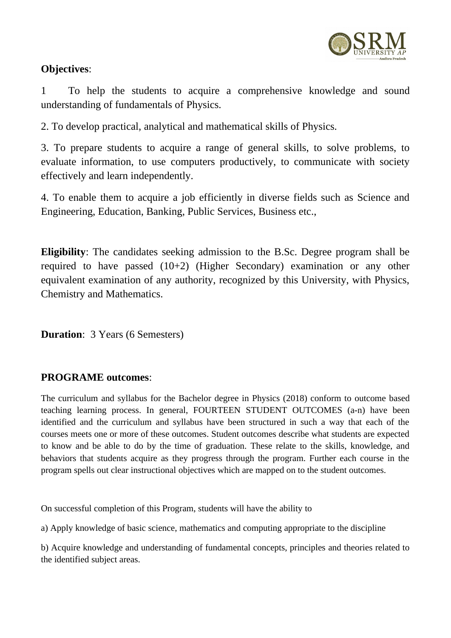

### **Objectives**:

1 To help the students to acquire a comprehensive knowledge and sound understanding of fundamentals of Physics.

2. To develop practical, analytical and mathematical skills of Physics.

3. To prepare students to acquire a range of general skills, to solve problems, to evaluate information, to use computers productively, to communicate with society effectively and learn independently.

4. To enable them to acquire a job efficiently in diverse fields such as Science and Engineering, Education, Banking, Public Services, Business etc.,

**Eligibility**: The candidates seeking admission to the B.Sc. Degree program shall be required to have passed (10+2) (Higher Secondary) examination or any other equivalent examination of any authority, recognized by this University, with Physics, Chemistry and Mathematics.

**Duration**: 3 Years (6 Semesters)

### **PROGRAME outcomes**:

The curriculum and syllabus for the Bachelor degree in Physics (2018) conform to outcome based teaching learning process. In general, FOURTEEN STUDENT OUTCOMES (a-n) have been identified and the curriculum and syllabus have been structured in such a way that each of the courses meets one or more of these outcomes. Student outcomes describe what students are expected to know and be able to do by the time of graduation. These relate to the skills, knowledge, and behaviors that students acquire as they progress through the program. Further each course in the program spells out clear instructional objectives which are mapped on to the student outcomes.

On successful completion of this Program, students will have the ability to

a) Apply knowledge of basic science, mathematics and computing appropriate to the discipline

b) Acquire knowledge and understanding of fundamental concepts, principles and theories related to the identified subject areas.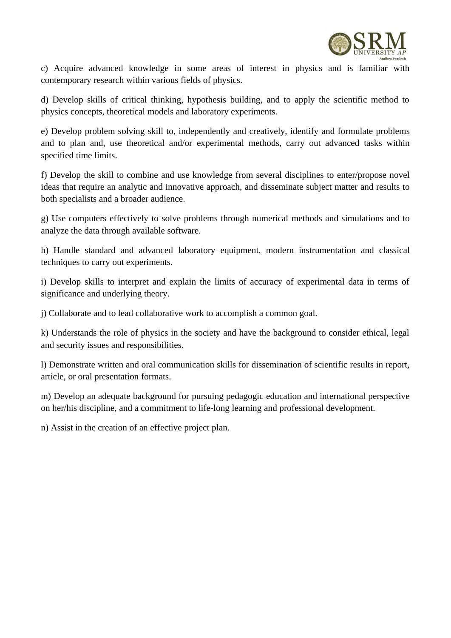

c) Acquire advanced knowledge in some areas of interest in physics and is familiar with contemporary research within various fields of physics.

d) Develop skills of critical thinking, hypothesis building, and to apply the scientific method to physics concepts, theoretical models and laboratory experiments.

e) Develop problem solving skill to, independently and creatively, identify and formulate problems and to plan and, use theoretical and/or experimental methods, carry out advanced tasks within specified time limits.

f) Develop the skill to combine and use knowledge from several disciplines to enter/propose novel ideas that require an analytic and innovative approach, and disseminate subject matter and results to both specialists and a broader audience.

g) Use computers effectively to solve problems through numerical methods and simulations and to analyze the data through available software.

h) Handle standard and advanced laboratory equipment, modern instrumentation and classical techniques to carry out experiments.

i) Develop skills to interpret and explain the limits of accuracy of experimental data in terms of significance and underlying theory.

j) Collaborate and to lead collaborative work to accomplish a common goal.

k) Understands the role of physics in the society and have the background to consider ethical, legal and security issues and responsibilities.

l) Demonstrate written and oral communication skills for dissemination of scientific results in report, article, or oral presentation formats.

m) Develop an adequate background for pursuing pedagogic education and international perspective on her/his discipline, and a commitment to life‐long learning and professional development.

n) Assist in the creation of an effective project plan.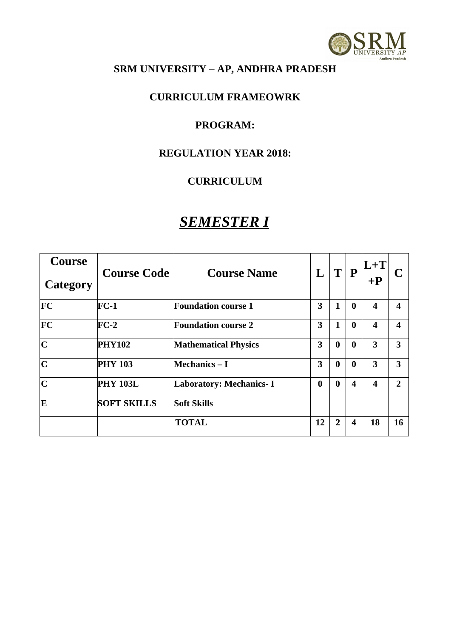

### **SRM UNIVERSITY – AP, ANDHRA PRADESH**

#### **CURRICULUM FRAMEOWRK**

#### **PROGRAM:**

#### **REGULATION YEAR 2018:**

### **CURRICULUM**

### *SEMESTER I*

| Course<br>Category      | <b>Course Code</b> | <b>Course Name</b>             | L        | T              | ${\bf P}$               | $L+T$<br>$+{\bf P}$     |                  |
|-------------------------|--------------------|--------------------------------|----------|----------------|-------------------------|-------------------------|------------------|
| $ {\rm FC} $            | $FC-1$             | <b>Foundation course 1</b>     | 3        | 1              | $\bf{0}$                | $\overline{\mathbf{4}}$ | $\boldsymbol{4}$ |
| FC                      | $FC-2$             | <b>Foundation course 2</b>     | 3        | $\mathbf{1}$   | $\bf{0}$                | $\boldsymbol{4}$        | $\boldsymbol{4}$ |
| $ {\bf C} $             | <b>PHY102</b>      | <b>Mathematical Physics</b>    | 3        | $\bf{0}$       | $\bf{0}$                | 3                       | 3                |
| $ {\bf C} $             | <b>PHY 103</b>     | <b>Mechanics – I</b>           | 3        | $\bf{0}$       | $\bf{0}$                | 3                       | 3                |
| $\overline{\mathbf{C}}$ | <b>PHY 103L</b>    | <b>Laboratory: Mechanics-I</b> | $\bf{0}$ | $\bf{0}$       | $\overline{\mathbf{4}}$ | $\boldsymbol{4}$        | $\overline{2}$   |
| E                       | <b>SOFT SKILLS</b> | <b>Soft Skills</b>             |          |                |                         |                         |                  |
|                         |                    | <b>TOTAL</b>                   | 12       | $\overline{2}$ | $\boldsymbol{4}$        | 18                      | 16               |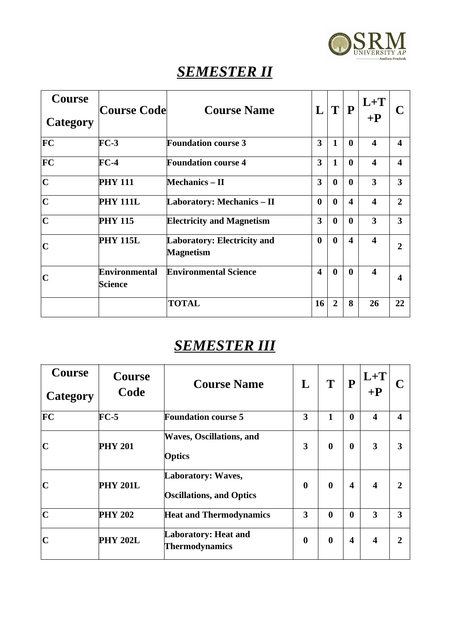

### *SEMESTER II*

| Course<br>Category      | Course Code                     | <b>Course Name</b>                                     | L                       | $\mathbf T$    | P                      | $L+T$<br>$+{\bf P}$     |                        |
|-------------------------|---------------------------------|--------------------------------------------------------|-------------------------|----------------|------------------------|-------------------------|------------------------|
| FC                      | $FC-3$                          | <b>Foundation course 3</b>                             | 3                       | $\mathbf{1}$   | $\mathbf{0}$           | $\overline{\mathbf{4}}$ | $\boldsymbol{\Lambda}$ |
| FC                      | $FC-4$                          | <b>Foundation course 4</b>                             | 3                       | $\mathbf{1}$   | $\mathbf{0}$           | $\overline{\mathbf{4}}$ | $\boldsymbol{\Lambda}$ |
| $\overline{\mathbf{C}}$ | <b>PHY 111</b>                  | <b>Mechanics – II</b>                                  | 3                       | $\bf{0}$       | $\mathbf{0}$           | 3                       | 3                      |
| $\mathbf C$             | <b>PHY 111L</b>                 | <b>Laboratory: Mechanics – II</b>                      | $\bf{0}$                | $\bf{0}$       | $\boldsymbol{\Lambda}$ | $\overline{\mathbf{4}}$ | $\overline{2}$         |
| $\mathbf C$             | <b>PHY 115</b>                  | <b>Electricity and Magnetism</b>                       | 3                       | $\bf{0}$       | $\bf{0}$               | 3                       | 3                      |
| $\mathbf C$             | <b>PHY 115L</b>                 | <b>Laboratory: Electricity and</b><br><b>Magnetism</b> | $\bf{0}$                | $\bf{0}$       | $\boldsymbol{\Lambda}$ | $\overline{\mathbf{4}}$ | $\overline{2}$         |
| $\mathbf C$             | Environmental<br><b>Science</b> | <b>Environmental Science</b>                           | $\overline{\mathbf{4}}$ | $\bf{0}$       | $\mathbf{0}$           | $\overline{\mathbf{4}}$ | 4                      |
|                         |                                 | <b>TOTAL</b>                                           | 16                      | $\overline{2}$ | 8                      | 26                      | 22                     |

### *SEMESTER III*

| Course<br>Category | Course<br>Code  | <b>Course Name</b>                                    | L        | T        | $\bf P$  | $L+T$<br>$+{\bf P}$     | C                |
|--------------------|-----------------|-------------------------------------------------------|----------|----------|----------|-------------------------|------------------|
| $ {\rm FC} $       | $FC-5$          | <b>Foundation course 5</b>                            | 3        | 1        | $\bf{0}$ | $\overline{\mathbf{4}}$ | $\boldsymbol{4}$ |
| $\mathbf C$        | <b>PHY 201</b>  | <b>Waves, Oscillations, and</b><br><b>Optics</b>      | 3        | $\bf{0}$ | $\bf{0}$ | $\overline{\mathbf{3}}$ | 3                |
| $\mathbf C$        | <b>PHY 201L</b> | Laboratory: Waves,<br><b>Oscillations, and Optics</b> | $\bf{0}$ | $\bf{0}$ | 4        | $\boldsymbol{4}$        | $\overline{2}$   |
| $\overline{C}$     | <b>PHY 202</b>  | <b>Heat and Thermodynamics</b>                        | 3        | $\bf{0}$ | $\bf{0}$ | 3                       | 3                |
| $\mathbf C$        | <b>PHY 202L</b> | <b>Laboratory: Heat and</b><br><b>Thermodynamics</b>  | $\bf{0}$ | $\bf{0}$ | 4        | $\boldsymbol{4}$        | $\overline{2}$   |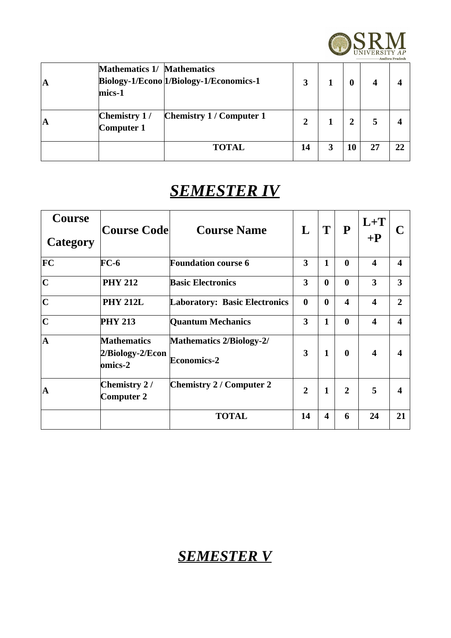

| A | <b>Mathematics 1/ Mathematics</b><br>mics-1 | Biology-1/Econo 1/Biology-1/Economics-1 | 3  |   | 4  |    |
|---|---------------------------------------------|-----------------------------------------|----|---|----|----|
| A | Chemistry 1/<br>Computer 1                  | <b>Chemistry 1 / Computer 1</b>         | 2  |   | 5  |    |
|   |                                             | <b>TOTAL</b>                            | 14 | 3 | 27 | רר |

### *SEMESTER IV*

| Course<br>Category      | <b>Course Code</b>                                | <b>Course Name</b>                                    | L              | T        | ${\bf P}$               | $L + T$<br>$+{\bf P}$   | C.                     |
|-------------------------|---------------------------------------------------|-------------------------------------------------------|----------------|----------|-------------------------|-------------------------|------------------------|
| FC                      | $FC-6$                                            | <b>Foundation course 6</b>                            | 3              | 1        | $\bf{0}$                | $\overline{\mathbf{4}}$ | $\boldsymbol{\Lambda}$ |
| $\overline{C}$          | <b>PHY 212</b>                                    | <b>Basic Electronics</b>                              | 3              | $\bf{0}$ | $\bf{0}$                | 3                       | 3                      |
| $\overline{\mathbf{C}}$ | <b>PHY 212L</b>                                   | <b>Laboratory: Basic Electronics</b>                  | $\bf{0}$       | $\bf{0}$ | $\overline{\mathbf{4}}$ | $\overline{\mathbf{4}}$ | $\overline{2}$         |
| $\overline{C}$          | <b>PHY 213</b>                                    | <b>Quantum Mechanics</b>                              | 3              | 1        | $\bf{0}$                | $\overline{\mathbf{4}}$ | $\boldsymbol{4}$       |
| $\overline{\mathbf{A}}$ | <b>Mathematics</b><br>2/Biology-2/Econ<br>omics-2 | <b>Mathematics 2/Biology-2/</b><br><b>Economics-2</b> | 3              | 1        | $\mathbf{0}$            | $\overline{\mathbf{4}}$ | $\boldsymbol{\Lambda}$ |
| $\mathbf{A}$            | Chemistry 2/<br>Computer 2                        | <b>Chemistry 2 / Computer 2</b>                       | $\overline{2}$ | 1        | $\overline{2}$          | 5                       | $\boldsymbol{A}$       |
|                         |                                                   | <b>TOTAL</b>                                          | 14             | 4        | 6                       | 24                      | 21                     |

### *SEMESTER V*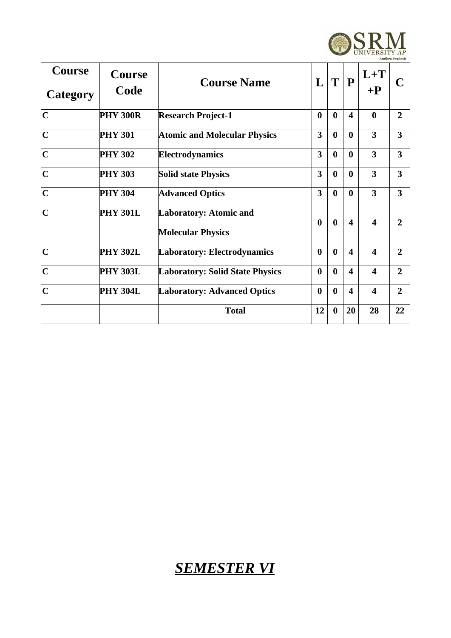

| Course<br>Category      | Course<br>Code  | <b>Course Name</b>                                        | L        | T        | P                       | $L + T$<br>$+{\bf P}$   | C                       |
|-------------------------|-----------------|-----------------------------------------------------------|----------|----------|-------------------------|-------------------------|-------------------------|
| $\overline{\mathbf{C}}$ | <b>PHY 300R</b> | <b>Research Project-1</b>                                 | $\bf{0}$ | $\bf{0}$ | $\overline{\mathbf{4}}$ | $\bf{0}$                | $\overline{2}$          |
| $\mathbf C$             | <b>PHY 301</b>  | <b>Atomic and Molecular Physics</b>                       | 3        | $\bf{0}$ | $\bf{0}$                | 3                       | $\overline{\mathbf{3}}$ |
| $\overline{C}$          | <b>PHY 302</b>  | Electrodynamics                                           | 3        | $\bf{0}$ | $\bf{0}$                | $\overline{\mathbf{3}}$ | $\overline{\mathbf{3}}$ |
| $\overline{C}$          | <b>PHY 303</b>  | <b>Solid state Physics</b>                                | 3        | $\bf{0}$ | $\bf{0}$                | $\overline{\mathbf{3}}$ | $\overline{\mathbf{3}}$ |
| $\mathbf C$             | <b>PHY 304</b>  | <b>Advanced Optics</b>                                    | 3        | $\bf{0}$ | $\bf{0}$                | $\overline{\mathbf{3}}$ | 3                       |
| $\mathbf C$             | <b>PHY 301L</b> | <b>Laboratory: Atomic and</b><br><b>Molecular Physics</b> | $\bf{0}$ | $\bf{0}$ | $\boldsymbol{\Lambda}$  | $\overline{\mathbf{4}}$ | $\overline{2}$          |
| $\mathbf C$             | <b>PHY 302L</b> | <b>Laboratory: Electrodynamics</b>                        | $\bf{0}$ | $\bf{0}$ | $\boldsymbol{\Lambda}$  | $\overline{\mathbf{4}}$ | $\overline{2}$          |
| $\mathbf C$             | <b>PHY 303L</b> | <b>Laboratory: Solid State Physics</b>                    | $\bf{0}$ | $\bf{0}$ | $\overline{\mathbf{4}}$ | $\overline{\mathbf{4}}$ | $\overline{2}$          |
| $\mathbf C$             | <b>PHY 304L</b> | <b>Laboratory: Advanced Optics</b>                        | $\bf{0}$ | $\bf{0}$ | $\overline{\mathbf{4}}$ | $\overline{\mathbf{4}}$ | $\overline{2}$          |
|                         |                 | <b>Total</b>                                              | 12       | $\bf{0}$ | 20                      | 28                      | 22                      |

### *SEMESTER VI*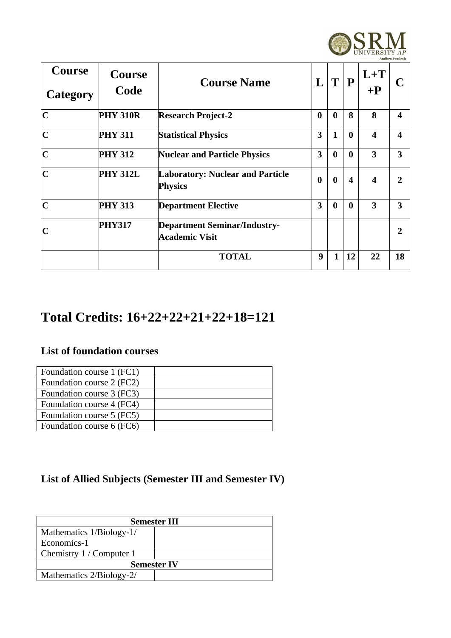

| Course<br>Category      | Course<br>Code  | <b>Course Name</b>                                        | L        | T            | $\mathbf{P}$           | $L + T$<br>$+{\bf P}$   |                        |
|-------------------------|-----------------|-----------------------------------------------------------|----------|--------------|------------------------|-------------------------|------------------------|
| $\overline{\mathbf{C}}$ | <b>PHY 310R</b> | <b>Research Project-2</b>                                 | $\bf{0}$ | $\bf{0}$     | 8                      | 8                       | $\boldsymbol{\Lambda}$ |
| $\overline{\mathbf{C}}$ | <b>PHY 311</b>  | <b>Statistical Physics</b>                                | 3        | 1            | $\bf{0}$               | $\overline{\mathbf{4}}$ | $\boldsymbol{\Lambda}$ |
| $\mathbf C$             | <b>PHY 312</b>  | <b>Nuclear and Particle Physics</b>                       | 3        | $\bf{0}$     | $\bf{0}$               | 3                       | 3                      |
| $\mathbf C$             | <b>PHY 312L</b> | <b>Laboratory: Nuclear and Particle</b><br><b>Physics</b> | $\bf{0}$ | $\bf{0}$     | $\boldsymbol{\Lambda}$ | $\boldsymbol{4}$        | ヮ                      |
| $\mathbf C$             | <b>PHY 313</b>  | <b>Department Elective</b>                                | 3        | $\bf{0}$     | $\mathbf{0}$           | 3                       | 3                      |
| $\mathbf C$             | <b>PHY317</b>   | <b>Department Seminar/Industry-</b><br>Academic Visit     |          |              |                        |                         | $\overline{2}$         |
|                         |                 | <b>TOTAL</b>                                              | 9        | $\mathbf{1}$ | 12                     | 22                      | 18                     |

### **Total Credits: 16+22+22+21+22+18=121**

### **List of foundation courses**

| Foundation course 1 (FC1) |  |
|---------------------------|--|
| Foundation course 2 (FC2) |  |
| Foundation course 3 (FC3) |  |
| Foundation course 4 (FC4) |  |
| Foundation course 5 (FC5) |  |
| Foundation course 6 (FC6) |  |

### **List of Allied Subjects (Semester III and Semester IV)**

| <b>Semester III</b>      |  |  |  |  |  |  |  |
|--------------------------|--|--|--|--|--|--|--|
| Mathematics 1/Biology-1/ |  |  |  |  |  |  |  |
| Economics-1              |  |  |  |  |  |  |  |
| Chemistry 1 / Computer 1 |  |  |  |  |  |  |  |
| <b>Semester IV</b>       |  |  |  |  |  |  |  |
| Mathematics 2/Biology-2/ |  |  |  |  |  |  |  |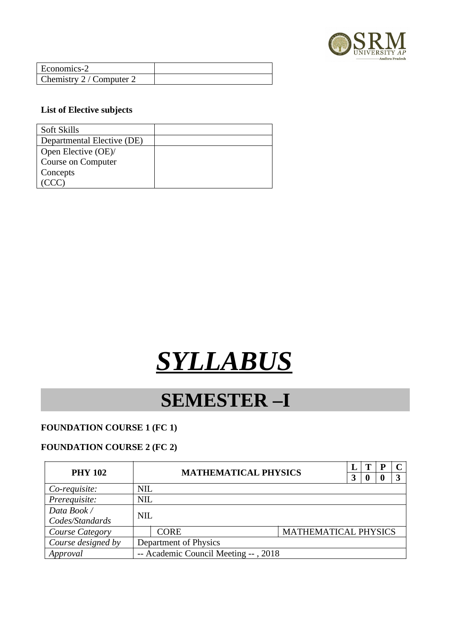

| Economics-2              |  |
|--------------------------|--|
| Chemistry 2 / Computer 2 |  |

#### **List of Elective subjects**

| Soft Skills                |  |
|----------------------------|--|
| Departmental Elective (DE) |  |
| Open Elective (OE)/        |  |
| <b>Course on Computer</b>  |  |
| Concepts                   |  |
|                            |  |

# *SYLLABUS*

### **SEMESTER –I**

#### **FOUNDATION COURSE 1 (FC 1)**

#### **FOUNDATION COURSE 2 (FC 2)**

| <b>PHY 102</b>     | <b>MATHEMATICAL PHYSICS</b> |                                      |                      |  |  | D |  |
|--------------------|-----------------------------|--------------------------------------|----------------------|--|--|---|--|
|                    |                             |                                      |                      |  |  |   |  |
| Co-requisite:      | <b>NIL</b>                  |                                      |                      |  |  |   |  |
| Prerequisite:      | <b>NIL</b>                  |                                      |                      |  |  |   |  |
| Data Book /        | <b>NIL</b>                  |                                      |                      |  |  |   |  |
| Codes/Standards    |                             |                                      |                      |  |  |   |  |
| Course Category    |                             | <b>CORE</b>                          | MATHEMATICAL PHYSICS |  |  |   |  |
| Course designed by |                             | Department of Physics                |                      |  |  |   |  |
| Approval           |                             | -- Academic Council Meeting --, 2018 |                      |  |  |   |  |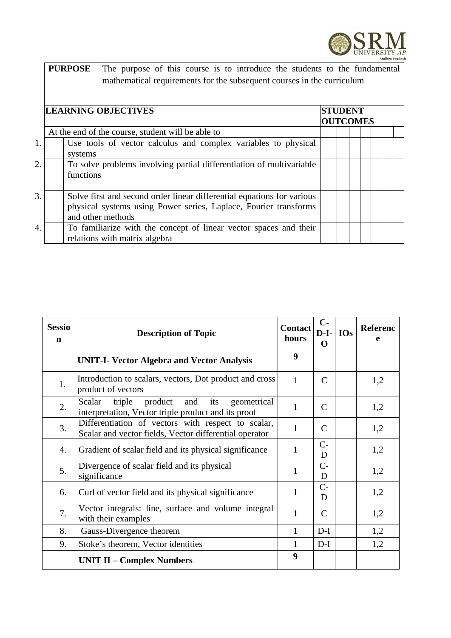

|                       |  | <b>PURPOSE</b> | The purpose of this course is to introduce the students to the fundamental |                |  |  |                 |  |  |  |  |  |  |  |
|-----------------------|--|----------------|----------------------------------------------------------------------------|----------------|--|--|-----------------|--|--|--|--|--|--|--|
|                       |  |                | mathematical requirements for the subsequent courses in the curriculum     |                |  |  |                 |  |  |  |  |  |  |  |
|                       |  |                |                                                                            |                |  |  |                 |  |  |  |  |  |  |  |
|                       |  |                | <b>LEARNING OBJECTIVES</b>                                                 | <b>STUDENT</b> |  |  |                 |  |  |  |  |  |  |  |
|                       |  |                |                                                                            |                |  |  | <b>OUTCOMES</b> |  |  |  |  |  |  |  |
|                       |  |                | At the end of the course, student will be able to                          |                |  |  |                 |  |  |  |  |  |  |  |
| 1.                    |  |                | Use tools of vector calculus and complex variables to physical             |                |  |  |                 |  |  |  |  |  |  |  |
|                       |  | systems        |                                                                            |                |  |  |                 |  |  |  |  |  |  |  |
| $\mathcal{D}_{\cdot}$ |  |                | To solve problems involving partial differentiation of multivariable       |                |  |  |                 |  |  |  |  |  |  |  |
|                       |  | functions      |                                                                            |                |  |  |                 |  |  |  |  |  |  |  |
|                       |  |                |                                                                            |                |  |  |                 |  |  |  |  |  |  |  |
| 3.                    |  |                | Solve first and second order linear differential equations for various     |                |  |  |                 |  |  |  |  |  |  |  |
|                       |  |                | physical systems using Power series, Laplace, Fourier transforms           |                |  |  |                 |  |  |  |  |  |  |  |
|                       |  |                | and other methods                                                          |                |  |  |                 |  |  |  |  |  |  |  |
| $\overline{4}$        |  |                | To familiarize with the concept of linear vector spaces and their          |                |  |  |                 |  |  |  |  |  |  |  |
|                       |  |                | relations with matrix algebra                                              |                |  |  |                 |  |  |  |  |  |  |  |

| <b>Sessio</b><br>$\mathbf n$ | <b>Description of Topic</b>                                                                                  | <b>Contact</b><br>hours | $C-$<br>$D-I-$<br>O | <b>IOs</b> | <b>Referenc</b><br>e |
|------------------------------|--------------------------------------------------------------------------------------------------------------|-------------------------|---------------------|------------|----------------------|
|                              | <b>UNIT-I- Vector Algebra and Vector Analysis</b>                                                            | 9                       |                     |            |                      |
| 1.                           | Introduction to scalars, vectors, Dot product and cross<br>product of vectors                                | $\mathbf{1}$            | C                   |            | 1,2                  |
| 2.                           | Scalar<br>triple product<br>and<br>its<br>geometrical<br>interpretation, Vector triple product and its proof | $\mathbf{1}$            | C                   |            | 1,2                  |
| 3.                           | Differentiation of vectors with respect to scalar,<br>Scalar and vector fields, Vector differential operator | $\mathbf{1}$            | C                   |            | 1,2                  |
| 4.                           | Gradient of scalar field and its physical significance                                                       | $\mathbf{1}$            | $C-$<br>D           |            | 1,2                  |
| 5.                           | Divergence of scalar field and its physical<br>significance                                                  | $\mathbf{1}$            | $C -$<br>D          |            | 1,2                  |
| 6.                           | Curl of vector field and its physical significance                                                           | $\mathbf{1}$            | $C-$<br>D           |            | 1,2                  |
| 7.                           | Vector integrals: line, surface and volume integral<br>with their examples                                   | $\mathbf{1}$            | C                   |            | 1,2                  |
| 8.                           | Gauss-Divergence theorem                                                                                     | $\mathbf{1}$            | $D-I$               |            | 1,2                  |
| 9.                           | Stoke's theorem, Vector identities                                                                           | $\mathbf{1}$            | $D-I$               |            | 1,2                  |
|                              | <b>UNIT II – Complex Numbers</b>                                                                             | 9                       |                     |            |                      |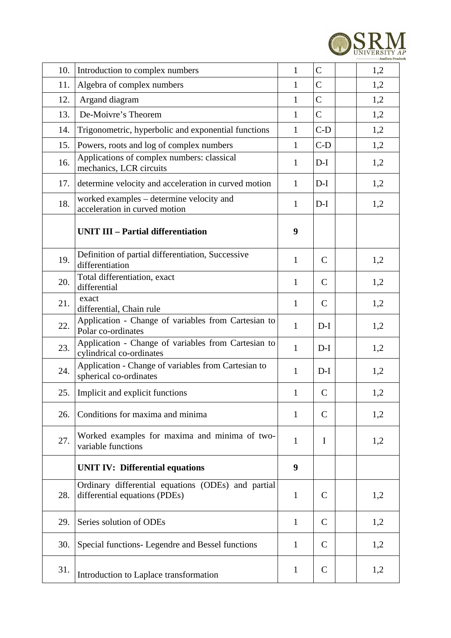

| 10. | Introduction to complex numbers                                                     | $\mathbf{1}$ | C            | 1,2 |
|-----|-------------------------------------------------------------------------------------|--------------|--------------|-----|
| 11. | Algebra of complex numbers                                                          | $\mathbf{1}$ | $\mathsf C$  | 1,2 |
| 12. | Argand diagram                                                                      | $\mathbf{1}$ | $\mathsf{C}$ | 1,2 |
| 13. | De-Moivre's Theorem                                                                 | $\mathbf{1}$ | C            | 1,2 |
| 14. | Trigonometric, hyperbolic and exponential functions                                 | $\mathbf{1}$ | $C-D$        | 1,2 |
| 15. | Powers, roots and log of complex numbers                                            | $\mathbf{1}$ | $C-D$        | 1,2 |
| 16. | Applications of complex numbers: classical<br>mechanics, LCR circuits               | $\mathbf{1}$ | $D-I$        | 1,2 |
| 17. | determine velocity and acceleration in curved motion                                | $\mathbf{1}$ | $D-I$        | 1,2 |
| 18. | worked examples - determine velocity and<br>acceleration in curved motion           | $\mathbf{1}$ | $D-I$        | 1,2 |
|     | <b>UNIT III - Partial differentiation</b>                                           | 9            |              |     |
| 19. | Definition of partial differentiation, Successive<br>differentiation                | $\mathbf{1}$ | $\mathsf{C}$ | 1,2 |
| 20. | Total differentiation, exact<br>differential                                        | $\mathbf{1}$ | $\mathsf{C}$ | 1,2 |
| 21. | exact<br>differential, Chain rule                                                   | $\mathbf{1}$ | $\mathsf{C}$ | 1,2 |
| 22. | Application - Change of variables from Cartesian to<br>Polar co-ordinates           | $\mathbf{1}$ | $D-I$        | 1,2 |
| 23. | Application - Change of variables from Cartesian to<br>cylindrical co-ordinates     | $\mathbf{1}$ | $D-I$        | 1,2 |
| 24. | Application - Change of variables from Cartesian to<br>spherical co-ordinates       | $\mathbf{1}$ | $D-I$        | 1,2 |
| 25. | Implicit and explicit functions                                                     | $\mathbf{1}$ | $\mathsf{C}$ | 1,2 |
| 26. | Conditions for maxima and minima                                                    | $\mathbf{1}$ | $\mathsf{C}$ | 1,2 |
| 27. | Worked examples for maxima and minima of two-<br>variable functions                 | $\mathbf{1}$ | I            | 1,2 |
|     | <b>UNIT IV: Differential equations</b>                                              | 9            |              |     |
| 28. | Ordinary differential equations (ODEs) and partial<br>differential equations (PDEs) | $\mathbf{1}$ | $\mathsf{C}$ | 1,2 |
| 29. | Series solution of ODEs                                                             | $\mathbf{1}$ | $\mathsf{C}$ | 1,2 |
| 30. | Special functions- Legendre and Bessel functions                                    | $\mathbf{1}$ | $\mathsf{C}$ | 1,2 |
| 31. | Introduction to Laplace transformation                                              | $\mathbf{1}$ | C            | 1,2 |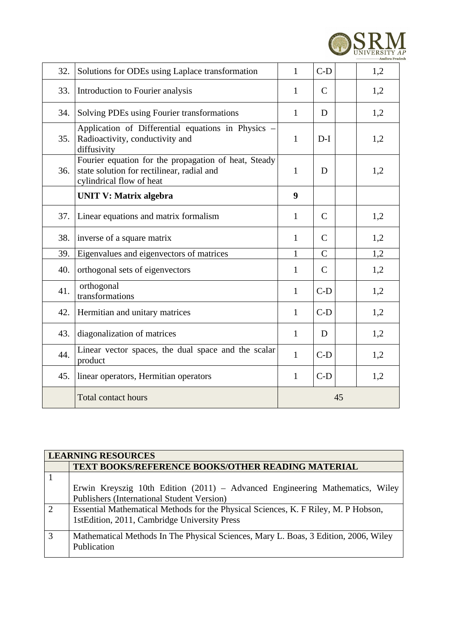

| 32. | Solutions for ODEs using Laplace transformation                                                                                | $\mathbf{1}$ | $C-D$          | 1,2 |  |
|-----|--------------------------------------------------------------------------------------------------------------------------------|--------------|----------------|-----|--|
| 33. | Introduction to Fourier analysis                                                                                               | $\mathbf{1}$ | $\mathsf{C}$   | 1,2 |  |
| 34. | Solving PDEs using Fourier transformations                                                                                     | $\mathbf{1}$ | D              | 1,2 |  |
| 35. | Application of Differential equations in Physics -<br>Radioactivity, conductivity and<br>diffusivity                           | $\mathbf{1}$ | $D-I$          | 1,2 |  |
| 36. | Fourier equation for the propagation of heat, Steady<br>state solution for rectilinear, radial and<br>cylindrical flow of heat | $\mathbf{1}$ | D              | 1,2 |  |
|     | <b>UNIT V: Matrix algebra</b>                                                                                                  | 9            |                |     |  |
| 37. | Linear equations and matrix formalism                                                                                          | $\mathbf{1}$ | $\mathsf{C}$   | 1,2 |  |
| 38. | inverse of a square matrix                                                                                                     | $\mathbf{1}$ | $\mathsf{C}$   | 1,2 |  |
| 39. | Eigenvalues and eigenvectors of matrices                                                                                       | $\mathbf{1}$ | $\overline{C}$ | 1,2 |  |
| 40. | orthogonal sets of eigenvectors                                                                                                | $\mathbf{1}$ | $\mathsf{C}$   | 1,2 |  |
| 41. | orthogonal<br>transformations                                                                                                  | $\mathbf{1}$ | $C-D$          | 1,2 |  |
| 42. | Hermitian and unitary matrices                                                                                                 | $\mathbf{1}$ | $C-D$          | 1,2 |  |
| 43. | diagonalization of matrices                                                                                                    | $\mathbf{1}$ | D              | 1,2 |  |
| 44. | Linear vector spaces, the dual space and the scalar<br>product                                                                 | $\mathbf{1}$ | $C-D$          | 1,2 |  |
| 45. | linear operators, Hermitian operators                                                                                          | $\mathbf{1}$ | $C-D$          | 1,2 |  |
|     | <b>Total contact hours</b>                                                                                                     | 45           |                |     |  |

|                | <b>LEARNING RESOURCES</b>                                                           |  |  |  |  |  |  |  |
|----------------|-------------------------------------------------------------------------------------|--|--|--|--|--|--|--|
|                | <b>TEXT BOOKS/REFERENCE BOOKS/OTHER READING MATERIAL</b>                            |  |  |  |  |  |  |  |
|                |                                                                                     |  |  |  |  |  |  |  |
|                | Erwin Kreyszig 10th Edition $(2011)$ – Advanced Engineering Mathematics, Wiley      |  |  |  |  |  |  |  |
|                | <b>Publishers (International Student Version)</b>                                   |  |  |  |  |  |  |  |
| $\overline{2}$ | Essential Mathematical Methods for the Physical Sciences, K. F Riley, M. P Hobson,  |  |  |  |  |  |  |  |
|                | 1stEdition, 2011, Cambridge University Press                                        |  |  |  |  |  |  |  |
| 3              | Mathematical Methods In The Physical Sciences, Mary L. Boas, 3 Edition, 2006, Wiley |  |  |  |  |  |  |  |
|                | Publication                                                                         |  |  |  |  |  |  |  |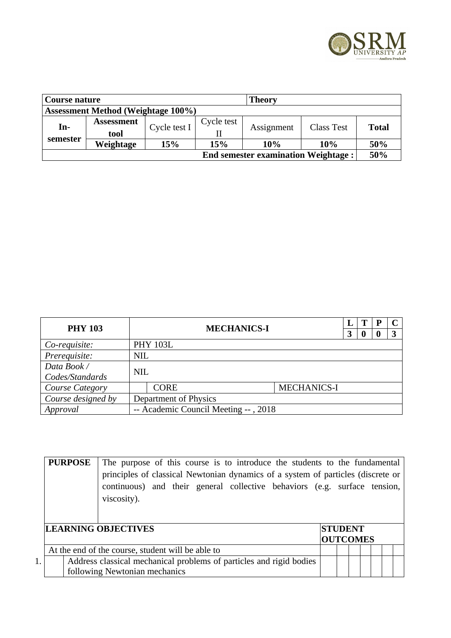

| Course nature                              |                           |              |            | Theory     |                   |              |  |  |
|--------------------------------------------|---------------------------|--------------|------------|------------|-------------------|--------------|--|--|
| <b>Assessment Method (Weightage 100%)</b>  |                           |              |            |            |                   |              |  |  |
| In-                                        | <b>Assessment</b><br>tool | Cycle test I | Cycle test | Assignment | <b>Class Test</b> | <b>Total</b> |  |  |
| semester                                   | Weightage                 | 15%          | 15%        | 10%        | 10%               | 50%          |  |  |
| <b>End semester examination Weightage:</b> |                           |              |            |            |                   |              |  |  |

| <b>PHY 103</b>         |            | <b>MECHANICS-I</b>                   |                    |   |  | P |  |  |
|------------------------|------------|--------------------------------------|--------------------|---|--|---|--|--|
|                        |            |                                      |                    | 3 |  |   |  |  |
| Co-requisite:          |            | <b>PHY 103L</b>                      |                    |   |  |   |  |  |
| Prerequisite:          | <b>NIL</b> |                                      |                    |   |  |   |  |  |
| Data Book /            |            | <b>NIL</b>                           |                    |   |  |   |  |  |
| Codes/Standards        |            |                                      |                    |   |  |   |  |  |
| <b>Course Category</b> |            | <b>CORE</b>                          | <b>MECHANICS-I</b> |   |  |   |  |  |
| Course designed by     |            | Department of Physics                |                    |   |  |   |  |  |
| Approval               |            | -- Academic Council Meeting --, 2018 |                    |   |  |   |  |  |

|    | <b>PURPOSE</b> | The purpose of this course is to introduce the students to the fundamental       |                 |  |  |  |  |  |
|----|----------------|----------------------------------------------------------------------------------|-----------------|--|--|--|--|--|
|    |                | principles of classical Newtonian dynamics of a system of particles (discrete or |                 |  |  |  |  |  |
|    |                | continuous) and their general collective behaviors (e.g. surface tension,        |                 |  |  |  |  |  |
|    |                | viscosity).                                                                      |                 |  |  |  |  |  |
|    |                |                                                                                  |                 |  |  |  |  |  |
|    |                |                                                                                  |                 |  |  |  |  |  |
|    |                | <b>LEARNING OBJECTIVES</b>                                                       | <b>STUDENT</b>  |  |  |  |  |  |
|    |                |                                                                                  | <b>OUTCOMES</b> |  |  |  |  |  |
|    |                | At the end of the course, student will be able to                                |                 |  |  |  |  |  |
| 1. |                | Address classical mechanical problems of particles and rigid bodies              |                 |  |  |  |  |  |
|    |                | following Newtonian mechanics                                                    |                 |  |  |  |  |  |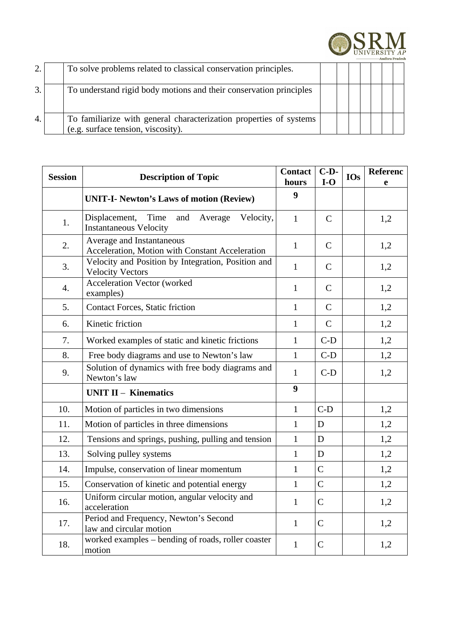

|    | To solve problems related to classical conservation principles.                                          |  |  |  |  |
|----|----------------------------------------------------------------------------------------------------------|--|--|--|--|
|    | To understand rigid body motions and their conservation principles                                       |  |  |  |  |
| 4. | To familiarize with general characterization properties of systems<br>(e.g. surface tension, viscosity). |  |  |  |  |

| <b>Session</b> | <b>Description of Topic</b>                                                           | <b>Contact</b><br>hours | $C-D-$<br>$I-O$ | <b>IOs</b> | <b>Referenc</b><br>e |
|----------------|---------------------------------------------------------------------------------------|-------------------------|-----------------|------------|----------------------|
|                | <b>UNIT-I- Newton's Laws of motion (Review)</b>                                       | 9                       |                 |            |                      |
| 1.             | Displacement,<br>Time<br>and<br>Velocity,<br>Average<br><b>Instantaneous Velocity</b> | $\mathbf{1}$            | $\mathsf{C}$    |            | 1,2                  |
| 2.             | Average and Instantaneous<br>Acceleration, Motion with Constant Acceleration          | $\mathbf{1}$            | $\mathsf{C}$    |            | 1,2                  |
| 3.             | Velocity and Position by Integration, Position and<br><b>Velocity Vectors</b>         | $\mathbf{1}$            | $\mathsf{C}$    |            | 1,2                  |
| 4.             | <b>Acceleration Vector (worked</b><br>examples)                                       | $\mathbf{1}$            | $\mathsf{C}$    |            | 1,2                  |
| 5.             | <b>Contact Forces, Static friction</b>                                                | $\mathbf{1}$            | $\mathsf{C}$    |            | 1,2                  |
| 6.             | Kinetic friction                                                                      | $\mathbf{1}$            | $\mathsf{C}$    |            | 1,2                  |
| 7.             | Worked examples of static and kinetic frictions                                       | $\mathbf{1}$            | $C-D$           |            | 1,2                  |
| 8.             | Free body diagrams and use to Newton's law                                            | $\mathbf{1}$            | $C-D$           |            | 1,2                  |
| 9.             | Solution of dynamics with free body diagrams and<br>Newton's law                      | $\mathbf{1}$            | $C-D$           |            | 1,2                  |
|                | <b>UNIT II - Kinematics</b>                                                           | 9                       |                 |            |                      |
| 10.            | Motion of particles in two dimensions                                                 | $\mathbf{1}$            | $C-D$           |            | 1,2                  |
| 11.            | Motion of particles in three dimensions                                               | $\mathbf{1}$            | D               |            | 1,2                  |
| 12.            | Tensions and springs, pushing, pulling and tension                                    | $\mathbf{1}$            | $\mathbf D$     |            | 1,2                  |
| 13.            | Solving pulley systems                                                                | $\mathbf{1}$            | $\mathbf D$     |            | 1,2                  |
| 14.            | Impulse, conservation of linear momentum                                              | $\mathbf{1}$            | $\overline{C}$  |            | 1,2                  |
| 15.            | Conservation of kinetic and potential energy                                          | $\mathbf{1}$            | $\overline{C}$  |            | 1,2                  |
| 16.            | Uniform circular motion, angular velocity and<br>acceleration                         | $\mathbf{1}$            | C               |            | 1,2                  |
| 17.            | Period and Frequency, Newton's Second<br>law and circular motion                      | $\mathbf{1}$            | $\mathsf C$     |            | 1,2                  |
| 18.            | worked examples - bending of roads, roller coaster<br>motion                          | $\mathbf{1}$            | $\overline{C}$  |            | 1,2                  |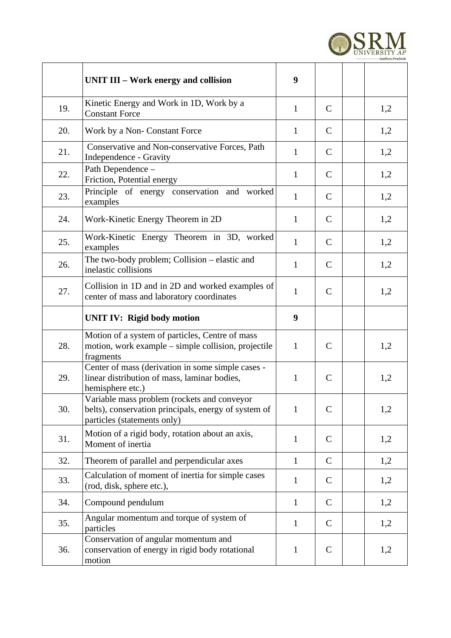

|     | UNIT III – Work energy and collision                                                                                               | 9            |              |     |
|-----|------------------------------------------------------------------------------------------------------------------------------------|--------------|--------------|-----|
| 19. | Kinetic Energy and Work in 1D, Work by a<br><b>Constant Force</b>                                                                  | $\mathbf{1}$ | $\mathsf{C}$ | 1,2 |
| 20. | Work by a Non- Constant Force                                                                                                      | $\mathbf{1}$ | $\mathsf{C}$ | 1,2 |
| 21. | Conservative and Non-conservative Forces, Path<br>Independence - Gravity                                                           | $\mathbf{1}$ | C            | 1,2 |
| 22. | Path Dependence -<br>Friction, Potential energy                                                                                    | $\mathbf{1}$ | C            | 1,2 |
| 23. | Principle of energy conservation and worked<br>examples                                                                            | $\mathbf{1}$ | $\mathsf{C}$ | 1,2 |
| 24. | Work-Kinetic Energy Theorem in 2D                                                                                                  | $\mathbf{1}$ | C            | 1,2 |
| 25. | Work-Kinetic Energy Theorem in 3D, worked<br>examples                                                                              | $\mathbf{1}$ | $\mathsf{C}$ | 1,2 |
| 26. | The two-body problem; Collision – elastic and<br>inelastic collisions                                                              | $\mathbf{1}$ | $\mathsf{C}$ | 1,2 |
| 27. | Collision in 1D and in 2D and worked examples of<br>center of mass and laboratory coordinates                                      | $\mathbf{1}$ | $\mathsf{C}$ | 1,2 |
|     | <b>UNIT IV: Rigid body motion</b>                                                                                                  | 9            |              |     |
| 28. | Motion of a system of particles, Centre of mass<br>motion, work example - simple collision, projectile<br>fragments                | $\mathbf{1}$ | $\mathsf{C}$ | 1,2 |
| 29. | Center of mass (derivation in some simple cases -<br>linear distribution of mass, laminar bodies,<br>hemisphere etc.)              | $\mathbf{1}$ | $\mathsf{C}$ | 1,2 |
| 30. | Variable mass problem (rockets and conveyor<br>belts), conservation principals, energy of system of<br>particles (statements only) | $\mathbf{1}$ | $\mathsf{C}$ | 1,2 |
| 31. | Motion of a rigid body, rotation about an axis,<br>Moment of inertia                                                               | $\mathbf{1}$ | C            | 1,2 |
| 32. | Theorem of parallel and perpendicular axes                                                                                         | $\mathbf{1}$ | $\mathsf{C}$ | 1,2 |
| 33. | Calculation of moment of inertia for simple cases<br>(rod, disk, sphere etc.),                                                     | $\mathbf{1}$ | $\mathsf{C}$ | 1,2 |
| 34. | Compound pendulum                                                                                                                  | $\mathbf{1}$ | C            | 1,2 |
| 35. | Angular momentum and torque of system of<br>particles                                                                              | $\mathbf{1}$ | $\mathsf{C}$ | 1,2 |
| 36. | Conservation of angular momentum and<br>conservation of energy in rigid body rotational<br>motion                                  | $\mathbf{1}$ | $\mathsf{C}$ | 1,2 |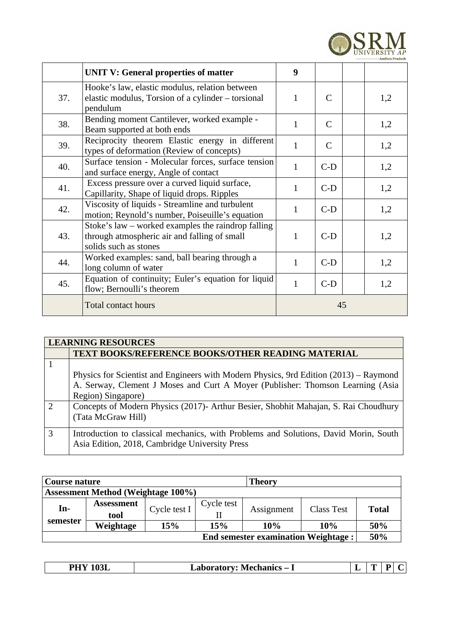

|     | <b>UNIT V: General properties of matter</b>                                                                                   | 9            |              |     |
|-----|-------------------------------------------------------------------------------------------------------------------------------|--------------|--------------|-----|
| 37. | Hooke's law, elastic modulus, relation between<br>elastic modulus, Torsion of a cylinder – torsional<br>pendulum              | $\mathbf{1}$ | C            | 1,2 |
| 38. | Bending moment Cantilever, worked example -<br>Beam supported at both ends                                                    | $\mathbf{1}$ | C            | 1,2 |
| 39. | Reciprocity theorem Elastic energy in different<br>types of deformation (Review of concepts)                                  | $\mathbf{1}$ | $\mathsf{C}$ | 1,2 |
| 40. | Surface tension - Molecular forces, surface tension<br>and surface energy, Angle of contact                                   | $\mathbf{1}$ | $C-D$        | 1,2 |
| 41. | Excess pressure over a curved liquid surface,<br>Capillarity, Shape of liquid drops. Ripples                                  | $\mathbf{1}$ | $C-D$        | 1,2 |
| 42. | Viscosity of liquids - Streamline and turbulent<br>motion; Reynold's number, Poiseuille's equation                            | $\mathbf{1}$ | $C-D$        | 1,2 |
| 43. | Stoke's law $-$ worked examples the raindrop falling<br>through atmospheric air and falling of small<br>solids such as stones | $\mathbf{1}$ | $C-D$        | 1,2 |
| 44. | Worked examples: sand, ball bearing through a<br>long column of water                                                         | $\mathbf{1}$ | $C-D$        | 1,2 |
| 45. | Equation of continuity; Euler's equation for liquid<br>flow; Bernoulli's theorem                                              | $\mathbf{1}$ | $C-D$        | 1,2 |
|     | <b>Total contact hours</b>                                                                                                    |              | 45           |     |

|               | <b>LEARNING RESOURCES</b>                                                             |  |  |  |  |  |  |  |  |  |
|---------------|---------------------------------------------------------------------------------------|--|--|--|--|--|--|--|--|--|
|               | <b>TEXT BOOKS/REFERENCE BOOKS/OTHER READING MATERIAL</b>                              |  |  |  |  |  |  |  |  |  |
|               |                                                                                       |  |  |  |  |  |  |  |  |  |
|               | Physics for Scientist and Engineers with Modern Physics, 9rd Edition (2013) - Raymond |  |  |  |  |  |  |  |  |  |
|               | A. Serway, Clement J Moses and Curt A Moyer (Publisher: Thomson Learning (Asia        |  |  |  |  |  |  |  |  |  |
|               | Region) Singapore)                                                                    |  |  |  |  |  |  |  |  |  |
| $\mathcal{L}$ | Concepts of Modern Physics (2017)- Arthur Besier, Shobhit Mahajan, S. Rai Choudhury   |  |  |  |  |  |  |  |  |  |
|               | (Tata McGraw Hill)                                                                    |  |  |  |  |  |  |  |  |  |
|               |                                                                                       |  |  |  |  |  |  |  |  |  |
| 3             | Introduction to classical mechanics, with Problems and Solutions, David Morin, South  |  |  |  |  |  |  |  |  |  |
|               | Asia Edition, 2018, Cambridge University Press                                        |  |  |  |  |  |  |  |  |  |

| Course nature                              |                   |              |            | <b>Theory</b> |            |       |  |  |  |
|--------------------------------------------|-------------------|--------------|------------|---------------|------------|-------|--|--|--|
| <b>Assessment Method (Weightage 100%)</b>  |                   |              |            |               |            |       |  |  |  |
| $In-$                                      | <b>Assessment</b> | Cycle test I | Cycle test |               | Class Test | Total |  |  |  |
|                                            | tool              |              |            | Assignment    |            |       |  |  |  |
| semester                                   | Weightage         | 15%          | 15%        | 10%           | 10%        | 50%   |  |  |  |
| <b>End semester examination Weightage:</b> |                   |              |            |               |            |       |  |  |  |

| $\sim$ $\sim$ $\sim$<br>DI<br>-------<br>-----+------<br>M<br>-<br>---<br>_______<br>_____<br>$  -$ | - | -- |  |  |
|-----------------------------------------------------------------------------------------------------|---|----|--|--|
|-----------------------------------------------------------------------------------------------------|---|----|--|--|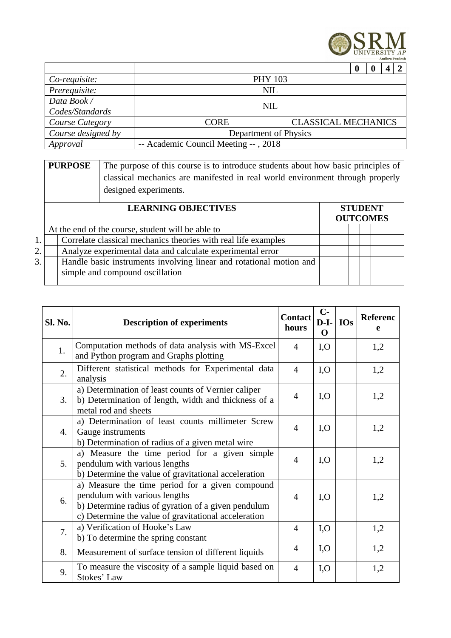

|                        |                                      |                                           |  | 0 |  | Д |  |
|------------------------|--------------------------------------|-------------------------------------------|--|---|--|---|--|
| Co-requisite:          |                                      | <b>PHY 103</b>                            |  |   |  |   |  |
| Prerequisite:          | NIL                                  |                                           |  |   |  |   |  |
| Data Book /            |                                      |                                           |  |   |  |   |  |
| Codes/Standards        |                                      | NIL                                       |  |   |  |   |  |
| <b>Course Category</b> |                                      | <b>CLASSICAL MECHANICS</b><br><b>CORE</b> |  |   |  |   |  |
| Course designed by     |                                      | Department of Physics                     |  |   |  |   |  |
| Approval               | -- Academic Council Meeting --, 2018 |                                           |  |   |  |   |  |

|    | The purpose of this course is to introduce students about how basic principles of<br><b>PURPOSE</b><br>classical mechanics are manifested in real world environment through properly<br>designed experiments. |                                                                                                        |                 |  |  |                |  |  |  |  |
|----|---------------------------------------------------------------------------------------------------------------------------------------------------------------------------------------------------------------|--------------------------------------------------------------------------------------------------------|-----------------|--|--|----------------|--|--|--|--|
|    |                                                                                                                                                                                                               |                                                                                                        | <b>OUTCOMES</b> |  |  | <b>STUDENT</b> |  |  |  |  |
|    |                                                                                                                                                                                                               | At the end of the course, student will be able to                                                      |                 |  |  |                |  |  |  |  |
| 1. |                                                                                                                                                                                                               | Correlate classical mechanics theories with real life examples                                         |                 |  |  |                |  |  |  |  |
| 2. |                                                                                                                                                                                                               | Analyze experimental data and calculate experimental error                                             |                 |  |  |                |  |  |  |  |
| 3. |                                                                                                                                                                                                               | Handle basic instruments involving linear and rotational motion and<br>simple and compound oscillation |                 |  |  |                |  |  |  |  |

| Sl. No. | <b>Description of experiments</b>                                                                                                                                                               | <b>Contact</b><br>hours | $C-$<br>$D-I-$<br>O | <b>IOs</b> | Referenc<br>e |
|---------|-------------------------------------------------------------------------------------------------------------------------------------------------------------------------------------------------|-------------------------|---------------------|------------|---------------|
| 1.      | Computation methods of data analysis with MS-Excel<br>and Python program and Graphs plotting                                                                                                    | $\overline{4}$          | I, O                |            | 1,2           |
| 2.      | Different statistical methods for Experimental data<br>analysis                                                                                                                                 | $\overline{4}$          | I, O                |            | 1,2           |
| 3.      | a) Determination of least counts of Vernier caliper<br>b) Determination of length, width and thickness of a<br>metal rod and sheets                                                             | $\overline{4}$          | I, O                |            | 1,2           |
| 4.      | a) Determination of least counts millimeter Screw<br>Gauge instruments<br>b) Determination of radius of a given metal wire                                                                      | 4                       | I, O                |            | 1,2           |
| 5.      | a) Measure the time period for a given simple<br>pendulum with various lengths<br>b) Determine the value of gravitational acceleration                                                          | $\overline{4}$          | I, O                |            | 1,2           |
| 6.      | a) Measure the time period for a given compound<br>pendulum with various lengths<br>b) Determine radius of gyration of a given pendulum<br>c) Determine the value of gravitational acceleration | $\overline{4}$          | I, O                |            | 1,2           |
| 7.      | a) Verification of Hooke's Law<br>b) To determine the spring constant                                                                                                                           | $\overline{4}$          | I, O                |            | 1,2           |
| 8.      | Measurement of surface tension of different liquids                                                                                                                                             | $\overline{4}$          | I, O                |            | 1,2           |
| 9.      | To measure the viscosity of a sample liquid based on<br>Stokes' Law                                                                                                                             | $\overline{4}$          | I, O                |            | 1,2           |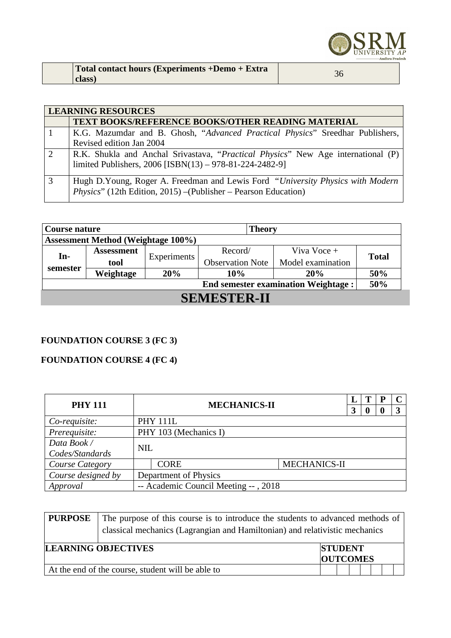

| Total contact hours (Experiments +Demo + Extra |  |
|------------------------------------------------|--|
| class)                                         |  |

|   | <b>LEARNING RESOURCES</b>                                                                                                                          |  |  |  |  |  |  |  |  |  |
|---|----------------------------------------------------------------------------------------------------------------------------------------------------|--|--|--|--|--|--|--|--|--|
|   | <b>TEXT BOOKS/REFERENCE BOOKS/OTHER READING MATERIAL</b>                                                                                           |  |  |  |  |  |  |  |  |  |
|   | K.G. Mazumdar and B. Ghosh, "Advanced Practical Physics" Sreedhar Publishers,                                                                      |  |  |  |  |  |  |  |  |  |
|   | Revised edition Jan 2004                                                                                                                           |  |  |  |  |  |  |  |  |  |
| 2 | R.K. Shukla and Anchal Srivastava, "Practical Physics" New Age international (P)                                                                   |  |  |  |  |  |  |  |  |  |
|   | limited Publishers, 2006 [ISBN(13) - 978-81-224-2482-9]                                                                                            |  |  |  |  |  |  |  |  |  |
| 3 | Hugh D.Young, Roger A. Freedman and Lewis Ford "University Physics with Modern"<br>Physics" (12th Edition, 2015) – (Publisher – Pearson Education) |  |  |  |  |  |  |  |  |  |

| <b>Theory</b><br>Course nature             |                                           |             |                         |                   |              |  |         |               |  |
|--------------------------------------------|-------------------------------------------|-------------|-------------------------|-------------------|--------------|--|---------|---------------|--|
|                                            | <b>Assessment Method (Weightage 100%)</b> |             |                         |                   |              |  |         |               |  |
|                                            | <b>Assessment</b>                         |             |                         |                   |              |  | Record/ | Viva Voce $+$ |  |
| $In-$                                      | tool                                      | Experiments | <b>Observation Note</b> | Model examination | <b>Total</b> |  |         |               |  |
| semester                                   | Weightage                                 | 20%         | 10%                     | 20%               | 50%          |  |         |               |  |
| <b>End semester examination Weightage:</b> |                                           |             |                         |                   |              |  |         |               |  |
| <b>SEMESTER-II</b>                         |                                           |             |                         |                   |              |  |         |               |  |

### **FOUNDATION COURSE 3 (FC 3)**

### **FOUNDATION COURSE 4 (FC 4)**

| <b>PHY 111</b>     |  | <b>MECHANICS-II</b>                  |                     |  |  | P |   |
|--------------------|--|--------------------------------------|---------------------|--|--|---|---|
|                    |  |                                      |                     |  |  |   | 3 |
| Co-requisite:      |  | <b>PHY 111L</b>                      |                     |  |  |   |   |
| Prerequisite:      |  | PHY 103 (Mechanics I)                |                     |  |  |   |   |
| Data Book /        |  |                                      |                     |  |  |   |   |
| Codes/Standards    |  | <b>NIL</b>                           |                     |  |  |   |   |
| Course Category    |  | <b>CORE</b>                          | <b>MECHANICS-II</b> |  |  |   |   |
| Course designed by |  | <b>Department of Physics</b>         |                     |  |  |   |   |
| Approval           |  | -- Academic Council Meeting --, 2018 |                     |  |  |   |   |

| <b>PURPOSE</b>                                                              | The purpose of this course is to introduce the students to advanced methods of |                 |                |  |  |  |  |  |
|-----------------------------------------------------------------------------|--------------------------------------------------------------------------------|-----------------|----------------|--|--|--|--|--|
| classical mechanics (Lagrangian and Hamiltonian) and relativistic mechanics |                                                                                |                 |                |  |  |  |  |  |
| <b>LEARNING OBJECTIVES</b>                                                  |                                                                                |                 | <b>STUDENT</b> |  |  |  |  |  |
|                                                                             |                                                                                | <b>OUTCOMES</b> |                |  |  |  |  |  |
| At the end of the course, student will be able to                           |                                                                                |                 |                |  |  |  |  |  |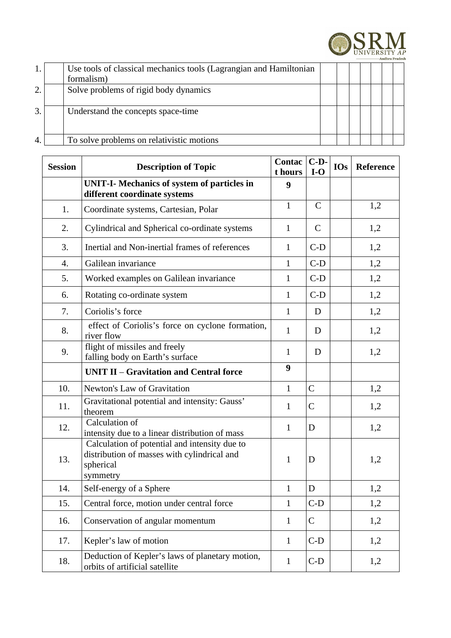

|    | Use tools of classical mechanics tools (Lagrangian and Hamiltonian<br>formalism) |  |  |  |  |
|----|----------------------------------------------------------------------------------|--|--|--|--|
| 2. | Solve problems of rigid body dynamics                                            |  |  |  |  |
| 3. | Understand the concepts space-time                                               |  |  |  |  |
| 4. | To solve problems on relativistic motions                                        |  |  |  |  |

| <b>Session</b> | <b>Description of Topic</b>                                                                                           | <b>Contac</b><br>t hours | $C-D-$<br>$I-O$ | <b>IOs</b> | Reference |
|----------------|-----------------------------------------------------------------------------------------------------------------------|--------------------------|-----------------|------------|-----------|
|                | <b>UNIT-I- Mechanics of system of particles in</b><br>different coordinate systems                                    | 9                        |                 |            |           |
| 1.             | Coordinate systems, Cartesian, Polar                                                                                  | $\mathbf{1}$             | $\mathsf{C}$    |            | 1,2       |
| 2.             | Cylindrical and Spherical co-ordinate systems                                                                         | $\mathbf{1}$             | $\mathsf{C}$    |            | 1,2       |
| 3.             | Inertial and Non-inertial frames of references                                                                        | $\mathbf{1}$             | $C-D$           |            | 1,2       |
| 4.             | Galilean invariance                                                                                                   | $\mathbf{1}$             | $C-D$           |            | 1,2       |
| 5.             | Worked examples on Galilean invariance                                                                                | $\mathbf{1}$             | $C-D$           |            | 1,2       |
| 6.             | Rotating co-ordinate system                                                                                           | $\mathbf{1}$             | $C-D$           |            | 1,2       |
| 7.             | Coriolis's force                                                                                                      | $\mathbf{1}$             | D               |            | 1,2       |
| 8.             | effect of Coriolis's force on cyclone formation,<br>river flow                                                        | $\mathbf{1}$             | D               |            | 1,2       |
| 9.             | flight of missiles and freely<br>falling body on Earth's surface                                                      | $\mathbf{1}$             | D               |            | 1,2       |
|                | <b>UNIT II - Gravitation and Central force</b>                                                                        | 9                        |                 |            |           |
| 10.            | Newton's Law of Gravitation                                                                                           | $\mathbf{1}$             | $\mathsf{C}$    |            | 1,2       |
| 11.            | Gravitational potential and intensity: Gauss'<br>theorem                                                              | $\mathbf{1}$             | $\mathsf C$     |            | 1,2       |
| 12.            | Calculation of<br>intensity due to a linear distribution of mass                                                      | $\mathbf{1}$             | D               |            | 1,2       |
| 13.            | Calculation of potential and intensity due to<br>distribution of masses with cylindrical and<br>spherical<br>symmetry |                          | D               |            | 1,2       |
| 14.            | Self-energy of a Sphere                                                                                               | $\mathbf{1}$             | D               |            | 1,2       |
| 15.            | Central force, motion under central force                                                                             | $\mathbf{1}$             | $C-D$           |            | 1,2       |
| 16.            | Conservation of angular momentum<br>$\mathbf{1}$                                                                      |                          | C               |            | 1,2       |
| 17.            | Kepler's law of motion                                                                                                | $\mathbf{1}$             | $C-D$           |            | 1,2       |
| 18.            | Deduction of Kepler's laws of planetary motion,<br>orbits of artificial satellite                                     | $\mathbf{1}$             | $C-D$           |            | 1,2       |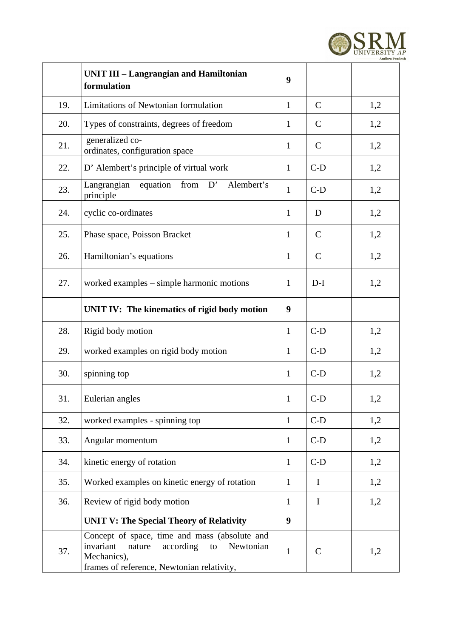

|     | <b>UNIT III - Langrangian and Hamiltonian</b><br>formulation                                                                                                      | 9            |              |     |
|-----|-------------------------------------------------------------------------------------------------------------------------------------------------------------------|--------------|--------------|-----|
| 19. | Limitations of Newtonian formulation                                                                                                                              | $\mathbf{1}$ | $\mathsf{C}$ | 1,2 |
| 20. | Types of constraints, degrees of freedom                                                                                                                          | $\mathbf{1}$ | $\mathsf{C}$ | 1,2 |
| 21. | generalized co-<br>ordinates, configuration space                                                                                                                 | $\mathbf{1}$ | $\mathsf{C}$ | 1,2 |
| 22. | D' Alembert's principle of virtual work                                                                                                                           | $\mathbf{1}$ | $C-D$        | 1,2 |
| 23. | Langrangian equation from D'<br>Alembert's<br>principle                                                                                                           | $\mathbf{1}$ | $C-D$        | 1,2 |
| 24. | cyclic co-ordinates                                                                                                                                               | $\mathbf{1}$ | D            | 1,2 |
| 25. | Phase space, Poisson Bracket                                                                                                                                      | $\mathbf{1}$ | $\mathsf{C}$ | 1,2 |
| 26. | Hamiltonian's equations                                                                                                                                           | $\mathbf{1}$ | $\mathsf{C}$ | 1,2 |
| 27. | worked examples - simple harmonic motions                                                                                                                         | $\mathbf{1}$ | $D-I$        | 1,2 |
|     | UNIT IV: The kinematics of rigid body motion                                                                                                                      | 9            |              |     |
| 28. | Rigid body motion                                                                                                                                                 | $\mathbf{1}$ | $C-D$        | 1,2 |
| 29. | worked examples on rigid body motion                                                                                                                              | $\mathbf{1}$ | $C-D$        | 1,2 |
| 30. | spinning top                                                                                                                                                      | $\mathbf{1}$ | $C-D$        | 1,2 |
| 31. | Eulerian angles                                                                                                                                                   | $\mathbf{1}$ | $C-D$        | 1,2 |
| 32. | worked examples - spinning top                                                                                                                                    | $\mathbf{1}$ | $C-D$        | 1,2 |
| 33. | Angular momentum                                                                                                                                                  | $\mathbf{1}$ | $C-D$        | 1,2 |
| 34. | kinetic energy of rotation                                                                                                                                        | $\mathbf{1}$ | $C-D$        | 1,2 |
| 35. | Worked examples on kinetic energy of rotation                                                                                                                     | $\mathbf{1}$ | $\bf{I}$     | 1,2 |
| 36. | Review of rigid body motion                                                                                                                                       | $\mathbf{1}$ | $\bf{I}$     | 1,2 |
|     | <b>UNIT V: The Special Theory of Relativity</b>                                                                                                                   | 9            |              |     |
| 37. | Concept of space, time and mass (absolute and<br>invariant<br>according<br>Newtonian<br>nature<br>to<br>Mechanics),<br>frames of reference, Newtonian relativity, |              | $\mathsf{C}$ | 1,2 |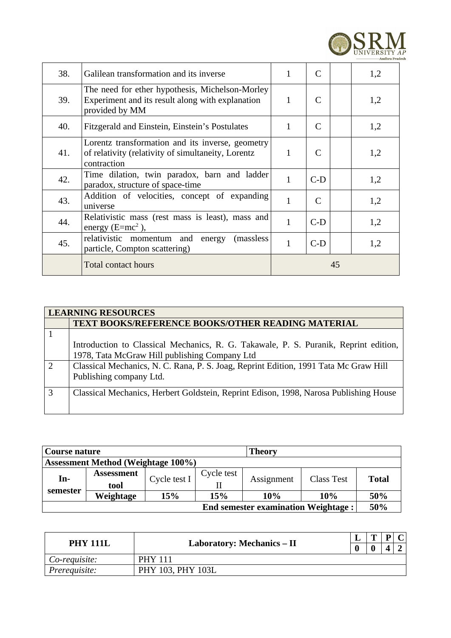

| 38. | Galilean transformation and its inverse                                                                               | C<br>1<br>1,2         |              |    |     |  |
|-----|-----------------------------------------------------------------------------------------------------------------------|-----------------------|--------------|----|-----|--|
| 39. | The need for ether hypothesis, Michelson-Morley<br>Experiment and its result along with explanation<br>provided by MM | 1                     | $\mathsf{C}$ |    | 1,2 |  |
| 40. | Fitzgerald and Einstein, Einstein's Postulates                                                                        | $\mathbf{1}$          | C            |    | 1,2 |  |
| 41. | Lorentz transformation and its inverse, geometry<br>of relativity (relativity of simultaneity, Lorentz<br>contraction | $\mathbf{1}$          | C            |    | 1,2 |  |
| 42. | Time dilation, twin paradox, barn and ladder<br>paradox, structure of space-time                                      | $\mathbf{1}$<br>$C-D$ |              |    |     |  |
| 43. | Addition of velocities, concept of expanding<br>universe                                                              | 1<br>C<br>1,2         |              |    |     |  |
| 44. | Relativistic mass (rest mass is least), mass and<br>energy $(E=mc^2)$ ,                                               | $\mathbf{1}$          | $C-D$        |    | 1,2 |  |
| 45. | relativistic momentum and<br>(massless)<br>energy<br>particle, Compton scattering)                                    | $\overline{1}$        | $C-D$        |    | 1,2 |  |
|     | <b>Total contact hours</b>                                                                                            |                       |              | 45 |     |  |

|                | <b>LEARNING RESOURCES</b>                                                                                                             |
|----------------|---------------------------------------------------------------------------------------------------------------------------------------|
|                | <b>TEXT BOOKS/REFERENCE BOOKS/OTHER READING MATERIAL</b>                                                                              |
|                |                                                                                                                                       |
|                | Introduction to Classical Mechanics, R. G. Takawale, P. S. Puranik, Reprint edition,<br>1978, Tata McGraw Hill publishing Company Ltd |
| $\overline{2}$ | Classical Mechanics, N. C. Rana, P. S. Joag, Reprint Edition, 1991 Tata Mc Graw Hill<br>Publishing company Ltd.                       |
| 3              | Classical Mechanics, Herbert Goldstein, Reprint Edison, 1998, Narosa Publishing House                                                 |

| Course nature                              |                                           |              | <b>Theory</b> |            |                   |              |  |  |
|--------------------------------------------|-------------------------------------------|--------------|---------------|------------|-------------------|--------------|--|--|
|                                            | <b>Assessment Method (Weightage 100%)</b> |              |               |            |                   |              |  |  |
| In-                                        | <b>Assessment</b><br>tool                 | Cycle test I | Cycle test    | Assignment | <b>Class Test</b> | <b>Total</b> |  |  |
| semester                                   | Weightage                                 | 15%          | 15%           | 10%        | 10%               | 50%          |  |  |
| <b>End semester examination Weightage:</b> |                                           |              |               |            |                   |              |  |  |

| <b>PHY 111L</b> | Laboratory: Mechanics – II |  |  | C |
|-----------------|----------------------------|--|--|---|
|                 |                            |  |  |   |
| Co-requisite:   | <b>PHY 111</b>             |  |  |   |
| Prerequisite:   | PHY 103, PHY 103L          |  |  |   |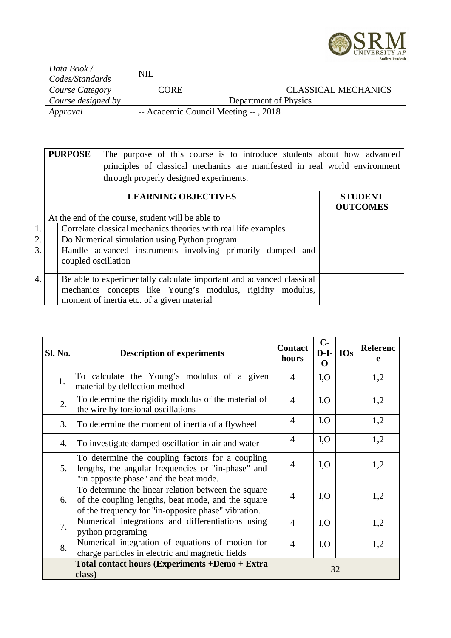

| Data Book /<br>Codes/Standards | <b>NIL</b>            |                                      |                            |  |  |
|--------------------------------|-----------------------|--------------------------------------|----------------------------|--|--|
| Course Category                |                       | <b>CORE</b>                          | <b>CLASSICAL MECHANICS</b> |  |  |
| Course designed by             | Department of Physics |                                      |                            |  |  |
| Approval                       |                       | -- Academic Council Meeting --, 2018 |                            |  |  |

|    | <b>PURPOSE</b>                                                                    | The purpose of this course is to introduce students about how advanced<br>principles of classical mechanics are manifested in real world environment<br>through properly designed experiments. |  |  |                |                 |  |
|----|-----------------------------------------------------------------------------------|------------------------------------------------------------------------------------------------------------------------------------------------------------------------------------------------|--|--|----------------|-----------------|--|
|    |                                                                                   |                                                                                                                                                                                                |  |  | <b>STUDENT</b> |                 |  |
|    |                                                                                   |                                                                                                                                                                                                |  |  |                | <b>OUTCOMES</b> |  |
|    |                                                                                   | At the end of the course, student will be able to                                                                                                                                              |  |  |                |                 |  |
| 1. |                                                                                   | Correlate classical mechanics theories with real life examples                                                                                                                                 |  |  |                |                 |  |
| 2. |                                                                                   | Do Numerical simulation using Python program                                                                                                                                                   |  |  |                |                 |  |
| 3. | Handle advanced instruments involving primarily damped and<br>coupled oscillation |                                                                                                                                                                                                |  |  |                |                 |  |
| 4. |                                                                                   | Be able to experimentally calculate important and advanced classical<br>mechanics concepts like Young's modulus, rigidity modulus,<br>moment of inertia etc. of a given material               |  |  |                |                 |  |

| Sl. No. | <b>Description of experiments</b>                                                                                                                                | <b>Contact</b><br>hours  | <b>Referenc</b><br>e |  |     |
|---------|------------------------------------------------------------------------------------------------------------------------------------------------------------------|--------------------------|----------------------|--|-----|
| 1.      | To calculate the Young's modulus of a given<br>material by deflection method                                                                                     | $\overline{4}$           | I, O                 |  | 1,2 |
| 2.      | To determine the rigidity modulus of the material of<br>the wire by torsional oscillations                                                                       | $\overline{4}$           | I, O                 |  | 1,2 |
| 3.      | To determine the moment of inertia of a flywheel                                                                                                                 | 4                        | I, O                 |  | 1,2 |
| 4.      | To investigate damped oscillation in air and water                                                                                                               | $\overline{\mathcal{A}}$ | I, O                 |  | 1,2 |
| 5.      | To determine the coupling factors for a coupling<br>lengths, the angular frequencies or "in-phase" and<br>"in opposite phase" and the beat mode.                 | $\overline{4}$           | I, O                 |  | 1,2 |
| 6.      | To determine the linear relation between the square<br>of the coupling lengths, beat mode, and the square<br>of the frequency for "in-opposite phase" vibration. | $\overline{4}$           | I, O                 |  | 1,2 |
| 7.      | Numerical integrations and differentiations using<br>python programing                                                                                           | $\overline{4}$           | I, O                 |  | 1,2 |
| 8.      | Numerical integration of equations of motion for<br>charge particles in electric and magnetic fields                                                             | $\overline{4}$           | I, O                 |  | 1,2 |
|         | <b>Total contact hours (Experiments +Demo + Extra</b><br>class)                                                                                                  | 32                       |                      |  |     |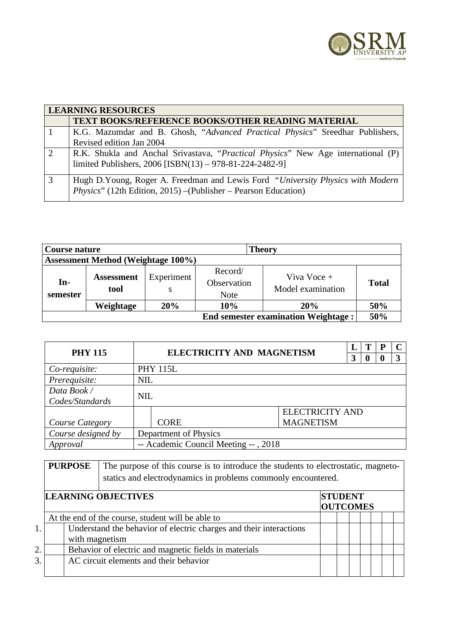

|   | <b>LEARNING RESOURCES</b>                                                                                                                          |
|---|----------------------------------------------------------------------------------------------------------------------------------------------------|
|   | <b>TEXT BOOKS/REFERENCE BOOKS/OTHER READING MATERIAL</b>                                                                                           |
|   | K.G. Mazumdar and B. Ghosh, "Advanced Practical Physics" Sreedhar Publishers,                                                                      |
|   | Revised edition Jan 2004                                                                                                                           |
| 2 | R.K. Shukla and Anchal Srivastava, "Practical Physics" New Age international (P)                                                                   |
|   | limited Publishers, 2006 [ISBN(13) - 978-81-224-2482-9]                                                                                            |
| 3 | Hugh D.Young, Roger A. Freedman and Lewis Ford "University Physics with Modern"<br>Physics" (12th Edition, 2015) - (Publisher - Pearson Education) |
|   |                                                                                                                                                    |

| Course nature                              |                                           |                 |                                       | <b>Theory</b>                    |              |  |  |  |  |
|--------------------------------------------|-------------------------------------------|-----------------|---------------------------------------|----------------------------------|--------------|--|--|--|--|
|                                            | <b>Assessment Method (Weightage 100%)</b> |                 |                                       |                                  |              |  |  |  |  |
| In-<br>semester                            | <b>Assessment</b><br>tool                 | Experiment<br>S | Record/<br>Observation<br><b>Note</b> | Viva Voce +<br>Model examination | <b>Total</b> |  |  |  |  |
|                                            | Weightage                                 | 20%             | 10%                                   | 20%                              | 50%          |  |  |  |  |
| <b>End semester examination Weightage:</b> |                                           |                 |                                       |                                  |              |  |  |  |  |

| <b>PHY 115</b>                                   | <b>ELECTRICITY AND MAGNETISM</b> |                 |                        |   |          | P |   |  |  |
|--------------------------------------------------|----------------------------------|-----------------|------------------------|---|----------|---|---|--|--|
|                                                  |                                  |                 |                        | 3 | $\bf{0}$ | o | 3 |  |  |
| Co-requisite:                                    |                                  | <b>PHY 115L</b> |                        |   |          |   |   |  |  |
| Prerequisite:                                    | <b>NIL</b>                       |                 |                        |   |          |   |   |  |  |
| Data Book /                                      |                                  | <b>NIL</b>      |                        |   |          |   |   |  |  |
| Codes/Standards                                  |                                  |                 |                        |   |          |   |   |  |  |
|                                                  |                                  |                 | <b>ELECTRICITY AND</b> |   |          |   |   |  |  |
| Course Category                                  |                                  | <b>CORE</b>     | <b>MAGNETISM</b>       |   |          |   |   |  |  |
| Course designed by                               | Department of Physics            |                 |                        |   |          |   |   |  |  |
| -- Academic Council Meeting --, 2018<br>Approval |                                  |                 |                        |   |          |   |   |  |  |

|    | <b>PURPOSE</b>                                    |                                                       | The purpose of this course is to introduce the students to electrostatic, magneto-<br>statics and electrodynamics in problems commonly encountered. |                 |  |  |  |  |  |  |  |
|----|---------------------------------------------------|-------------------------------------------------------|-----------------------------------------------------------------------------------------------------------------------------------------------------|-----------------|--|--|--|--|--|--|--|
|    | <b>LEARNING OBJECTIVES</b><br><b>STUDENT</b>      |                                                       |                                                                                                                                                     |                 |  |  |  |  |  |  |  |
|    |                                                   |                                                       |                                                                                                                                                     | <b>OUTCOMES</b> |  |  |  |  |  |  |  |
|    | At the end of the course, student will be able to |                                                       |                                                                                                                                                     |                 |  |  |  |  |  |  |  |
| 1. |                                                   |                                                       | Understand the behavior of electric charges and their interactions                                                                                  |                 |  |  |  |  |  |  |  |
|    |                                                   | with magnetism                                        |                                                                                                                                                     |                 |  |  |  |  |  |  |  |
| 2. |                                                   | Behavior of electric and magnetic fields in materials |                                                                                                                                                     |                 |  |  |  |  |  |  |  |
| 3. |                                                   | AC circuit elements and their behavior                |                                                                                                                                                     |                 |  |  |  |  |  |  |  |
|    |                                                   |                                                       |                                                                                                                                                     |                 |  |  |  |  |  |  |  |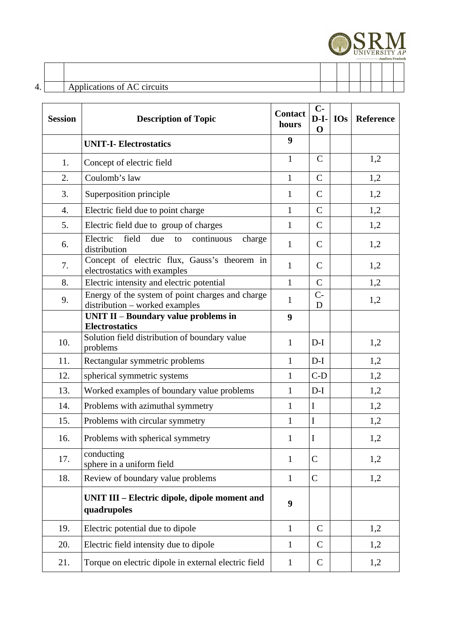

### 4. Applications of AC circuits

| <b>Session</b> | <b>Description of Topic</b>                                                        | <b>Contact</b><br>hours | $C-$<br>$D-I-$<br>$\mathbf 0$ | <b>IOs</b> | Reference |
|----------------|------------------------------------------------------------------------------------|-------------------------|-------------------------------|------------|-----------|
|                | <b>UNIT-I- Electrostatics</b>                                                      | 9                       |                               |            |           |
| 1.             | Concept of electric field                                                          | $\mathbf{1}$            | $\mathsf{C}$                  |            | 1,2       |
| 2.             | Coulomb's law                                                                      | $\mathbf{1}$            | $\mathsf{C}$                  |            | 1,2       |
| 3.             | Superposition principle                                                            | $\mathbf{1}$            | $\mathsf{C}$                  |            | 1,2       |
| 4.             | Electric field due to point charge                                                 | $\mathbf{1}$            | $\mathsf{C}$                  |            | 1,2       |
| 5.             | Electric field due to group of charges                                             | $\mathbf{1}$            | $\mathsf{C}$                  |            | 1,2       |
| 6.             | field<br>Electric<br>due<br>continuous<br>charge<br>to<br>distribution             | $\mathbf{1}$            | $\mathsf{C}$                  |            | 1,2       |
| 7.             | Concept of electric flux, Gauss's theorem in<br>electrostatics with examples       | $\mathbf{1}$            | $\mathsf{C}$                  |            | 1,2       |
| 8.             | Electric intensity and electric potential                                          | $\mathbf{1}$            | $\mathsf{C}$                  |            | 1,2       |
| 9.             | Energy of the system of point charges and charge<br>distribution - worked examples | $\mathbf{1}$            | $C -$<br>D                    |            | 1,2       |
|                | <b>UNIT II - Boundary value problems in</b><br><b>Electrostatics</b>               | 9                       |                               |            |           |
| 10.            | Solution field distribution of boundary value<br>problems                          | $\mathbf{1}$            | $D-I$                         |            | 1,2       |
| 11.            | Rectangular symmetric problems                                                     | $\mathbf{1}$            | $D-I$                         |            | 1,2       |
| 12.            | spherical symmetric systems                                                        | $\mathbf{1}$            | $C-D$                         |            | 1,2       |
| 13.            | Worked examples of boundary value problems                                         | $\mathbf{1}$            | $D-I$                         |            | 1,2       |
| 14.            | Problems with azimuthal symmetry                                                   | $\mathbf{1}$            | $\mathbf I$                   |            | 1,2       |
| 15.            | Problems with circular symmetry                                                    | $\mathbf{1}$            | $\bf I$                       |            | 1,2       |
| 16.            | Problems with spherical symmetry                                                   | $\mathbf{1}$            | I                             |            | 1,2       |
| 17.            | conducting<br>sphere in a uniform field                                            | $\mathbf{1}$            | C                             |            | 1,2       |
| 18.            | Review of boundary value problems                                                  | $\mathbf{1}$            | $\mathsf{C}$                  |            | 1,2       |
|                | UNIT III - Electric dipole, dipole moment and<br>quadrupoles                       | 9                       |                               |            |           |
| 19.            | Electric potential due to dipole                                                   | $\mathbf{1}$            | $\mathsf{C}$                  |            | 1,2       |
| 20.            | Electric field intensity due to dipole                                             | $\mathbf{1}$            | C                             |            | 1,2       |
| 21.            | Torque on electric dipole in external electric field                               | $\mathbf{1}$            | C                             |            | 1,2       |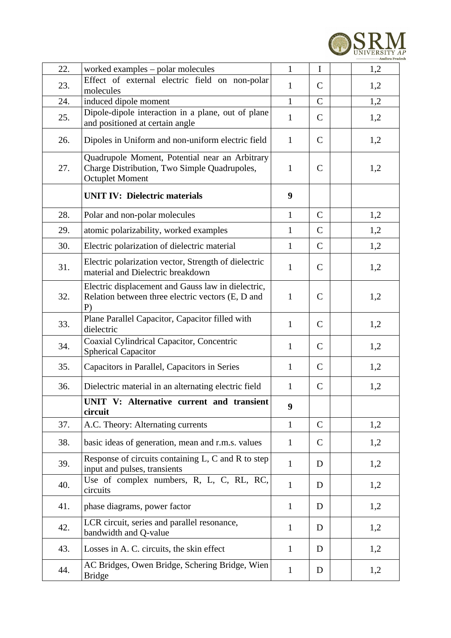

| 22. | worked examples - polar molecules                                                                                        | $\mathbf{1}$ | I            | 1,2 |
|-----|--------------------------------------------------------------------------------------------------------------------------|--------------|--------------|-----|
| 23. | Effect of external electric field on non-polar                                                                           | $\mathbf{1}$ | $\mathsf{C}$ | 1,2 |
|     | molecules                                                                                                                |              |              |     |
| 24. | induced dipole moment<br>Dipole-dipole interaction in a plane, out of plane                                              | $\mathbf{1}$ | $\mathsf C$  | 1,2 |
| 25. | and positioned at certain angle                                                                                          | $\mathbf{1}$ | $\mathsf{C}$ | 1,2 |
| 26. | Dipoles in Uniform and non-uniform electric field                                                                        | $\mathbf{1}$ | $\mathsf{C}$ | 1,2 |
| 27. | Quadrupole Moment, Potential near an Arbitrary<br>Charge Distribution, Two Simple Quadrupoles,<br><b>Octuplet Moment</b> | $\mathbf{1}$ | $\mathsf{C}$ | 1,2 |
|     | <b>UNIT IV: Dielectric materials</b>                                                                                     | 9            |              |     |
| 28. | Polar and non-polar molecules                                                                                            | $\mathbf{1}$ | C            | 1,2 |
| 29. | atomic polarizability, worked examples                                                                                   | $\mathbf{1}$ | C            | 1,2 |
| 30. | Electric polarization of dielectric material                                                                             | $\mathbf{1}$ | $\mathsf{C}$ | 1,2 |
| 31. | Electric polarization vector, Strength of dielectric<br>material and Dielectric breakdown                                | $\mathbf{1}$ | C            | 1,2 |
| 32. | Electric displacement and Gauss law in dielectric,<br>Relation between three electric vectors (E, D and<br>P)            | $\mathbf{1}$ | C            | 1,2 |
| 33. | Plane Parallel Capacitor, Capacitor filled with<br>dielectric                                                            | $\mathbf{1}$ | $\mathsf{C}$ | 1,2 |
| 34. | Coaxial Cylindrical Capacitor, Concentric<br><b>Spherical Capacitor</b>                                                  | $\mathbf{1}$ | $\mathsf{C}$ | 1,2 |
| 35. | Capacitors in Parallel, Capacitors in Series                                                                             | $\mathbf{1}$ | C            | 1,2 |
| 36. | Dielectric material in an alternating electric field                                                                     | $\mathbf{1}$ | $\mathsf{C}$ | 1,2 |
|     | UNIT V: Alternative current and transient<br>circuit                                                                     | 9            |              |     |
| 37. | A.C. Theory: Alternating currents                                                                                        | $\mathbf{1}$ | $\mathsf{C}$ | 1,2 |
| 38. | basic ideas of generation, mean and r.m.s. values                                                                        | $\mathbf{1}$ | C            | 1,2 |
| 39. | Response of circuits containing L, C and R to step<br>input and pulses, transients                                       | $\mathbf{1}$ | D            | 1,2 |
| 40. | Use of complex numbers, R, L, C, RL, RC,<br>circuits                                                                     | $\mathbf{1}$ | D            | 1,2 |
| 41. | phase diagrams, power factor                                                                                             | $\mathbf{1}$ | D            | 1,2 |
| 42. | LCR circuit, series and parallel resonance,<br>bandwidth and Q-value                                                     | 1            | D            | 1,2 |
| 43. | Losses in A. C. circuits, the skin effect                                                                                | $\mathbf{1}$ | D            | 1,2 |
| 44. | AC Bridges, Owen Bridge, Schering Bridge, Wien<br><b>Bridge</b>                                                          | $\mathbf{1}$ | D            | 1,2 |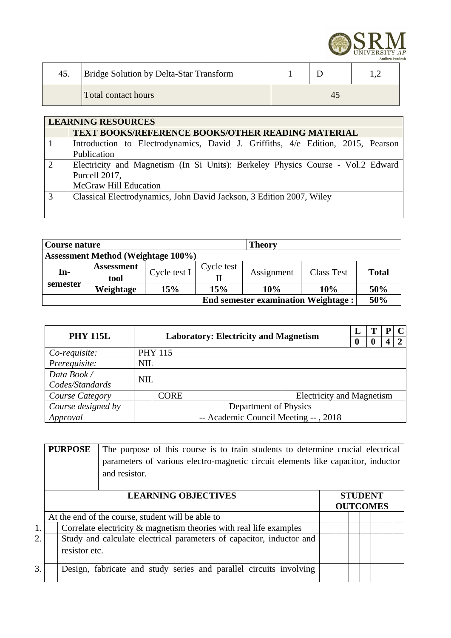

| 45. | <b>Bridge Solution by Delta-Star Transform</b> |  |    |  |
|-----|------------------------------------------------|--|----|--|
|     | Total contact hours                            |  | 45 |  |

|   | <b>LEARNING RESOURCES</b>                                                       |  |  |  |  |  |  |  |  |  |  |
|---|---------------------------------------------------------------------------------|--|--|--|--|--|--|--|--|--|--|
|   | <b>TEXT BOOKS/REFERENCE BOOKS/OTHER READING MATERIAL</b>                        |  |  |  |  |  |  |  |  |  |  |
|   | Introduction to Electrodynamics, David J. Griffiths, 4/e Edition, 2015, Pearson |  |  |  |  |  |  |  |  |  |  |
|   | Publication                                                                     |  |  |  |  |  |  |  |  |  |  |
| 2 | Electricity and Magnetism (In Si Units): Berkeley Physics Course - Vol.2 Edward |  |  |  |  |  |  |  |  |  |  |
|   | Purcell 2017,                                                                   |  |  |  |  |  |  |  |  |  |  |
|   | <b>McGraw Hill Education</b>                                                    |  |  |  |  |  |  |  |  |  |  |
| 3 | Classical Electrodynamics, John David Jackson, 3 Edition 2007, Wiley            |  |  |  |  |  |  |  |  |  |  |
|   |                                                                                 |  |  |  |  |  |  |  |  |  |  |
|   |                                                                                 |  |  |  |  |  |  |  |  |  |  |

| <b>Theory</b><br>Course nature             |                   |              |            |            |            |       |  |
|--------------------------------------------|-------------------|--------------|------------|------------|------------|-------|--|
| <b>Assessment Method (Weightage 100%)</b>  |                   |              |            |            |            |       |  |
| In-                                        | <b>Assessment</b> |              | Cycle test |            |            |       |  |
|                                            | tool              | Cycle test I |            | Assignment | Class Test | Total |  |
| semester                                   | Weightage         | 15%          | 15%        | 10%        | 10%        | 50%   |  |
| <b>End semester examination Weightage:</b> |                   |              |            |            |            |       |  |

| <b>PHY 115L</b>    |            | <b>Laboratory: Electricity and Magnetism</b> |                                  |   |  |   |
|--------------------|------------|----------------------------------------------|----------------------------------|---|--|---|
|                    |            |                                              |                                  | 0 |  | ר |
| Co-requisite:      |            | <b>PHY 115</b>                               |                                  |   |  |   |
| Prerequisite:      | <b>NIL</b> |                                              |                                  |   |  |   |
| Data Book /        | <b>NIL</b> |                                              |                                  |   |  |   |
| Codes/Standards    |            |                                              |                                  |   |  |   |
| Course Category    |            | <b>CORE</b>                                  | <b>Electricity and Magnetism</b> |   |  |   |
| Course designed by |            | Department of Physics                        |                                  |   |  |   |
| Approval           |            | -- Academic Council Meeting --, 2018         |                                  |   |  |   |

|    | <b>PURPOSE</b> | The purpose of this course is to train students to determine crucial electrical<br>parameters of various electro-magnetic circuit elements like capacitor, inductor |  |                                   |  |  |
|----|----------------|---------------------------------------------------------------------------------------------------------------------------------------------------------------------|--|-----------------------------------|--|--|
|    |                | <b>LEARNING OBJECTIVES</b>                                                                                                                                          |  | <b>STUDENT</b><br><b>OUTCOMES</b> |  |  |
|    |                | At the end of the course, student will be able to                                                                                                                   |  |                                   |  |  |
| 1. |                | Correlate electricity & magnetism theories with real life examples                                                                                                  |  |                                   |  |  |
| 2. | resistor etc.  | Study and calculate electrical parameters of capacitor, inductor and                                                                                                |  |                                   |  |  |
| 3. |                | Design, fabricate and study series and parallel circuits involving                                                                                                  |  |                                   |  |  |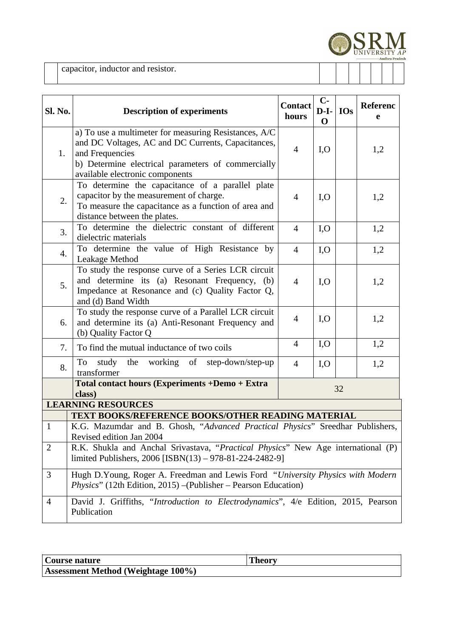

capacitor, inductor and resistor.

| Sl. No.                                                                                                                                                                                                             | <b>Description of experiments</b>                                                                                                                                                                                       | <b>Contact</b><br>hours       | $C-$<br>$D-I-$<br>$\Omega$ | <b>IOs</b> | Referenc<br>e |
|---------------------------------------------------------------------------------------------------------------------------------------------------------------------------------------------------------------------|-------------------------------------------------------------------------------------------------------------------------------------------------------------------------------------------------------------------------|-------------------------------|----------------------------|------------|---------------|
| 1.                                                                                                                                                                                                                  | a) To use a multimeter for measuring Resistances, A/C<br>and DC Voltages, AC and DC Currents, Capacitances,<br>and Frequencies<br>b) Determine electrical parameters of commercially<br>available electronic components | $\overline{4}$                | I, O                       |            | 1,2           |
| To determine the capacitance of a parallel plate<br>capacitor by the measurement of charge.<br>I, O<br>$\overline{4}$<br>2.<br>To measure the capacitance as a function of area and<br>distance between the plates. |                                                                                                                                                                                                                         |                               |                            |            | 1,2           |
| 3.                                                                                                                                                                                                                  | To determine the dielectric constant of different<br>dielectric materials                                                                                                                                               | $\overline{4}$                | I, O                       |            | 1,2           |
| 4.                                                                                                                                                                                                                  | To determine the value of High Resistance by<br>Leakage Method                                                                                                                                                          | $\overline{4}$                | I, O                       |            | 1,2           |
| 5.                                                                                                                                                                                                                  | To study the response curve of a Series LCR circuit<br>and determine its (a) Resonant Frequency, (b)<br>Impedance at Resonance and (c) Quality Factor Q,<br>and (d) Band Width                                          | I, O<br>$\overline{4}$<br>1,2 |                            |            |               |
| 6.                                                                                                                                                                                                                  | To study the response curve of a Parallel LCR circuit<br>and determine its (a) Anti-Resonant Frequency and<br>(b) Quality Factor Q                                                                                      | I, O<br>$\overline{4}$        |                            |            | 1,2           |
| 7.                                                                                                                                                                                                                  | To find the mutual inductance of two coils                                                                                                                                                                              | $\overline{4}$                | I, O                       |            | 1,2           |
| 8.                                                                                                                                                                                                                  | the working of step-down/step-up<br>study<br>To<br>transformer                                                                                                                                                          | $\overline{4}$                | I, O                       |            | 1,2           |
|                                                                                                                                                                                                                     | Total contact hours (Experiments +Demo + Extra<br>class)                                                                                                                                                                |                               |                            | 32         |               |
|                                                                                                                                                                                                                     | <b>LEARNING RESOURCES</b><br>TEXT BOOKS/REFERENCE BOOKS/OTHER READING MATERIAL                                                                                                                                          |                               |                            |            |               |
| $\mathbf{1}$                                                                                                                                                                                                        | K.G. Mazumdar and B. Ghosh, "Advanced Practical Physics" Sreedhar Publishers,<br>Revised edition Jan 2004                                                                                                               |                               |                            |            |               |
| $\overline{2}$                                                                                                                                                                                                      | R.K. Shukla and Anchal Srivastava, "Practical Physics" New Age international (P)<br>limited Publishers, 2006 [ISBN(13) - 978-81-224-2482-9]                                                                             |                               |                            |            |               |
| 3                                                                                                                                                                                                                   | Hugh D.Young, Roger A. Freedman and Lewis Ford "University Physics with Modern<br>Physics" (12th Edition, 2015) - (Publisher - Pearson Education)                                                                       |                               |                            |            |               |
| $\overline{4}$                                                                                                                                                                                                      | David J. Griffiths, "Introduction to Electrodynamics", 4/e Edition, 2015, Pearson<br>Publication                                                                                                                        |                               |                            |            |               |

| Course nature                      |  |
|------------------------------------|--|
| Assessment Method (Weightage 100%) |  |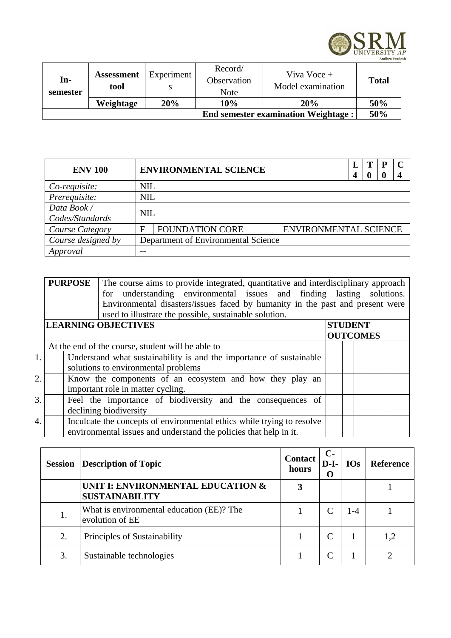

| In-<br>semester | <b>Assessment</b><br>tool | Experiment | Record/<br>Observation<br><b>Note</b> | Viva Voce +<br>Model examination           | <b>Total</b> |
|-----------------|---------------------------|------------|---------------------------------------|--------------------------------------------|--------------|
|                 | Weightage                 | 20%        | 10%                                   | <b>20%</b>                                 | 50%          |
|                 |                           |            |                                       | <b>End semester examination Weightage:</b> | 50%          |

| <b>ENV 100</b>     |                                     | <b>ENVIRONMENTAL SCIENCE</b> |                       |  |  |  |  |  |
|--------------------|-------------------------------------|------------------------------|-----------------------|--|--|--|--|--|
|                    |                                     |                              |                       |  |  |  |  |  |
| Co-requisite:      | <b>NIL</b>                          |                              |                       |  |  |  |  |  |
| Prerequisite:      | <b>NIL</b>                          |                              |                       |  |  |  |  |  |
| Data Book /        |                                     | <b>NIL</b>                   |                       |  |  |  |  |  |
| Codes/Standards    |                                     |                              |                       |  |  |  |  |  |
| Course Category    | F                                   | <b>FOUNDATION CORE</b>       | ENVIRONMENTAL SCIENCE |  |  |  |  |  |
| Course designed by | Department of Environmental Science |                              |                       |  |  |  |  |  |
| Approval           | --                                  |                              |                       |  |  |  |  |  |

|    | <b>PURPOSE</b> | The course aims to provide integrated, quantitative and interdisciplinary approach<br>for understanding environmental issues and finding lasting solutions.<br>Environmental disasters/issues faced by humanity in the past and present were<br>used to illustrate the possible, sustainable solution. |                |  |                 |  |  |  |  |  |
|----|----------------|--------------------------------------------------------------------------------------------------------------------------------------------------------------------------------------------------------------------------------------------------------------------------------------------------------|----------------|--|-----------------|--|--|--|--|--|
|    |                | <b>LEARNING OBJECTIVES</b>                                                                                                                                                                                                                                                                             | <b>STUDENT</b> |  |                 |  |  |  |  |  |
|    |                |                                                                                                                                                                                                                                                                                                        |                |  | <b>OUTCOMES</b> |  |  |  |  |  |
|    |                | At the end of the course, student will be able to                                                                                                                                                                                                                                                      |                |  |                 |  |  |  |  |  |
| 1. |                | Understand what sustainability is and the importance of sustainable                                                                                                                                                                                                                                    |                |  |                 |  |  |  |  |  |
|    |                | solutions to environmental problems                                                                                                                                                                                                                                                                    |                |  |                 |  |  |  |  |  |
| 2. |                | Know the components of an ecosystem and how they play an                                                                                                                                                                                                                                               |                |  |                 |  |  |  |  |  |
|    |                | important role in matter cycling.                                                                                                                                                                                                                                                                      |                |  |                 |  |  |  |  |  |
| 3. |                | Feel the importance of biodiversity and the consequences of                                                                                                                                                                                                                                            |                |  |                 |  |  |  |  |  |
|    |                | declining biodiversity                                                                                                                                                                                                                                                                                 |                |  |                 |  |  |  |  |  |
| 4. |                | Inculcate the concepts of environmental ethics while trying to resolve                                                                                                                                                                                                                                 |                |  |                 |  |  |  |  |  |
|    |                | environmental issues and understand the policies that help in it.                                                                                                                                                                                                                                      |                |  |                 |  |  |  |  |  |

| <b>Session</b> | <b>Contact</b><br><b>Description of Topic</b>                |   | $C-$<br>$D-I-$<br>O | <b>IOs</b> | <b>Reference</b> |
|----------------|--------------------------------------------------------------|---|---------------------|------------|------------------|
|                | UNIT I: ENVIRONMENTAL EDUCATION &<br><b>SUSTAINABILITY</b>   | 3 |                     |            |                  |
| 1.             | What is environmental education (EE)? The<br>evolution of EE |   |                     | 1-4        |                  |
| 2.             | Principles of Sustainability                                 |   |                     |            | 1,2              |
| 3.             | Sustainable technologies                                     |   |                     |            |                  |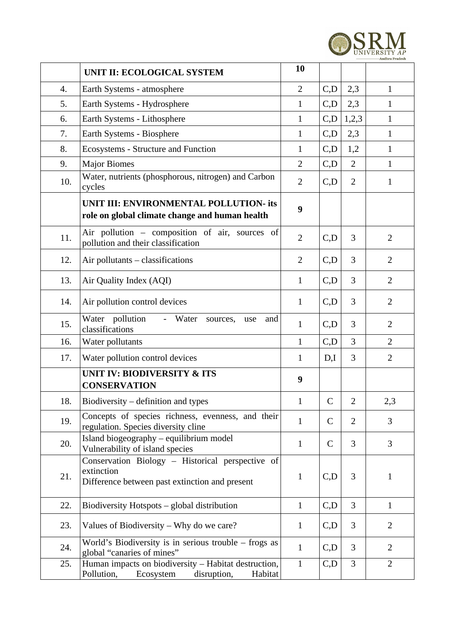

|     | UNIT II: ECOLOGICAL SYSTEM                                                                                       | 10             |              |                |                |
|-----|------------------------------------------------------------------------------------------------------------------|----------------|--------------|----------------|----------------|
| 4.  | Earth Systems - atmosphere                                                                                       | $\overline{2}$ | C, D         | 2,3            | $\mathbf{1}$   |
| 5.  | Earth Systems - Hydrosphere                                                                                      | $\mathbf{1}$   | C,D          | 2,3            | 1              |
| 6.  | Earth Systems - Lithosphere                                                                                      | $\mathbf{1}$   | C, D         | 1,2,3          | $\mathbf{1}$   |
| 7.  | Earth Systems - Biosphere                                                                                        | $\mathbf{1}$   | C, D         | 2,3            | $\mathbf{1}$   |
| 8.  | <b>Ecosystems - Structure and Function</b>                                                                       | $\mathbf{1}$   | C, D         | 1,2            | $\mathbf{1}$   |
| 9.  | <b>Major Biomes</b>                                                                                              | $\overline{2}$ | C, D         | $\overline{2}$ | $\mathbf{1}$   |
| 10. | Water, nutrients (phosphorous, nitrogen) and Carbon<br>cycles                                                    | $\overline{2}$ | C, D         | $\overline{2}$ | $\mathbf{1}$   |
|     | UNIT III: ENVIRONMENTAL POLLUTION- its<br>role on global climate change and human health                         | 9              |              |                |                |
| 11. | Air pollution - composition of air, sources of<br>pollution and their classification                             | $\overline{2}$ | C, D         | 3              | $\overline{2}$ |
| 12. | Air pollutants - classifications                                                                                 | $\overline{2}$ | C, D         | 3              | 2              |
| 13. | Air Quality Index (AQI)                                                                                          | $\mathbf{1}$   | C, D         | 3              | $\overline{2}$ |
| 14. | Air pollution control devices                                                                                    | $\mathbf{1}$   | C, D         | 3              | $\overline{2}$ |
| 15. | pollution<br>Water<br>- Water<br>sources,<br>use<br>and<br>classifications                                       | $\mathbf{1}$   | C, D         | 3              | $\overline{2}$ |
| 16. | Water pollutants                                                                                                 | $\mathbf{1}$   | C, D         | 3              | $\overline{2}$ |
| 17. | Water pollution control devices                                                                                  | $\mathbf{1}$   | D,I          | 3              | $\overline{2}$ |
|     | <b>UNIT IV: BIODIVERSITY &amp; ITS</b><br><b>CONSERVATION</b>                                                    | 9              |              |                |                |
| 18. | Biodiversity – definition and types                                                                              | $\mathbf{1}$   | $\mathsf C$  | 2              | 2,3            |
| 19. | Concepts of species richness, evenness, and their<br>regulation. Species diversity cline                         | $\mathbf{1}$   | $\mathsf{C}$ | $\overline{2}$ | 3              |
| 20. | Island biogeography - equilibrium model<br>Vulnerability of island species                                       | $\mathbf{1}$   | $\mathsf{C}$ | 3              | 3              |
| 21. | Conservation Biology - Historical perspective of<br>extinction<br>Difference between past extinction and present | $\mathbf{1}$   | C, D         | 3              | $\mathbf{1}$   |
| 22. | Biodiversity Hotspots - global distribution                                                                      | $\mathbf{1}$   | C, D         | 3              | $\mathbf{1}$   |
| 23. | Values of Biodiversity – Why do we care?                                                                         | $\mathbf{1}$   | C, D         | 3              | $\overline{2}$ |
| 24. | World's Biodiversity is in serious trouble $-$ frogs as<br>global "canaries of mines"                            | $\mathbf{1}$   | C, D         | 3              | $\overline{2}$ |
| 25. | Human impacts on biodiversity - Habitat destruction,<br>Pollution,<br>disruption,<br>Ecosystem<br>Habitat        | $\mathbf{1}$   | C, D         | 3              | $\overline{2}$ |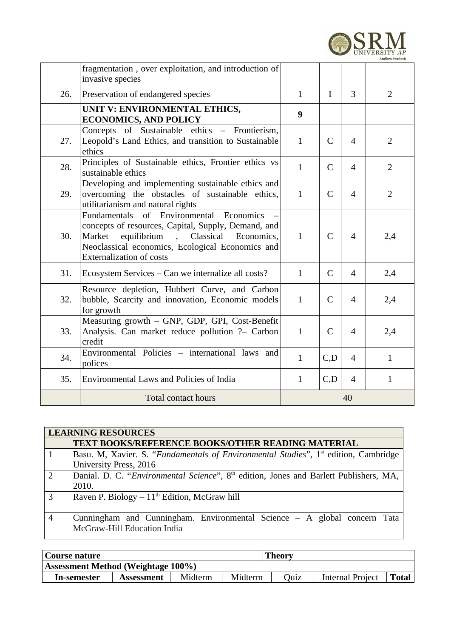

|     | fragmentation, over exploitation, and introduction of<br>invasive species                                                                                                                                                                                             |              |              |                |                |
|-----|-----------------------------------------------------------------------------------------------------------------------------------------------------------------------------------------------------------------------------------------------------------------------|--------------|--------------|----------------|----------------|
| 26. | Preservation of endangered species                                                                                                                                                                                                                                    | $\mathbf{1}$ | $\mathbf I$  | 3              | $\overline{2}$ |
|     | UNIT V: ENVIRONMENTAL ETHICS,<br><b>ECONOMICS, AND POLICY</b>                                                                                                                                                                                                         | 9            |              |                |                |
| 27. | Concepts of Sustainable ethics - Frontierism,<br>Leopold's Land Ethics, and transition to Sustainable<br>ethics                                                                                                                                                       | $\mathbf{1}$ | $\mathsf{C}$ | $\overline{4}$ | $\overline{2}$ |
| 28. | Principles of Sustainable ethics, Frontier ethics vs<br>sustainable ethics                                                                                                                                                                                            | $\mathbf{1}$ | $\mathsf{C}$ | $\overline{4}$ | $\overline{2}$ |
| 29. | Developing and implementing sustainable ethics and<br>overcoming the obstacles of sustainable ethics,<br>utilitarianism and natural rights                                                                                                                            | $\mathbf{1}$ | $\mathsf{C}$ | $\overline{4}$ | $\overline{2}$ |
| 30. | Fundamentals of Environmental Economics<br>concepts of resources, Capital, Supply, Demand, and<br>Market<br>equilibrium<br>Classical<br>Economics,<br>$\overline{\phantom{a}}$<br>Neoclassical economics, Ecological Economics and<br><b>Externalization of costs</b> | $\mathbf{1}$ | $\mathsf{C}$ | $\overline{4}$ | 2,4            |
| 31. | Ecosystem Services - Can we internalize all costs?                                                                                                                                                                                                                    | $\mathbf{1}$ | $\mathsf{C}$ | $\overline{4}$ | 2,4            |
| 32. | Resource depletion, Hubbert Curve, and Carbon<br>bubble, Scarcity and innovation, Economic models<br>for growth                                                                                                                                                       | $\mathbf{1}$ | $\mathsf{C}$ | $\overline{4}$ | 2,4            |
| 33. | Measuring growth - GNP, GDP, GPI, Cost-Benefit<br>Analysis. Can market reduce pollution ?- Carbon<br>credit                                                                                                                                                           | $\mathbf{1}$ | $\mathsf{C}$ | $\overline{4}$ | 2,4            |
| 34. | Environmental Policies - international laws and<br>polices                                                                                                                                                                                                            | $\mathbf{1}$ | C,D          | $\overline{4}$ | $\mathbf{1}$   |
| 35. | Environmental Laws and Policies of India                                                                                                                                                                                                                              | $\mathbf{1}$ | C, D         | $\overline{4}$ | $\mathbf{1}$   |
|     | Total contact hours                                                                                                                                                                                                                                                   |              |              | 40             |                |

|                | <b>LEARNING RESOURCES</b>                                                                         |  |  |  |  |  |  |  |
|----------------|---------------------------------------------------------------------------------------------------|--|--|--|--|--|--|--|
|                | <b>TEXT BOOKS/REFERENCE BOOKS/OTHER READING MATERIAL</b>                                          |  |  |  |  |  |  |  |
|                | Basu. M, Xavier. S. "Fundamentals of Environmental Studies", 1 <sup>st</sup> edition, Cambridge   |  |  |  |  |  |  |  |
|                | <b>University Press, 2016</b>                                                                     |  |  |  |  |  |  |  |
| 2              | Danial. D. C. "Environmental Science", 8 <sup>th</sup> edition, Jones and Barlett Publishers, MA, |  |  |  |  |  |  |  |
|                | 2010.                                                                                             |  |  |  |  |  |  |  |
| 3              | Raven P. Biology $-11th$ Edition, McGraw hill                                                     |  |  |  |  |  |  |  |
|                |                                                                                                   |  |  |  |  |  |  |  |
| $\overline{4}$ | Cunningham and Cunningham. Environmental Science - A global concern Tata                          |  |  |  |  |  |  |  |
|                | McGraw-Hill Education India                                                                       |  |  |  |  |  |  |  |

| Course nature                      |            |         | Theory  |             |                  |       |
|------------------------------------|------------|---------|---------|-------------|------------------|-------|
| Assessment Method (Weightage 100%) |            |         |         |             |                  |       |
| In-semester                        | Assessment | Midterm | Midterm | <b>Ouiz</b> | Internal Project | Total |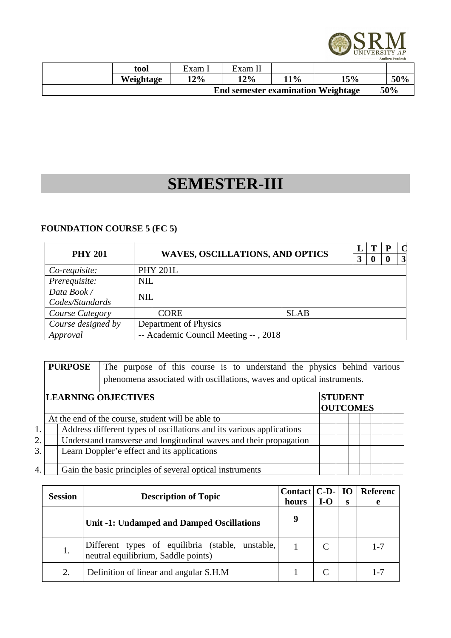

| tool      | $Exam$ . | Exam II |     |                                           |     |     |
|-----------|----------|---------|-----|-------------------------------------------|-----|-----|
| Weightage | 12%      | 12%     | 11% | 15%                                       |     | 50% |
|           |          |         |     | <b>End semester examination Weightage</b> | 50% |     |

### **SEMESTER-III**

### **FOUNDATION COURSE 5 (FC 5)**

| <b>PHY 201</b>                                   |            | <b>WAVES, OSCILLATIONS, AND OPTICS</b> |             |  | 0 | - P<br>0 | $\vert 3 \vert$ |
|--------------------------------------------------|------------|----------------------------------------|-------------|--|---|----------|-----------------|
| Co-requisite:                                    |            | <b>PHY 201L</b>                        |             |  |   |          |                 |
| Prerequisite:<br><b>NIL</b>                      |            |                                        |             |  |   |          |                 |
| Data Book /<br>Codes/Standards                   | <b>NIL</b> |                                        |             |  |   |          |                 |
| Course Category                                  |            | <b>CORE</b>                            | <b>SLAB</b> |  |   |          |                 |
| Course designed by                               |            | Department of Physics                  |             |  |   |          |                 |
| -- Academic Council Meeting --, 2018<br>Approval |            |                                        |             |  |   |          |                 |

|    |                                                                 | <b>PURPOSE</b><br>The purpose of this course is to understand the physics behind various<br>phenomena associated with oscillations, waves and optical instruments. |                                                                      |  |  |  |  |  |  |  |  |
|----|-----------------------------------------------------------------|--------------------------------------------------------------------------------------------------------------------------------------------------------------------|----------------------------------------------------------------------|--|--|--|--|--|--|--|--|
|    | <b>LEARNING OBJECTIVES</b><br><b>STUDENT</b><br><b>OUTCOMES</b> |                                                                                                                                                                    |                                                                      |  |  |  |  |  |  |  |  |
|    |                                                                 |                                                                                                                                                                    | At the end of the course, student will be able to                    |  |  |  |  |  |  |  |  |
| 1. |                                                                 |                                                                                                                                                                    | Address different types of oscillations and its various applications |  |  |  |  |  |  |  |  |
| 2. |                                                                 |                                                                                                                                                                    | Understand transverse and longitudinal waves and their propagation   |  |  |  |  |  |  |  |  |
| 3. |                                                                 |                                                                                                                                                                    | Learn Doppler'e effect and its applications                          |  |  |  |  |  |  |  |  |
| 4. |                                                                 |                                                                                                                                                                    | Gain the basic principles of several optical instruments             |  |  |  |  |  |  |  |  |

| <b>Session</b> | <b>Description of Topic</b>                                                             |            | Contact $ C-D- $<br>I-O | <b>IO</b><br>s | <b>Referenc</b><br>e |
|----------------|-----------------------------------------------------------------------------------------|------------|-------------------------|----------------|----------------------|
|                | <b>Unit -1: Undamped and Damped Oscillations</b>                                        | hours<br>9 |                         |                |                      |
| 1.             | Different types of equilibria (stable, unstable,<br>neutral equilibrium, Saddle points) |            |                         |                | $1 - 7$              |
| 2.             | Definition of linear and angular S.H.M                                                  |            |                         |                | $1 - 7$              |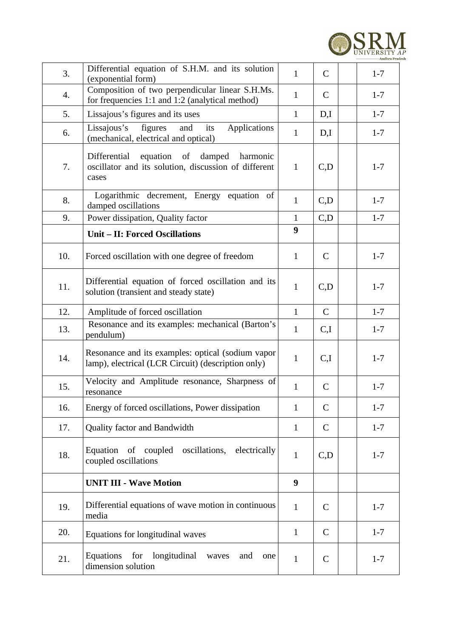

| 3.  | Differential equation of S.H.M. and its solution<br>(exponential form)                                             | $\mathbf{1}$ | $\mathsf{C}$ | $1 - 7$ |
|-----|--------------------------------------------------------------------------------------------------------------------|--------------|--------------|---------|
| 4.  | Composition of two perpendicular linear S.H.Ms.<br>for frequencies 1:1 and 1:2 (analytical method)                 | $\mathbf{1}$ | $\mathsf{C}$ | $1 - 7$ |
| 5.  | Lissajous's figures and its uses                                                                                   | $\mathbf{1}$ | D,I          | $1 - 7$ |
| 6.  | figures<br>Lissajous's<br>and<br>its<br><b>Applications</b><br>(mechanical, electrical and optical)                | $\mathbf{1}$ | D,I          | $1 - 7$ |
| 7.  | equation of<br>Differential<br>damped<br>harmonic<br>oscillator and its solution, discussion of different<br>cases | $\mathbf{1}$ | C, D         | $1 - 7$ |
| 8.  | Logarithmic decrement, Energy equation of<br>damped oscillations                                                   | $\mathbf{1}$ | C, D         | $1 - 7$ |
| 9.  | Power dissipation, Quality factor                                                                                  | $\mathbf{1}$ | C, D         | $1 - 7$ |
|     | <b>Unit - II: Forced Oscillations</b>                                                                              | 9            |              |         |
| 10. | Forced oscillation with one degree of freedom                                                                      | $\mathbf{1}$ | $\mathsf{C}$ | $1 - 7$ |
| 11. | Differential equation of forced oscillation and its<br>solution (transient and steady state)                       | $\mathbf{1}$ | C, D         | $1 - 7$ |
| 12. | Amplitude of forced oscillation                                                                                    | $\mathbf{1}$ | $\mathsf{C}$ | $1 - 7$ |
| 13. | Resonance and its examples: mechanical (Barton's<br>pendulum)                                                      | $\mathbf{1}$ | C,I          | $1 - 7$ |
| 14. | Resonance and its examples: optical (sodium vapor<br>lamp), electrical (LCR Circuit) (description only)            | $\mathbf{1}$ | C,I          | $1 - 7$ |
| 15. | Velocity and Amplitude resonance, Sharpness of<br>resonance                                                        | $\mathbf{1}$ | $\mathsf{C}$ | $1 - 7$ |
| 16. | Energy of forced oscillations, Power dissipation                                                                   | $\mathbf{1}$ | C            | $1 - 7$ |
| 17. | Quality factor and Bandwidth                                                                                       | $\mathbf{1}$ | C            | $1 - 7$ |
| 18. | Equation of coupled oscillations,<br>electrically<br>coupled oscillations                                          | $\mathbf{1}$ | C, D         | $1 - 7$ |
|     | <b>UNIT III - Wave Motion</b>                                                                                      | 9            |              |         |
| 19. | Differential equations of wave motion in continuous<br>media                                                       | $\mathbf{1}$ | $\mathsf{C}$ | $1 - 7$ |
| 20. | Equations for longitudinal waves                                                                                   | $\mathbf{1}$ | $\mathsf{C}$ | $1 - 7$ |
| 21. | Equations<br>for<br>longitudinal<br>waves<br>and<br>one<br>dimension solution                                      | $\mathbf{1}$ | $\mathsf{C}$ | $1 - 7$ |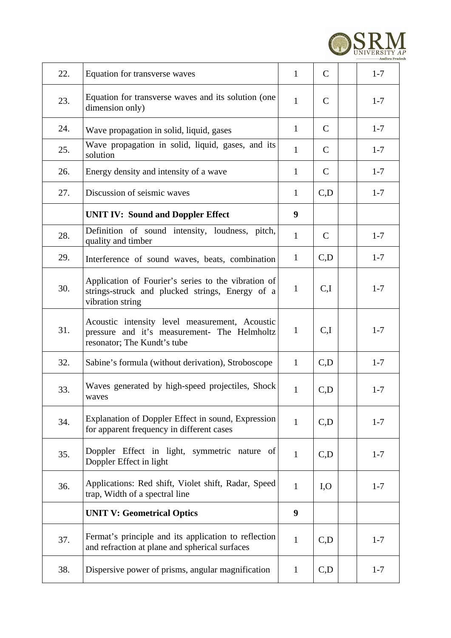

| 22. | Equation for transverse waves                                                                                                 | $\mathbf{1}$ | $\overline{C}$ | $1 - 7$ |
|-----|-------------------------------------------------------------------------------------------------------------------------------|--------------|----------------|---------|
| 23. | Equation for transverse waves and its solution (one<br>dimension only)                                                        | $\mathbf{1}$ | C              | $1 - 7$ |
| 24. | Wave propagation in solid, liquid, gases                                                                                      | $\mathbf{1}$ | $\mathsf{C}$   | $1 - 7$ |
| 25. | Wave propagation in solid, liquid, gases, and its<br>solution                                                                 | $\mathbf{1}$ | $\mathsf{C}$   | $1 - 7$ |
| 26. | Energy density and intensity of a wave                                                                                        | $\mathbf{1}$ | $\mathsf{C}$   | $1 - 7$ |
| 27. | Discussion of seismic waves                                                                                                   | $\mathbf{1}$ | C, D           | $1 - 7$ |
|     | <b>UNIT IV: Sound and Doppler Effect</b>                                                                                      | 9            |                |         |
| 28. | Definition of sound intensity, loudness, pitch,<br>quality and timber                                                         | $\mathbf{1}$ | $\mathsf{C}$   | $1 - 7$ |
| 29. | Interference of sound waves, beats, combination                                                                               | $\mathbf{1}$ | C, D           | $1 - 7$ |
| 30. | Application of Fourier's series to the vibration of<br>strings-struck and plucked strings, Energy of a<br>vibration string    | $\mathbf{1}$ | C,I            | $1 - 7$ |
| 31. | Acoustic intensity level measurement, Acoustic<br>pressure and it's measurement- The Helmholtz<br>resonator; The Kundt's tube | $\mathbf{1}$ | C,I            | $1 - 7$ |
| 32. | Sabine's formula (without derivation), Stroboscope                                                                            | $\mathbf{1}$ | C, D           | $1 - 7$ |
| 33. | Waves generated by high-speed projectiles, Shock<br>waves                                                                     | $\mathbf{1}$ | C, D           | $1 - 7$ |
| 34. | Explanation of Doppler Effect in sound, Expression<br>for apparent frequency in different cases                               | $\mathbf{1}$ | C, D           | $1 - 7$ |
| 35. | Doppler Effect in light, symmetric nature of<br>Doppler Effect in light                                                       | $\mathbf{1}$ | C, D           | $1 - 7$ |
| 36. | Applications: Red shift, Violet shift, Radar, Speed<br>trap, Width of a spectral line                                         | $\mathbf{1}$ | I, O           | $1 - 7$ |
|     | <b>UNIT V: Geometrical Optics</b>                                                                                             | 9            |                |         |
| 37. | Fermat's principle and its application to reflection<br>and refraction at plane and spherical surfaces                        | $\mathbf{1}$ | C, D           | $1 - 7$ |
| 38. | Dispersive power of prisms, angular magnification                                                                             | $\mathbf{1}$ | C, D           | $1 - 7$ |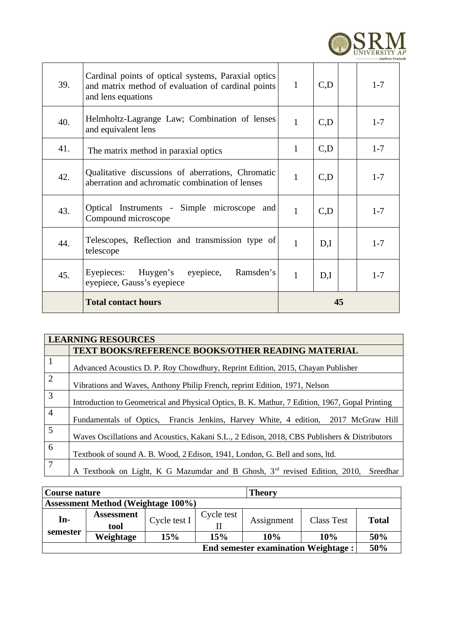

| 39. | Cardinal points of optical systems, Paraxial optics<br>and matrix method of evaluation of cardinal points<br>and lens equations | $\mathbf{1}$ | C,D  | $1 - 7$ |
|-----|---------------------------------------------------------------------------------------------------------------------------------|--------------|------|---------|
| 40. | Helmholtz-Lagrange Law; Combination of lenses<br>and equivalent lens                                                            | $\mathbf{1}$ | C,D  | $1 - 7$ |
| 41. | The matrix method in paraxial optics                                                                                            | $\mathbf{1}$ | C, D | $1 - 7$ |
| 42. | Qualitative discussions of aberrations, Chromatic<br>aberration and achromatic combination of lenses                            | $\mathbf{1}$ | C,D  | $1 - 7$ |
| 43. | Optical Instruments - Simple microscope and<br>Compound microscope                                                              | $\mathbf{1}$ | C,D  | $1 - 7$ |
| 44. | Telescopes, Reflection and transmission type of<br>telescope                                                                    | $\mathbf{1}$ | D,I  | $1 - 7$ |
| 45. | Ramsden's<br>Eyepieces:<br>Huygen's<br>eyepiece,<br>eyepiece, Gauss's eyepiece                                                  | $\mathbf{1}$ | D,I  | $1 - 7$ |
|     | <b>Total contact hours</b>                                                                                                      |              | 45   |         |

|                | <b>LEARNING RESOURCES</b>                                                                         |  |  |  |  |  |  |  |
|----------------|---------------------------------------------------------------------------------------------------|--|--|--|--|--|--|--|
|                | <b>TEXT BOOKS/REFERENCE BOOKS/OTHER READING MATERIAL</b>                                          |  |  |  |  |  |  |  |
| $\mathbf{1}$   | Advanced Acoustics D. P. Roy Chowdhury, Reprint Edition, 2015, Chayan Publisher                   |  |  |  |  |  |  |  |
| $\overline{2}$ | Vibrations and Waves, Anthony Philip French, reprint Edition, 1971, Nelson                        |  |  |  |  |  |  |  |
| 3              | Introduction to Geometrical and Physical Optics, B. K. Mathur, 7 Edition, 1967, Gopal Printing    |  |  |  |  |  |  |  |
| $\overline{4}$ | Fundamentals of Optics, Francis Jenkins, Harvey White, 4 edition, 2017 McGraw Hill                |  |  |  |  |  |  |  |
| 5              | Waves Oscillations and Acoustics, Kakani S.L., 2 Edison, 2018, CBS Publishers & Distributors      |  |  |  |  |  |  |  |
| 6              | Textbook of sound A. B. Wood, 2 Edison, 1941, London, G. Bell and sons, ltd.                      |  |  |  |  |  |  |  |
| 7              | A Textbook on Light, K G Mazumdar and B Ghosh, 3 <sup>rd</sup> revised Edition, 2010,<br>Sreedhar |  |  |  |  |  |  |  |

| <b>Theory</b><br>Course nature             |                   |              |            |            |                   |              |  |
|--------------------------------------------|-------------------|--------------|------------|------------|-------------------|--------------|--|
| <b>Assessment Method (Weightage 100%)</b>  |                   |              |            |            |                   |              |  |
| In-                                        | <b>Assessment</b> | Cycle test I | Cycle test | Assignment | <b>Class Test</b> | <b>Total</b> |  |
|                                            | tool              |              |            |            |                   |              |  |
| semester                                   | Weightage         | 15%          | 15%        | 10%<br>10% | 50%               |              |  |
| <b>End semester examination Weightage:</b> |                   |              |            |            |                   | 50%          |  |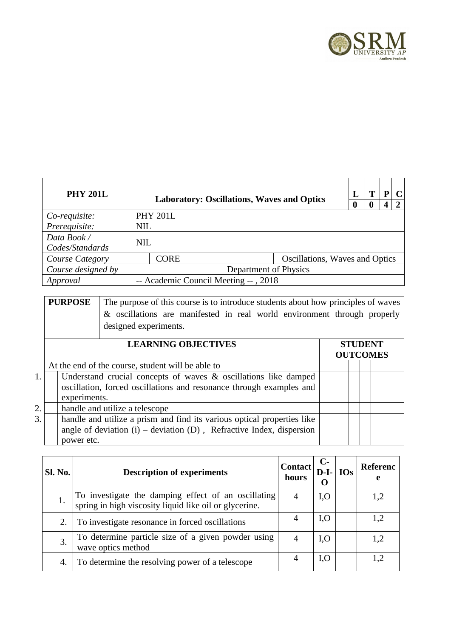

| <b>PHY 201L</b>                | <b>Laboratory: Oscillations, Waves and Optics</b> |                 |                                |  |  |  | C |  |
|--------------------------------|---------------------------------------------------|-----------------|--------------------------------|--|--|--|---|--|
| Co-requisite:                  |                                                   | <b>PHY 201L</b> |                                |  |  |  |   |  |
| Prerequisite:                  |                                                   | <b>NIL</b>      |                                |  |  |  |   |  |
| Data Book /<br>Codes/Standards | <b>NIL</b>                                        |                 |                                |  |  |  |   |  |
| Course Category                |                                                   | <b>CORE</b>     | Oscillations, Waves and Optics |  |  |  |   |  |
| Course designed by             | Department of Physics                             |                 |                                |  |  |  |   |  |
| Approval                       | -- Academic Council Meeting --, 2018              |                 |                                |  |  |  |   |  |

| <b>PURPOSE</b> | The purpose of this course is to introduce students about how principles of waves |
|----------------|-----------------------------------------------------------------------------------|
|                | & oscillations are manifested in real world environment through properly          |
|                | designed experiments.                                                             |

|                  | <b>LEARNING OBJECTIVES</b>                                                                                                                                    | <b>STUDENT</b><br><b>OUTCOMES</b> |  |  |  |  |  |
|------------------|---------------------------------------------------------------------------------------------------------------------------------------------------------------|-----------------------------------|--|--|--|--|--|
|                  | At the end of the course, student will be able to                                                                                                             |                                   |  |  |  |  |  |
| 1.               | Understand crucial concepts of waves & oscillations like damped<br>oscillation, forced oscillations and resonance through examples and<br>experiments.        |                                   |  |  |  |  |  |
| $\overline{2}$ . | handle and utilize a telescope                                                                                                                                |                                   |  |  |  |  |  |
| 3.               | handle and utilize a prism and find its various optical properties like<br>angle of deviation (i) – deviation (D), Refractive Index, dispersion<br>power etc. |                                   |  |  |  |  |  |

| Sl. No. | <b>Description of experiments</b>                                                                          |  | $C-$<br>Contact<br>$D-I-$ | <b>IOs</b> | Referenc<br>e |
|---------|------------------------------------------------------------------------------------------------------------|--|---------------------------|------------|---------------|
| 1.      | To investigate the damping effect of an oscillating spring in high viscosity liquid like oil or glycerine. |  | I, O                      |            | 1,2           |
| 2.      | To investigate resonance in forced oscillations                                                            |  | I, O                      |            | 1,2           |
| 3.      | To determine particle size of a given powder using<br>wave optics method                                   |  | I, O                      |            | 1,2           |
| 4.      | To determine the resolving power of a telescope                                                            |  | I, O                      |            | 1,2           |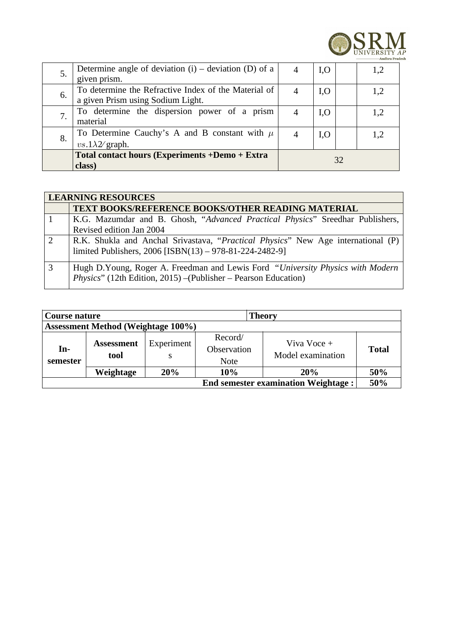

| 5. | Determine angle of deviation $(i)$ – deviation $(D)$ of a<br>given prism.                 |                | I, O |  | 1,2 |
|----|-------------------------------------------------------------------------------------------|----------------|------|--|-----|
| 6. | To determine the Refractive Index of the Material of<br>a given Prism using Sodium Light. | $\overline{4}$ | I, O |  | 1,2 |
| 7. | To determine the dispersion power of a prism<br>material                                  |                | I, O |  | 1,2 |
| 8. | To Determine Cauchy's A and B constant with $\mu$<br>$vs.1\lambda2$ graph.                |                | I, O |  | 1,2 |
|    | Total contact hours (Experiments +Demo + Extra<br>class)                                  | 32             |      |  |     |

|               | <b>LEARNING RESOURCES</b>                                                                                                                          |  |  |  |  |  |  |  |
|---------------|----------------------------------------------------------------------------------------------------------------------------------------------------|--|--|--|--|--|--|--|
|               | <b>TEXT BOOKS/REFERENCE BOOKS/OTHER READING MATERIAL</b>                                                                                           |  |  |  |  |  |  |  |
|               | K.G. Mazumdar and B. Ghosh, "Advanced Practical Physics" Sreedhar Publishers,                                                                      |  |  |  |  |  |  |  |
|               | Revised edition Jan 2004                                                                                                                           |  |  |  |  |  |  |  |
| $\mathcal{L}$ | R.K. Shukla and Anchal Srivastava, "Practical Physics" New Age international (P)                                                                   |  |  |  |  |  |  |  |
|               | limited Publishers, 2006 [ISBN(13) - 978-81-224-2482-9]                                                                                            |  |  |  |  |  |  |  |
| 3             | Hugh D.Young, Roger A. Freedman and Lewis Ford "University Physics with Modern"<br>Physics" (12th Edition, 2015) - (Publisher - Pearson Education) |  |  |  |  |  |  |  |

| Course nature<br><b>Theory</b>             |                           |                 |                                       |                                  |              |  |
|--------------------------------------------|---------------------------|-----------------|---------------------------------------|----------------------------------|--------------|--|
| <b>Assessment Method (Weightage 100%)</b>  |                           |                 |                                       |                                  |              |  |
| In-<br>semester                            | <b>Assessment</b><br>tool | Experiment<br>S | Record/<br>Observation<br><b>Note</b> | Viva Voce +<br>Model examination | <b>Total</b> |  |
|                                            | Weightage                 | 20%             | 10%                                   | <b>20%</b>                       | 50%          |  |
| <b>End semester examination Weightage:</b> |                           |                 |                                       |                                  |              |  |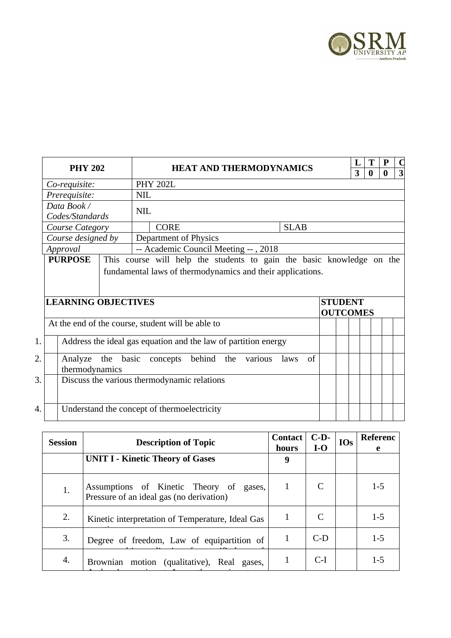

|    | <b>PHY 202</b>                                                 |            |                                                                       |  | <b>HEAT AND THERMODYNAMICS</b> |             |    |                 | Ι.<br>3 | т | P | $\Box$                  |
|----|----------------------------------------------------------------|------------|-----------------------------------------------------------------------|--|--------------------------------|-------------|----|-----------------|---------|---|---|-------------------------|
|    | Co-requisite:                                                  |            | <b>PHY 202L</b>                                                       |  |                                |             |    |                 |         | 0 | 0 | $\overline{\mathbf{3}}$ |
|    | Prerequisite:                                                  | <b>NIL</b> |                                                                       |  |                                |             |    |                 |         |   |   |                         |
|    | Data Book /                                                    |            |                                                                       |  |                                |             |    |                 |         |   |   |                         |
|    | Codes/Standards                                                | <b>NIL</b> |                                                                       |  |                                |             |    |                 |         |   |   |                         |
|    | Course Category                                                |            | <b>CORE</b>                                                           |  |                                | <b>SLAB</b> |    |                 |         |   |   |                         |
|    | Course designed by                                             |            | Department of Physics                                                 |  |                                |             |    |                 |         |   |   |                         |
|    | Approval                                                       |            | -- Academic Council Meeting --, 2018                                  |  |                                |             |    |                 |         |   |   |                         |
|    | <b>PURPOSE</b>                                                 |            | This course will help the students to gain the basic knowledge on the |  |                                |             |    |                 |         |   |   |                         |
|    |                                                                |            | fundamental laws of thermodynamics and their applications.            |  |                                |             |    |                 |         |   |   |                         |
|    |                                                                |            |                                                                       |  |                                |             |    |                 |         |   |   |                         |
|    | <b>LEARNING OBJECTIVES</b>                                     |            |                                                                       |  |                                |             |    | <b>STUDENT</b>  |         |   |   |                         |
|    |                                                                |            |                                                                       |  |                                |             |    | <b>OUTCOMES</b> |         |   |   |                         |
|    | At the end of the course, student will be able to              |            |                                                                       |  |                                |             |    |                 |         |   |   |                         |
| 1. | Address the ideal gas equation and the law of partition energy |            |                                                                       |  |                                |             |    |                 |         |   |   |                         |
|    |                                                                |            |                                                                       |  |                                |             |    |                 |         |   |   |                         |
| 2. | Analyze the basic concepts behind the                          |            |                                                                       |  | various                        | laws        | of |                 |         |   |   |                         |
|    | thermodynamics                                                 |            |                                                                       |  |                                |             |    |                 |         |   |   |                         |
| 3. | Discuss the various thermodynamic relations                    |            |                                                                       |  |                                |             |    |                 |         |   |   |                         |
|    |                                                                |            |                                                                       |  |                                |             |    |                 |         |   |   |                         |
| 4. | Understand the concept of thermoelectricity                    |            |                                                                       |  |                                |             |    |                 |         |   |   |                         |
|    |                                                                |            |                                                                       |  |                                |             |    |                 |         |   |   |                         |

| <b>Session</b> | <b>Contact</b><br><b>Description of Topic</b>                                       |                | $C-D-$ | <b>IOs</b> | <b>Referenc</b> |
|----------------|-------------------------------------------------------------------------------------|----------------|--------|------------|-----------------|
|                |                                                                                     | hours          | $I-O$  |            | e               |
|                | <b>UNIT I - Kinetic Theory of Gases</b>                                             | 9              |        |            |                 |
| 1.             | Assumptions of Kinetic Theory of gases,<br>Pressure of an ideal gas (no derivation) | $\overline{1}$ | C      |            | $1 - 5$         |
| 2.             | Kinetic interpretation of Temperature, Ideal Gas                                    |                | C      |            | $1 - 5$         |
| 3.             | Degree of freedom, Law of equipartition of                                          |                | $C-D$  |            | $1 - 5$         |
| 4.             | Brownian motion (qualitative), Real gases,                                          |                | $C-I$  |            | $1 - 5$         |
|                |                                                                                     |                |        |            |                 |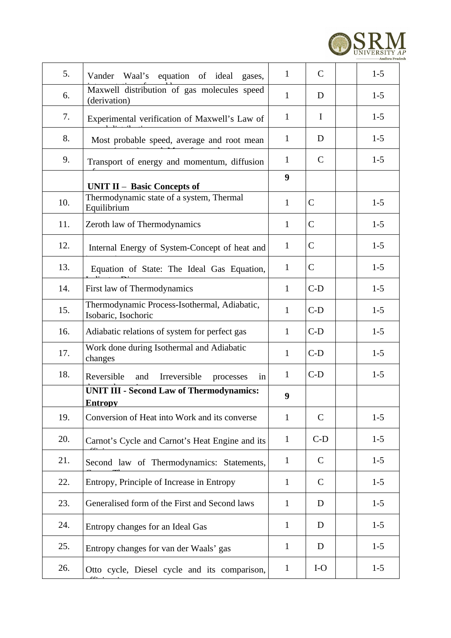

| 5.  | Vander Waal's equation of ideal gases,                              | $\mathbf{1}$ | $\mathsf{C}$ | $1-5$   |
|-----|---------------------------------------------------------------------|--------------|--------------|---------|
| 6.  | Maxwell distribution of gas molecules speed<br>(derivation)         | $\mathbf{1}$ | D            | $1-5$   |
| 7.  | Experimental verification of Maxwell's Law of                       | $\mathbf{1}$ | $\mathbf I$  | $1-5$   |
| 8.  | Most probable speed, average and root mean                          | $\mathbf{1}$ | D            | $1-5$   |
| 9.  | Transport of energy and momentum, diffusion                         | $\mathbf{1}$ | $\mathsf{C}$ | $1-5$   |
|     | <b>UNIT II - Basic Concepts of</b>                                  | 9            |              |         |
| 10. | Thermodynamic state of a system, Thermal<br>Equilibrium             | $\mathbf{1}$ | C            | $1 - 5$ |
| 11. | Zeroth law of Thermodynamics                                        | $\mathbf{1}$ | C            | $1 - 5$ |
| 12. | Internal Energy of System-Concept of heat and                       | $\mathbf{1}$ | C            | $1-5$   |
| 13. | Equation of State: The Ideal Gas Equation,                          | $\mathbf{1}$ | C            | $1 - 5$ |
| 14. | First law of Thermodynamics                                         | $\mathbf{1}$ | $C-D$        | $1-5$   |
| 15. | Thermodynamic Process-Isothermal, Adiabatic,<br>Isobaric, Isochoric | $\mathbf{1}$ | $C-D$        | $1-5$   |
| 16. | Adiabatic relations of system for perfect gas                       | $\mathbf{1}$ | $C-D$        | $1 - 5$ |
| 17. | Work done during Isothermal and Adiabatic<br>changes                | $\mathbf{1}$ | $C-D$        | $1-5$   |
| 18. | Reversible<br>and<br>Irreversible<br>processes<br>in                | $\mathbf{1}$ | $C-D$        | $1 - 5$ |
|     | <b>UNIT III - Second Law of Thermodynamics:</b><br><b>Entropy</b>   | 9            |              |         |
| 19. | Conversion of Heat into Work and its converse                       | $\mathbf{1}$ | $\mathsf{C}$ | $1 - 5$ |
| 20. | Carnot's Cycle and Carnot's Heat Engine and its                     | $\mathbf{1}$ | $C-D$        | $1 - 5$ |
| 21. | Second law of Thermodynamics: Statements,                           | $\mathbf{1}$ | $\mathsf{C}$ | $1 - 5$ |
| 22. | Entropy, Principle of Increase in Entropy                           | $\mathbf{1}$ | $\mathsf{C}$ | $1 - 5$ |
| 23. | Generalised form of the First and Second laws                       | $\mathbf{1}$ | D            | $1 - 5$ |
| 24. | Entropy changes for an Ideal Gas                                    | $\mathbf{1}$ | D            | $1 - 5$ |
| 25. | Entropy changes for van der Waals' gas                              | $\mathbf{1}$ | D            | $1 - 5$ |
| 26. | Otto cycle, Diesel cycle and its comparison,                        | $\mathbf{1}$ | $I-O$        | $1 - 5$ |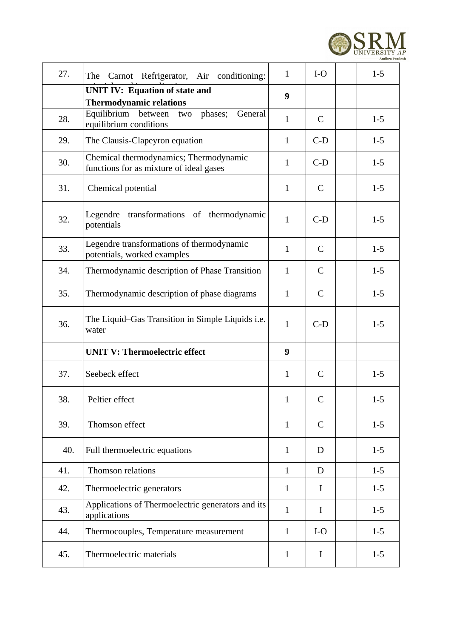

| 27. | Carnot Refrigerator, Air conditioning:<br>The                                     | $\mathbf{1}$ | $I-O$        | $1-5$   |
|-----|-----------------------------------------------------------------------------------|--------------|--------------|---------|
|     | <b>UNIT IV: Equation of state and</b><br><b>Thermodynamic relations</b>           | 9            |              |         |
| 28. | Equilibrium between two<br>phases;<br>General<br>equilibrium conditions           | $\mathbf{1}$ | $\mathsf{C}$ | $1-5$   |
| 29. | The Clausis-Clapeyron equation                                                    | $\mathbf{1}$ | $C-D$        | $1 - 5$ |
| 30. | Chemical thermodynamics; Thermodynamic<br>functions for as mixture of ideal gases | $\mathbf{1}$ | $C-D$        | $1 - 5$ |
| 31. | Chemical potential                                                                | $\mathbf{1}$ | $\mathsf{C}$ | $1 - 5$ |
| 32. | transformations of thermodynamic<br>Legendre<br>potentials                        | $\mathbf{1}$ | $C-D$        | $1-5$   |
| 33. | Legendre transformations of thermodynamic<br>potentials, worked examples          | $\mathbf{1}$ | $\mathsf{C}$ | $1 - 5$ |
| 34. | Thermodynamic description of Phase Transition                                     | $\mathbf{1}$ | $\mathsf{C}$ | $1 - 5$ |
| 35. | Thermodynamic description of phase diagrams                                       | $\mathbf{1}$ | C            | $1 - 5$ |
| 36. | The Liquid–Gas Transition in Simple Liquids i.e.<br>water                         | $\mathbf{1}$ | $C-D$        | $1 - 5$ |
|     | <b>UNIT V: Thermoelectric effect</b>                                              | 9            |              |         |
| 37. | Seebeck effect                                                                    | $\mathbf{1}$ | $\mathsf{C}$ | $1-5$   |
| 38. | Peltier effect                                                                    | $\mathbf{1}$ | $\mathsf{C}$ | $1 - 5$ |
| 39. | Thomson effect                                                                    | $\mathbf{1}$ | $\mathsf{C}$ | $1 - 5$ |
| 40. | Full thermoelectric equations                                                     | $\mathbf{1}$ | D            | $1 - 5$ |
| 41. | Thomson relations                                                                 | $\mathbf{1}$ | D            | $1-5$   |
| 42. | Thermoelectric generators                                                         | $\mathbf{1}$ | $\mathbf I$  | $1 - 5$ |
| 43. | Applications of Thermoelectric generators and its<br>applications                 | $\mathbf{1}$ | $\mathbf I$  | $1 - 5$ |
| 44. | Thermocouples, Temperature measurement                                            | $\mathbf{1}$ | $I-O$        | $1 - 5$ |
| 45. | Thermoelectric materials                                                          | $\mathbf{1}$ | I            | $1 - 5$ |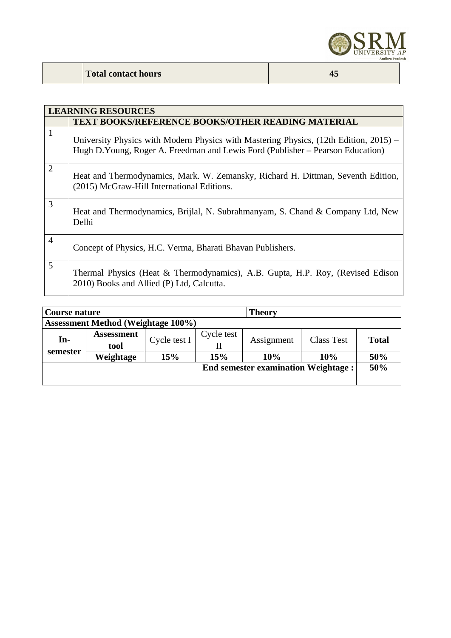

|                | <b>LEARNING RESOURCES</b>                                                                                                                                               |
|----------------|-------------------------------------------------------------------------------------------------------------------------------------------------------------------------|
|                | TEXT BOOKS/REFERENCE BOOKS/OTHER READING MATERIAL                                                                                                                       |
| $\mathbf{1}$   | University Physics with Modern Physics with Mastering Physics, (12th Edition, 2015) –<br>Hugh D.Young, Roger A. Freedman and Lewis Ford (Publisher – Pearson Education) |
| $\overline{2}$ | Heat and Thermodynamics, Mark. W. Zemansky, Richard H. Dittman, Seventh Edition,<br>(2015) McGraw-Hill International Editions.                                          |
| $\overline{3}$ | Heat and Thermodynamics, Brijlal, N. Subrahmanyam, S. Chand & Company Ltd, New<br>Delhi                                                                                 |
| $\overline{4}$ | Concept of Physics, H.C. Verma, Bharati Bhavan Publishers.                                                                                                              |
| 5              | Thermal Physics (Heat & Thermodynamics), A.B. Gupta, H.P. Roy, (Revised Edison<br>2010) Books and Allied (P) Ltd, Calcutta.                                             |

|                                           | <b>Theory</b><br>Course nature |              |            |                                            |                   |              |
|-------------------------------------------|--------------------------------|--------------|------------|--------------------------------------------|-------------------|--------------|
| <b>Assessment Method (Weightage 100%)</b> |                                |              |            |                                            |                   |              |
| In-                                       | <b>Assessment</b>              |              | Cycle test |                                            |                   |              |
|                                           | tool                           | Cycle test I |            | Assignment                                 | <b>Class Test</b> | <b>Total</b> |
| semester                                  | Weightage                      | 15%          | 15%        | 10%                                        | 10%               | 50%          |
|                                           |                                |              |            | <b>End semester examination Weightage:</b> |                   | 50%          |
|                                           |                                |              |            |                                            |                   |              |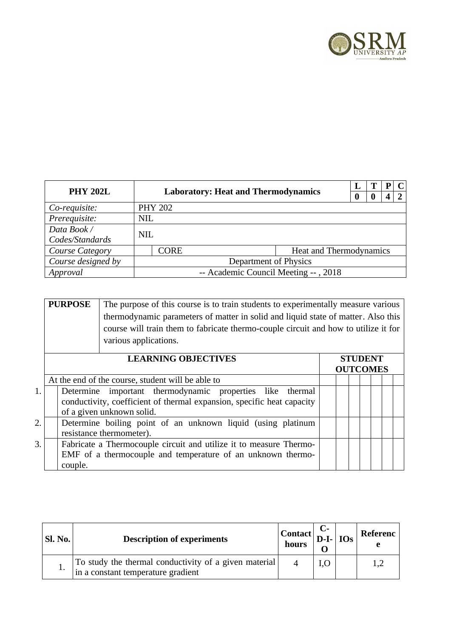

| <b>PHY 202L</b>    |            |                                            |                         |  |  |  |  |
|--------------------|------------|--------------------------------------------|-------------------------|--|--|--|--|
|                    |            | <b>Laboratory: Heat and Thermodynamics</b> |                         |  |  |  |  |
| Co-requisite:      |            | <b>PHY 202</b>                             |                         |  |  |  |  |
| Prerequisite:      | <b>NIL</b> |                                            |                         |  |  |  |  |
| Data Book /        | <b>NIL</b> |                                            |                         |  |  |  |  |
| Codes/Standards    |            |                                            |                         |  |  |  |  |
| Course Category    |            | CORE                                       | Heat and Thermodynamics |  |  |  |  |
| Course designed by |            | Department of Physics                      |                         |  |  |  |  |
| Approval           |            | -- Academic Council Meeting --, 2018       |                         |  |  |  |  |

| <b>PURPOSE</b> | The purpose of this course is to train students to experimentally measure various   |
|----------------|-------------------------------------------------------------------------------------|
|                | thermodynamic parameters of matter in solid and liquid state of matter. Also this   |
|                | course will train them to fabricate thermo-couple circuit and how to utilize it for |
|                | various applications.                                                               |
|                |                                                                                     |

|                  | <b>LEARNING OBJECTIVES</b>                                                                                                                                       |  |  | <b>STUDENT</b><br><b>OUTCOMES</b> |  |
|------------------|------------------------------------------------------------------------------------------------------------------------------------------------------------------|--|--|-----------------------------------|--|
|                  | At the end of the course, student will be able to                                                                                                                |  |  |                                   |  |
| 1.               | Determine important thermodynamic properties like thermal<br>conductivity, coefficient of thermal expansion, specific heat capacity<br>of a given unknown solid. |  |  |                                   |  |
| $\overline{2}$ . | Determine boiling point of an unknown liquid (using platinum<br>resistance thermometer).                                                                         |  |  |                                   |  |
| 3.               | Fabricate a Thermocouple circuit and utilize it to measure Thermo-<br>EMF of a thermocouple and temperature of an unknown thermo-<br>couple.                     |  |  |                                   |  |

| Sl. No. | <b>Description of experiments</b>                                                           | $ $ Contact $ $ D-I- $ $ IOs $ $ and<br>hours |  | Referenc |
|---------|---------------------------------------------------------------------------------------------|-----------------------------------------------|--|----------|
|         | To study the thermal conductivity of a given material<br>in a constant temperature gradient |                                               |  |          |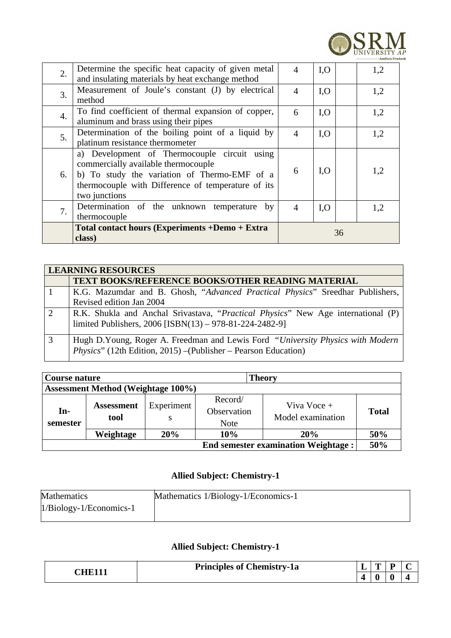

| 2. | Determine the specific heat capacity of given metal<br>and insulating materials by heat exchange method                                                                                                    | 4                        | I, O | 1,2 |
|----|------------------------------------------------------------------------------------------------------------------------------------------------------------------------------------------------------------|--------------------------|------|-----|
| 3. | Measurement of Joule's constant (J) by electrical<br>method                                                                                                                                                | $\overline{4}$           | I, O | 1,2 |
| 4. | To find coefficient of thermal expansion of copper,<br>aluminum and brass using their pipes                                                                                                                | 6                        | I, O | 1,2 |
| 5. | Determination of the boiling point of a liquid by<br>platinum resistance thermometer                                                                                                                       | $\overline{\mathcal{A}}$ | I, O | 1,2 |
| 6. | a) Development of Thermocouple circuit using<br>commercially available thermocouple<br>b) To study the variation of Thermo-EMF of a<br>thermocouple with Difference of temperature of its<br>two junctions | 6                        | I, O | 1,2 |
| 7. | Determination of the unknown temperature by<br>thermocouple                                                                                                                                                | $\overline{4}$           | I, O | 1,2 |
|    | Total contact hours (Experiments +Demo + Extra<br>class)                                                                                                                                                   |                          |      | 36  |

|               | <b>LEARNING RESOURCES</b>                                                        |  |  |  |  |  |  |
|---------------|----------------------------------------------------------------------------------|--|--|--|--|--|--|
|               | <b>TEXT BOOKS/REFERENCE BOOKS/OTHER READING MATERIAL</b>                         |  |  |  |  |  |  |
|               | K.G. Mazumdar and B. Ghosh, "Advanced Practical Physics" Sreedhar Publishers,    |  |  |  |  |  |  |
|               | Revised edition Jan 2004                                                         |  |  |  |  |  |  |
| $\mathcal{L}$ | R.K. Shukla and Anchal Srivastava, "Practical Physics" New Age international (P) |  |  |  |  |  |  |
|               | limited Publishers, 2006 [ISBN(13) - 978-81-224-2482-9]                          |  |  |  |  |  |  |
| 3             | Hugh D.Young, Roger A. Freedman and Lewis Ford "University Physics with Modern"  |  |  |  |  |  |  |
|               | Physics" (12th Edition, 2015) – (Publisher – Pearson Education)                  |  |  |  |  |  |  |

| <b>Theory</b><br>Course nature             |                           |     |                                       |                                  |              |  |  |  |
|--------------------------------------------|---------------------------|-----|---------------------------------------|----------------------------------|--------------|--|--|--|
| <b>Assessment Method (Weightage 100%)</b>  |                           |     |                                       |                                  |              |  |  |  |
| In-<br>semester                            | <b>Assessment</b><br>tool |     | Record/<br>Observation<br><b>Note</b> | Viva Voce +<br>Model examination | <b>Total</b> |  |  |  |
|                                            | Weightage                 | 20% | 10%                                   | 20%                              | 50%          |  |  |  |
| <b>End semester examination Weightage:</b> |                           |     |                                       |                                  |              |  |  |  |

### **Allied Subject: Chemistry-1**

| <b>Mathematics</b>        | Mathematics 1/Biology-1/Economics-1 |
|---------------------------|-------------------------------------|
| $1/Biology-1/Economics-1$ |                                     |

## **Allied Subject: Chemistry-1**

| <b>Principles of Chemistry-1a</b> | - |  |  |
|-----------------------------------|---|--|--|
|                                   |   |  |  |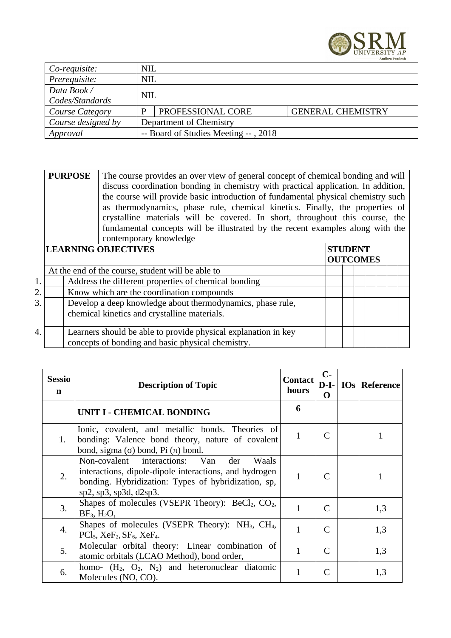

| Co-requisite:      |                                      | <b>NIL</b>              |                          |  |  |  |  |
|--------------------|--------------------------------------|-------------------------|--------------------------|--|--|--|--|
| Prerequisite:      |                                      | <b>NIL</b>              |                          |  |  |  |  |
| Data Book /        |                                      |                         |                          |  |  |  |  |
| Codes/Standards    |                                      | <b>NIL</b>              |                          |  |  |  |  |
| Course Category    |                                      | PROFESSIONAL CORE       | <b>GENERAL CHEMISTRY</b> |  |  |  |  |
| Course designed by |                                      | Department of Chemistry |                          |  |  |  |  |
| Approval           | -- Board of Studies Meeting --, 2018 |                         |                          |  |  |  |  |

| <b>PURPOSE</b> The course provides an over view of general concept of chemical bonding and will |
|-------------------------------------------------------------------------------------------------|
| discuss coordination bonding in chemistry with practical application. In addition,              |
| the course will provide basic introduction of fundamental physical chemistry such               |
| as thermodynamics, phase rule, chemical kinetics. Finally, the properties of                    |
| crystalline materials will be covered. In short, throughout this course, the                    |
| fundamental concepts will be illustrated by the recent examples along with the                  |
| contemporary knowledge                                                                          |

|    | <b>LEARNING OBJECTIVES</b>                                                                                          | <b>STUDENT</b><br><b>OUTCOMES</b> |  |  |  |  |
|----|---------------------------------------------------------------------------------------------------------------------|-----------------------------------|--|--|--|--|
|    | At the end of the course, student will be able to                                                                   |                                   |  |  |  |  |
|    | Address the different properties of chemical bonding                                                                |                                   |  |  |  |  |
| 2. | Know which are the coordination compounds                                                                           |                                   |  |  |  |  |
| 3. | Develop a deep knowledge about thermodynamics, phase rule,<br>chemical kinetics and crystalline materials.          |                                   |  |  |  |  |
| 4. | Learners should be able to provide physical explanation in key<br>concepts of bonding and basic physical chemistry. |                                   |  |  |  |  |

| <b>Sessio</b><br>$\mathbf n$ | <b>Description of Topic</b>                                                                                                                                                                              | <b>Contact</b><br>hours | $C-$<br>O    | D-I-   IOs   Reference |
|------------------------------|----------------------------------------------------------------------------------------------------------------------------------------------------------------------------------------------------------|-------------------------|--------------|------------------------|
|                              | UNIT I - CHEMICAL BONDING                                                                                                                                                                                | 6                       |              |                        |
| 1.                           | Ionic, covalent, and metallic bonds. Theories of<br>bonding: Valence bond theory, nature of covalent<br>bond, sigma $(\sigma)$ bond, Pi $(\pi)$ bond.                                                    | $\mathbf{1}$            | $\mathsf{C}$ |                        |
| 2.                           | Non-covalent interactions:<br>Van<br>der<br>Waals<br>interactions, dipole-dipole interactions, and hydrogen<br>bonding. Hybridization: Types of hybridization, sp,<br>$sp2$ , $sp3$ , $sp3d$ , $d2sp3$ . | $\mathbf{1}$            | $\mathsf{C}$ | 1                      |
| 3.                           | Shapes of molecules (VSEPR Theory): $BeCl2$ , $CO2$ ,<br>$BF_3$ , $H_2O$ ,                                                                                                                               | $\mathbf{1}$            | C            | 1,3                    |
| 4.                           | Shapes of molecules (VSEPR Theory): NH <sub>3</sub> , CH <sub>4</sub> ,<br>$PCl5$ , XeF <sub>2</sub> , SF <sub>6</sub> , XeF <sub>4</sub> .                                                              | $\mathbf{1}$            | C            | 1,3                    |
| 5.                           | Molecular orbital theory: Linear combination of<br>atomic orbitals (LCAO Method), bond order,                                                                                                            | $\mathbf{1}$            |              | 1,3                    |
| 6.                           | homo- $(H_2, O_2, N_2)$ and heteronuclear diatomic<br>Molecules (NO, CO).                                                                                                                                | $\mathbf{1}$            |              | 1,3                    |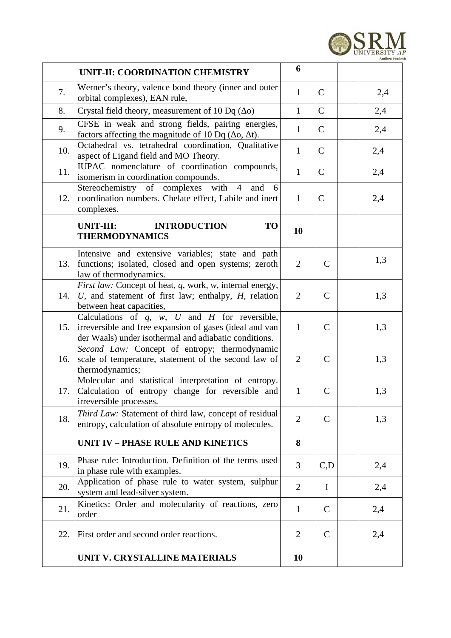

|     | UNIT-II: COORDINATION CHEMISTRY                                                                                                                                             | 6              |              |     |
|-----|-----------------------------------------------------------------------------------------------------------------------------------------------------------------------------|----------------|--------------|-----|
| 7.  | Werner's theory, valence bond theory (inner and outer<br>orbital complexes), EAN rule,                                                                                      | $\mathbf{1}$   | C            | 2,4 |
| 8.  | Crystal field theory, measurement of 10 Dq $(\Delta o)$                                                                                                                     | $\mathbf{1}$   | $\mathsf{C}$ | 2,4 |
| 9.  | CFSE in weak and strong fields, pairing energies,<br>factors affecting the magnitude of 10 Dq ( $\Delta$ o, $\Delta$ t).                                                    | $\mathbf{1}$   | $\mathsf{C}$ | 2,4 |
| 10. | Octahedral vs. tetrahedral coordination, Qualitative<br>aspect of Ligand field and MO Theory.                                                                               | $\mathbf{1}$   | $\mathsf{C}$ | 2,4 |
| 11. | IUPAC nomenclature of coordination compounds,<br>isomerism in coordination compounds.                                                                                       | $\mathbf{1}$   | $\mathsf{C}$ | 2,4 |
| 12. | Stereochemistry of complexes with 4<br>and<br>- 6<br>coordination numbers. Chelate effect, Labile and inert<br>complexes.                                                   | $\mathbf{1}$   | $\mathsf C$  | 2,4 |
|     | UNIT-III:<br><b>TO</b><br><b>INTRODUCTION</b><br><b>THERMODYNAMICS</b>                                                                                                      | 10             |              |     |
| 13. | Intensive and extensive variables; state and path<br>functions; isolated, closed and open systems; zeroth<br>law of thermodynamics.                                         | $\overline{2}$ | $\mathsf{C}$ | 1,3 |
| 14. | First law: Concept of heat, q, work, w, internal energy,<br>$U$ , and statement of first law; enthalpy, $H$ , relation<br>between heat capacities,                          | $\overline{2}$ | $\mathsf{C}$ | 1,3 |
| 15. | Calculations of $q$ , $w$ , $U$ and $H$ for reversible,<br>irreversible and free expansion of gases (ideal and van<br>der Waals) under isothermal and adiabatic conditions. | $\mathbf{1}$   | $\mathsf{C}$ | 1,3 |
| 16. | Second Law: Concept of entropy; thermodynamic<br>scale of temperature, statement of the second law of<br>thermodynamics;                                                    | $\overline{2}$ | $\mathsf{C}$ | 1,3 |
| 17. | Molecular and statistical interpretation of entropy.<br>Calculation of entropy change for reversible and<br>irreversible processes.                                         | $\mathbf{1}$   | C            | 1,3 |
| 18. | Third Law: Statement of third law, concept of residual<br>entropy, calculation of absolute entropy of molecules.                                                            | $\overline{2}$ | $\mathsf{C}$ | 1,3 |
|     | <b>UNIT IV - PHASE RULE AND KINETICS</b>                                                                                                                                    | 8              |              |     |
| 19. | Phase rule: Introduction. Definition of the terms used<br>in phase rule with examples.                                                                                      | 3              | C, D         | 2,4 |
| 20. | Application of phase rule to water system, sulphur<br>system and lead-silver system.                                                                                        | $\overline{2}$ | $\mathbf I$  | 2,4 |
| 21. | Kinetics: Order and molecularity of reactions, zero<br>order                                                                                                                | $\mathbf{1}$   | C            | 2,4 |
| 22. | First order and second order reactions.                                                                                                                                     | $\overline{2}$ | C            | 2,4 |
|     | UNIT V. CRYSTALLINE MATERIALS                                                                                                                                               | <b>10</b>      |              |     |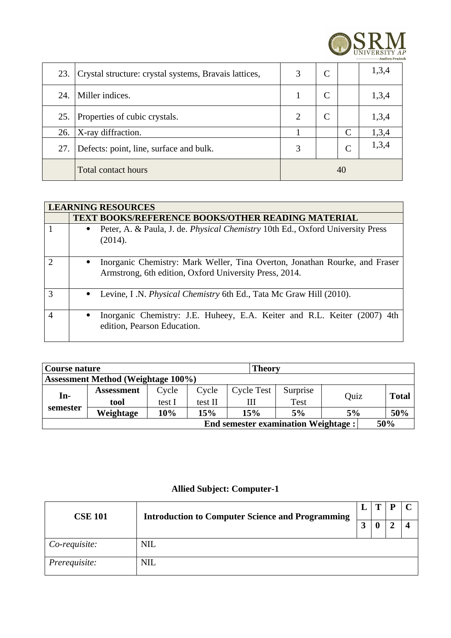

| 23. | Crystal structure: crystal systems, Bravais lattices, | 3  |  |              | 1,3,4 |
|-----|-------------------------------------------------------|----|--|--------------|-------|
| 24. | Miller indices.                                       |    |  |              | 1,3,4 |
| 25. | Properties of cubic crystals.                         |    |  |              | 1,3,4 |
| 26. | X-ray diffraction.                                    |    |  | C            | 1,3,4 |
| 27. | Defects: point, line, surface and bulk.               | 3  |  | $\mathsf{C}$ | 1,3,4 |
|     | <b>Total contact hours</b>                            | 40 |  |              |       |

|                          | <b>LEARNING RESOURCES</b>                                                                                                             |  |  |  |  |  |  |  |  |
|--------------------------|---------------------------------------------------------------------------------------------------------------------------------------|--|--|--|--|--|--|--|--|
|                          | <b>TEXT BOOKS/REFERENCE BOOKS/OTHER READING MATERIAL</b>                                                                              |  |  |  |  |  |  |  |  |
|                          | Peter, A. & Paula, J. de. <i>Physical Chemistry</i> 10th Ed., Oxford University Press<br>$\bullet$                                    |  |  |  |  |  |  |  |  |
|                          | (2014).                                                                                                                               |  |  |  |  |  |  |  |  |
| $\mathcal{D}$            | Inorganic Chemistry: Mark Weller, Tina Overton, Jonathan Rourke, and Fraser<br>Armstrong, 6th edition, Oxford University Press, 2014. |  |  |  |  |  |  |  |  |
| 3                        | Levine, I.N. Physical Chemistry 6th Ed., Tata Mc Graw Hill (2010).<br>$\bullet$                                                       |  |  |  |  |  |  |  |  |
| $\overline{\mathcal{A}}$ | Inorganic Chemistry: J.E. Huheey, E.A. Keiter and R.L. Keiter (2007) 4th<br>edition, Pearson Education.                               |  |  |  |  |  |  |  |  |

| Theory<br>Course nature                           |                   |        |         |                   |             |      |  |              |
|---------------------------------------------------|-------------------|--------|---------|-------------------|-------------|------|--|--------------|
| <b>Assessment Method (Weightage 100%)</b>         |                   |        |         |                   |             |      |  |              |
| In-                                               | <b>Assessment</b> | Cycle  | Cycle   | <b>Cycle Test</b> | Surprise    | Ouiz |  | <b>Total</b> |
|                                                   | tool              | test I | test II | Ш                 | <b>Test</b> |      |  |              |
| semester                                          | Weightage         | 10%    | 15%     | 15%               | 5%          | 5%   |  | 50%          |
| <b>End semester examination Weightage:</b><br>50% |                   |        |         |                   |             |      |  |              |

## **Allied Subject: Computer-1**

| <b>Introduction to Computer Science and Programming</b><br><b>CSE 101</b> |            | L | ш |  |
|---------------------------------------------------------------------------|------------|---|---|--|
|                                                                           |            | 3 |   |  |
| Co-requisite:                                                             | <b>NIL</b> |   |   |  |
| Prerequisite:                                                             | <b>NIL</b> |   |   |  |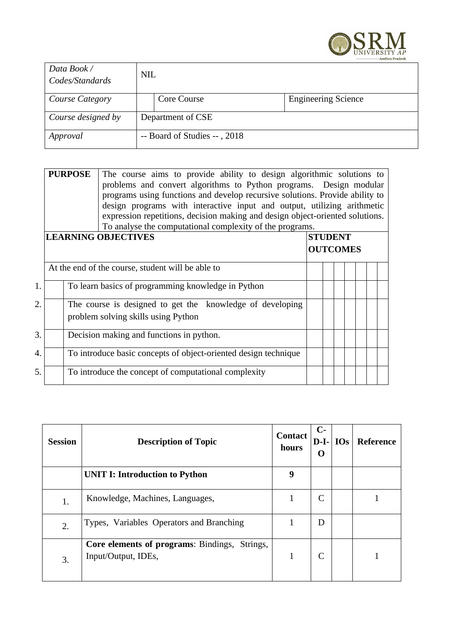

| Data Book /<br>Codes/Standards | <b>NIL</b> |                              |                            |
|--------------------------------|------------|------------------------------|----------------------------|
| <b>Course Category</b>         |            | Core Course                  | <b>Engineering Science</b> |
| Course designed by             |            | Department of CSE            |                            |
| Approval                       |            | -- Board of Studies --, 2018 |                            |

|    | <b>PURPOSE</b>                                                                                   | The course aims to provide ability to design algorithmic solutions to<br>problems and convert algorithms to Python programs. Design modular<br>programs using functions and develop recursive solutions. Provide ability to<br>design programs with interactive input and output, utilizing arithmetic<br>expression repetitions, decision making and design object-oriented solutions.<br>To analyse the computational complexity of the programs. |                 |  |  |  |  |
|----|--------------------------------------------------------------------------------------------------|-----------------------------------------------------------------------------------------------------------------------------------------------------------------------------------------------------------------------------------------------------------------------------------------------------------------------------------------------------------------------------------------------------------------------------------------------------|-----------------|--|--|--|--|
|    |                                                                                                  | <b>LEARNING OBJECTIVES</b>                                                                                                                                                                                                                                                                                                                                                                                                                          | <b>STUDENT</b>  |  |  |  |  |
|    |                                                                                                  |                                                                                                                                                                                                                                                                                                                                                                                                                                                     | <b>OUTCOMES</b> |  |  |  |  |
|    |                                                                                                  | At the end of the course, student will be able to                                                                                                                                                                                                                                                                                                                                                                                                   |                 |  |  |  |  |
| 1. |                                                                                                  | To learn basics of programming knowledge in Python                                                                                                                                                                                                                                                                                                                                                                                                  |                 |  |  |  |  |
| 2. | The course is designed to get the knowledge of developing<br>problem solving skills using Python |                                                                                                                                                                                                                                                                                                                                                                                                                                                     |                 |  |  |  |  |
| 3. | Decision making and functions in python.                                                         |                                                                                                                                                                                                                                                                                                                                                                                                                                                     |                 |  |  |  |  |
| 4. |                                                                                                  | To introduce basic concepts of object-oriented design technique                                                                                                                                                                                                                                                                                                                                                                                     |                 |  |  |  |  |
| 5. |                                                                                                  | To introduce the concept of computational complexity                                                                                                                                                                                                                                                                                                                                                                                                |                 |  |  |  |  |

| <b>Session</b> | <b>Description of Topic</b>                                                    | <b>Contact</b><br>hours | $C-$<br>$D-I-$<br>O | <b>IOs</b> | Reference |
|----------------|--------------------------------------------------------------------------------|-------------------------|---------------------|------------|-----------|
|                | <b>UNIT I: Introduction to Python</b>                                          | 9                       |                     |            |           |
| 1.             | Knowledge, Machines, Languages,                                                | 1                       | C                   |            |           |
| 2.             | Types, Variables Operators and Branching                                       | 1                       | D                   |            |           |
| 3.             | <b>Core elements of programs: Bindings,</b><br>Strings,<br>Input/Output, IDEs, |                         | C                   |            |           |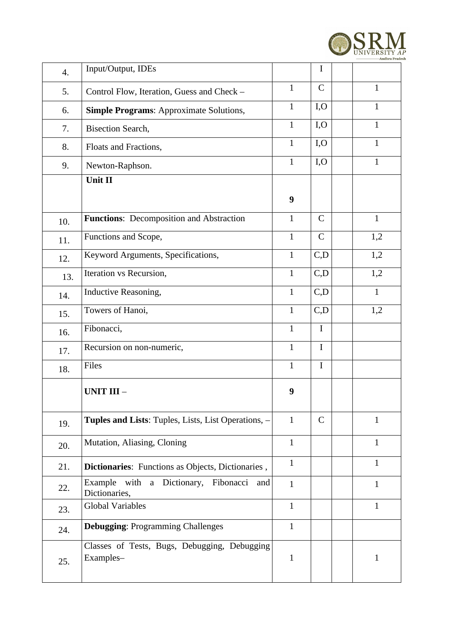

| 4.  | Input/Output, IDEs                                           |              | I            |              |
|-----|--------------------------------------------------------------|--------------|--------------|--------------|
| 5.  | Control Flow, Iteration, Guess and Check -                   | $\mathbf{1}$ | $\mathsf{C}$ | $\mathbf{1}$ |
| 6.  | <b>Simple Programs: Approximate Solutions,</b>               | $\mathbf{1}$ | I, O         | $\mathbf{1}$ |
| 7.  | <b>Bisection Search,</b>                                     | $\mathbf{1}$ | I, O         | $\mathbf{1}$ |
| 8.  | Floats and Fractions,                                        | $\mathbf{1}$ | I, O         | $\mathbf{1}$ |
| 9.  | Newton-Raphson.                                              | $\mathbf{1}$ | I, O         | $\mathbf{1}$ |
|     | <b>Unit II</b>                                               |              |              |              |
|     |                                                              | 9            |              |              |
| 10. | <b>Functions:</b> Decomposition and Abstraction              | $\mathbf{1}$ | $\mathsf{C}$ | $\mathbf{1}$ |
| 11. | Functions and Scope,                                         | $\mathbf{1}$ | $\mathsf C$  | 1,2          |
| 12. | Keyword Arguments, Specifications,                           | $\mathbf{1}$ | C, D         | 1,2          |
| 13. | Iteration vs Recursion,                                      | $\mathbf{1}$ | C, D         | 1,2          |
| 14. | Inductive Reasoning,                                         | $\mathbf{1}$ | C, D         | $\mathbf{1}$ |
| 15. | Towers of Hanoi,                                             | $\mathbf{1}$ | C, D         | 1,2          |
| 16. | Fibonacci,                                                   | $\mathbf{1}$ | $\mathbf I$  |              |
| 17. | Recursion on non-numeric,                                    | $\mathbf{1}$ | $\bf{I}$     |              |
| 18. | Files                                                        | $\mathbf{1}$ | $\mathbf I$  |              |
|     | UNIT III-                                                    | 9            |              |              |
| 19. | Tuples and Lists: Tuples, Lists, List Operations, -          | $\mathbf{1}$ | $\mathsf{C}$ | 1            |
| 20. | Mutation, Aliasing, Cloning                                  | $\mathbf{1}$ |              | $\mathbf{1}$ |
| 21. | Dictionaries: Functions as Objects, Dictionaries,            | $\mathbf{1}$ |              | $\mathbf{1}$ |
| 22. | Example with a Dictionary, Fibonacci<br>and<br>Dictionaries, | $\mathbf{1}$ |              | $\mathbf{1}$ |
| 23. | <b>Global Variables</b>                                      | $\mathbf{1}$ |              | $\mathbf{1}$ |
| 24. | <b>Debugging: Programming Challenges</b>                     | $\mathbf{1}$ |              |              |
| 25. | Classes of Tests, Bugs, Debugging, Debugging<br>Examples-    | $\mathbf{1}$ |              | $\mathbf{1}$ |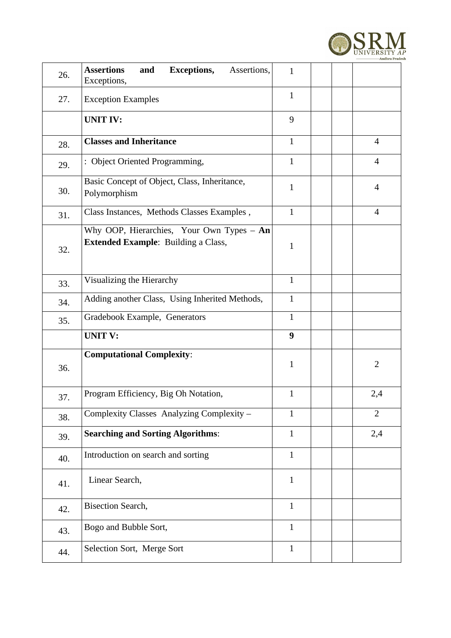

| 26. | <b>Assertions</b><br><b>Exceptions,</b><br>Assertions,<br>and<br>Exceptions,              | $\mathbf{1}$ |                |
|-----|-------------------------------------------------------------------------------------------|--------------|----------------|
| 27. | <b>Exception Examples</b>                                                                 | $\mathbf{1}$ |                |
|     | <b>UNIT IV:</b>                                                                           | 9            |                |
| 28. | <b>Classes and Inheritance</b>                                                            | $\mathbf{1}$ | $\overline{4}$ |
| 29. | : Object Oriented Programming,                                                            | $\mathbf{1}$ | $\overline{4}$ |
| 30. | Basic Concept of Object, Class, Inheritance,<br>Polymorphism                              | $\mathbf{1}$ | $\overline{4}$ |
| 31. | Class Instances, Methods Classes Examples,                                                | $\mathbf{1}$ | $\overline{4}$ |
| 32. | Why OOP, Hierarchies, Your Own Types $-$ An<br><b>Extended Example: Building a Class,</b> | $\mathbf{1}$ |                |
| 33. | Visualizing the Hierarchy                                                                 | $\mathbf{1}$ |                |
| 34. | Adding another Class, Using Inherited Methods,                                            | $\mathbf{1}$ |                |
| 35. | Gradebook Example, Generators                                                             | $\mathbf{1}$ |                |
|     | <b>UNIT V:</b>                                                                            | 9            |                |
| 36. | <b>Computational Complexity:</b>                                                          | $\mathbf{1}$ | $\overline{2}$ |
| 37. | Program Efficiency, Big Oh Notation,                                                      | $\mathbf{1}$ | 2,4            |
| 38. | Complexity Classes Analyzing Complexity -                                                 | $\mathbf{1}$ | $\overline{2}$ |
| 39. | <b>Searching and Sorting Algorithms:</b>                                                  | $\mathbf{1}$ | 2,4            |
| 40. | Introduction on search and sorting                                                        | $\mathbf{1}$ |                |
| 41. | Linear Search,                                                                            | $\mathbf{1}$ |                |
| 42. | <b>Bisection Search,</b>                                                                  | $\mathbf{1}$ |                |
| 43. | Bogo and Bubble Sort,                                                                     | $\mathbf{1}$ |                |
| 44. | Selection Sort, Merge Sort                                                                | $\mathbf{1}$ |                |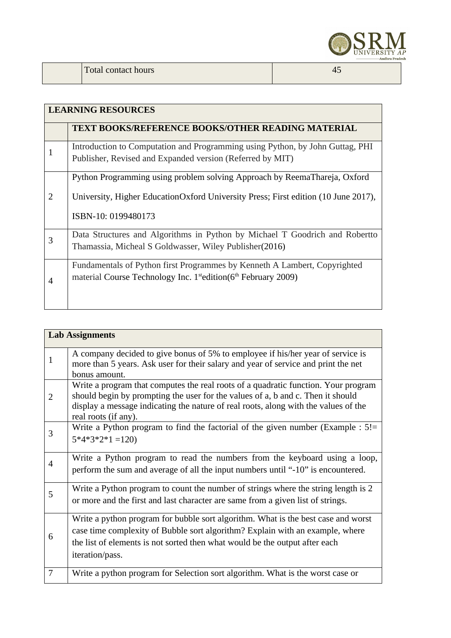

### **LEARNING RESOURCES TEXT BOOKS/REFERENCE BOOKS/OTHER READING MATERIAL**  1 Introduction to Computation and Programming using Python, by John Guttag, PHI Publisher, Revised and Expanded version (Referred by MIT) 2 Python Programming using problem solving Approach by ReemaThareja, Oxford University, Higher EducationOxford University Press; First edition (10 June 2017), ISBN-10: 0199480173 3 Data Structures and Algorithms in Python by Michael T Goodrich and Robertto Thamassia, Micheal S Goldwasser, Wiley Publisher(2016)

| Fundamentals of Python first Programmes by Kenneth A Lambert, Copyrighted               |
|-----------------------------------------------------------------------------------------|
| material Course Technology Inc. $1^{\text{st}}$ edition( $6^{\text{th}}$ February 2009) |

|              | <b>Lab Assignments</b>                                                                                                                                                                                                                                                               |
|--------------|--------------------------------------------------------------------------------------------------------------------------------------------------------------------------------------------------------------------------------------------------------------------------------------|
| $\mathbf{1}$ | A company decided to give bonus of 5% to employee if his/her year of service is<br>more than 5 years. Ask user for their salary and year of service and print the net<br>bonus amount.                                                                                               |
| 2            | Write a program that computes the real roots of a quadratic function. Your program<br>should begin by prompting the user for the values of a, b and c. Then it should<br>display a message indicating the nature of real roots, along with the values of the<br>real roots (if any). |
| 3            | Write a Python program to find the factorial of the given number (Example : $5!$ =<br>$5*4*3*2*1=120$                                                                                                                                                                                |
| 4            | Write a Python program to read the numbers from the keyboard using a loop,<br>perform the sum and average of all the input numbers until "-10" is encountered.                                                                                                                       |
| 5            | Write a Python program to count the number of strings where the string length is 2<br>or more and the first and last character are same from a given list of strings.                                                                                                                |
| 6            | Write a python program for bubble sort algorithm. What is the best case and worst<br>case time complexity of Bubble sort algorithm? Explain with an example, where<br>the list of elements is not sorted then what would be the output after each<br>iteration/pass.                 |
| 7            | Write a python program for Selection sort algorithm. What is the worst case or                                                                                                                                                                                                       |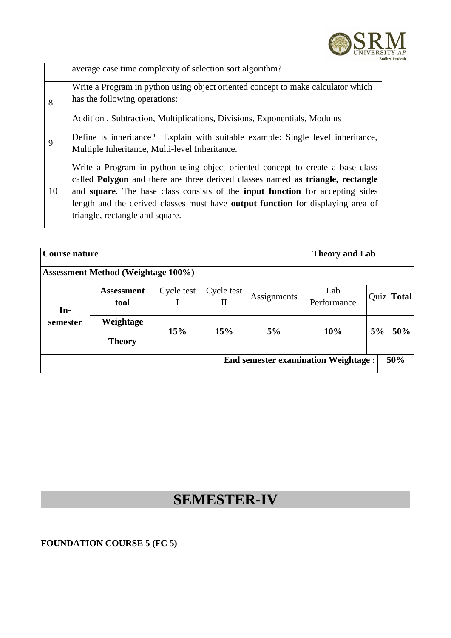

|    | average case time complexity of selection sort algorithm?                                                                                                                                                                                                                                                                                                                              |
|----|----------------------------------------------------------------------------------------------------------------------------------------------------------------------------------------------------------------------------------------------------------------------------------------------------------------------------------------------------------------------------------------|
| 8  | Write a Program in python using object oriented concept to make calculator which<br>has the following operations:<br>Addition, Subtraction, Multiplications, Divisions, Exponentials, Modulus                                                                                                                                                                                          |
| 9  | Define is inheritance? Explain with suitable example: Single level inheritance,<br>Multiple Inheritance, Multi-level Inheritance.                                                                                                                                                                                                                                                      |
| 10 | Write a Program in python using object oriented concept to create a base class<br>called <b>Polygon</b> and there are three derived classes named as triangle, rectangle<br>and square. The base class consists of the input function for accepting sides<br>length and the derived classes must have <b>output function</b> for displaying area of<br>triangle, rectangle and square. |

| Course nature                                     |                            |            |                 | <b>Theory and Lab</b> |                                                       |  |      |       |  |  |
|---------------------------------------------------|----------------------------|------------|-----------------|-----------------------|-------------------------------------------------------|--|------|-------|--|--|
| <b>Assessment Method (Weightage 100%)</b>         |                            |            |                 |                       |                                                       |  |      |       |  |  |
| $In-$                                             | <b>Assessment</b><br>tool  | Cycle test | Cycle test<br>П |                       | Lab<br><b>Assignments</b><br>Performance<br>5%<br>10% |  | Quiz | Total |  |  |
| semester                                          | Weightage<br><b>Theory</b> | 15%        | 15%             |                       |                                                       |  | 5%   | 50%   |  |  |
| 50%<br><b>End semester examination Weightage:</b> |                            |            |                 |                       |                                                       |  |      |       |  |  |

# **SEMESTER-IV**

### **FOUNDATION COURSE 5 (FC 5)**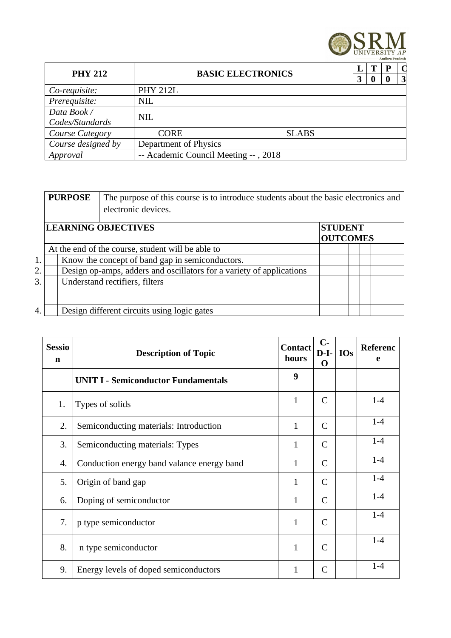

| <b>PHY 212</b>     | <b>BASIC ELECTRONICS</b> |                                      | З            | т | $\mathsf{\Omega}$<br>$\vert 3 \vert$ |  |
|--------------------|--------------------------|--------------------------------------|--------------|---|--------------------------------------|--|
| Co-requisite:      |                          | <b>PHY 212L</b>                      |              |   |                                      |  |
| Prerequisite:      | <b>NIL</b>               |                                      |              |   |                                      |  |
| Data Book /        | <b>NIL</b>               |                                      |              |   |                                      |  |
| Codes/Standards    |                          |                                      |              |   |                                      |  |
| Course Category    |                          | <b>CORE</b>                          | <b>SLABS</b> |   |                                      |  |
| Course designed by |                          | Department of Physics                |              |   |                                      |  |
| Approval           |                          | -- Academic Council Meeting --, 2018 |              |   |                                      |  |

|    | <b>PURPOSE</b> | The purpose of this course is to introduce students about the basic electronics and |                                   |  |  |  |  |  |  |  |  |
|----|----------------|-------------------------------------------------------------------------------------|-----------------------------------|--|--|--|--|--|--|--|--|
|    |                | electronic devices.                                                                 |                                   |  |  |  |  |  |  |  |  |
|    |                | <b>LEARNING OBJECTIVES</b>                                                          | <b>STUDENT</b><br><b>OUTCOMES</b> |  |  |  |  |  |  |  |  |
|    |                | At the end of the course, student will be able to                                   |                                   |  |  |  |  |  |  |  |  |
| 1. |                | Know the concept of band gap in semiconductors.                                     |                                   |  |  |  |  |  |  |  |  |
| 2. |                | Design op-amps, adders and oscillators for a variety of applications                |                                   |  |  |  |  |  |  |  |  |
| 3. |                | Understand rectifiers, filters                                                      |                                   |  |  |  |  |  |  |  |  |
| 4. |                | Design different circuits using logic gates                                         |                                   |  |  |  |  |  |  |  |  |

| <b>Sessio</b><br>$\mathbf n$ | <b>Contact</b><br><b>Description of Topic</b><br>hours |              | $C-$<br>$D-I-$<br>O | <b>IOs</b> | Referenc<br>e |
|------------------------------|--------------------------------------------------------|--------------|---------------------|------------|---------------|
|                              | <b>UNIT I - Semiconductor Fundamentals</b>             | 9            |                     |            |               |
| 1.                           | Types of solids                                        | $\mathbf{1}$ | $\mathsf{C}$        |            | $1-4$         |
| 2.                           | Semiconducting materials: Introduction                 | $\mathbf{1}$ | $\mathsf{C}$        |            | $1 - 4$       |
| 3.                           | Semiconducting materials: Types                        | $\mathbf{1}$ | C                   |            | $1 - 4$       |
| 4.                           | Conduction energy band valance energy band             | 1            | C                   |            | $1-4$         |
| 5.                           | Origin of band gap                                     | $\mathbf{1}$ | C                   |            | $1-4$         |
| 6.                           | Doping of semiconductor                                | $\mathbf{1}$ | $\mathsf{C}$        |            | $1-4$         |
| 7.                           | p type semiconductor                                   | $\mathbf{1}$ | C                   |            | $1 - 4$       |
| 8.                           | n type semiconductor                                   | 1            | $\mathsf{C}$        |            | $1 - 4$       |
| 9.                           | Energy levels of doped semiconductors                  | 1            | $\mathsf{C}$        |            | $1 - 4$       |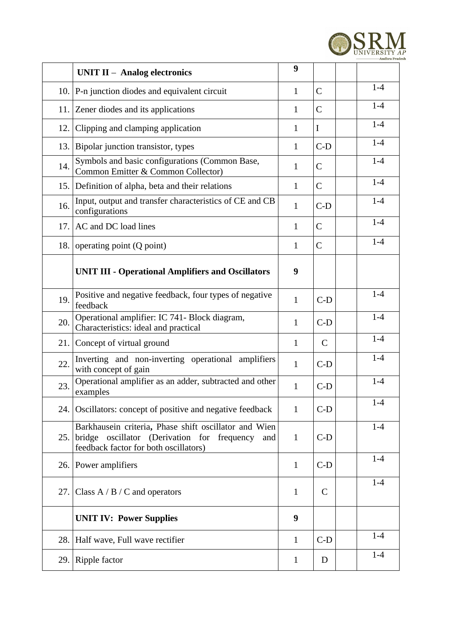

|      | <b>UNIT II - Analog electronics</b>                                                                                                               | 9            |              |         |
|------|---------------------------------------------------------------------------------------------------------------------------------------------------|--------------|--------------|---------|
|      | 10. $ P-n $ junction diodes and equivalent circuit                                                                                                | $\mathbf{1}$ | $\mathsf{C}$ | $1-4$   |
|      | 11. Zener diodes and its applications                                                                                                             | $\mathbf{1}$ | $\mathsf{C}$ | $1-4$   |
| 12.  | Clipping and clamping application                                                                                                                 | $\mathbf{1}$ | I            | $1 - 4$ |
|      | 13. Bipolar junction transistor, types                                                                                                            | $\mathbf{1}$ | $C-D$        | $1-4$   |
| 14.  | Symbols and basic configurations (Common Base,<br>Common Emitter & Common Collector)                                                              | $\mathbf{1}$ | C            | $1-4$   |
| 15.  | Definition of alpha, beta and their relations                                                                                                     | $\mathbf{1}$ | $\mathsf{C}$ | $1-4$   |
| 16.  | Input, output and transfer characteristics of CE and CB<br>configurations                                                                         | $\mathbf{1}$ | $C-D$        | $1 - 4$ |
| 17.  | AC and DC load lines                                                                                                                              | $\mathbf{1}$ | $\mathsf{C}$ | $1 - 4$ |
| 18.  | operating point (Q point)                                                                                                                         |              | $\mathsf{C}$ | $1 - 4$ |
|      | <b>UNIT III - Operational Amplifiers and Oscillators</b>                                                                                          | 9            |              |         |
| 19.  | Positive and negative feedback, four types of negative<br>feedback                                                                                | $\mathbf{1}$ | $C-D$        | $1 - 4$ |
| 20.  | Operational amplifier: IC 741- Block diagram,<br>Characteristics: ideal and practical                                                             | $\mathbf{1}$ | $C-D$        | $1-4$   |
| 21.  | Concept of virtual ground                                                                                                                         | $\mathbf{1}$ | $\mathsf{C}$ | $1-4$   |
| 22.  | Inverting and non-inverting operational amplifiers<br>with concept of gain                                                                        | $\mathbf{1}$ | $C-D$        | $1 - 4$ |
| 23.  | Operational amplifier as an adder, subtracted and other<br>examples                                                                               | $\mathbf{1}$ | $C-D$        | $1 - 4$ |
| 24.1 | Oscillators: concept of positive and negative feedback                                                                                            | $\mathbf{1}$ | $C-D$        | $1 - 4$ |
| 25.  | Barkhausein criteria, Phase shift oscillator and Wien<br>bridge oscillator (Derivation for frequency and<br>feedback factor for both oscillators) | $\mathbf{1}$ | $C-D$        | $1-4$   |
| 26.  | Power amplifiers                                                                                                                                  | $\mathbf{1}$ | $C-D$        | $1-4$   |
| 27.  | Class $A / B / C$ and operators                                                                                                                   | $\mathbf{1}$ | C            | $1 - 4$ |
|      | <b>UNIT IV: Power Supplies</b>                                                                                                                    | 9            |              |         |
| 28.  | Half wave, Full wave rectifier                                                                                                                    | $\mathbf{1}$ | $C-D$        | $1 - 4$ |
| 29.1 | Ripple factor                                                                                                                                     | $\mathbf{1}$ | D            | $1 - 4$ |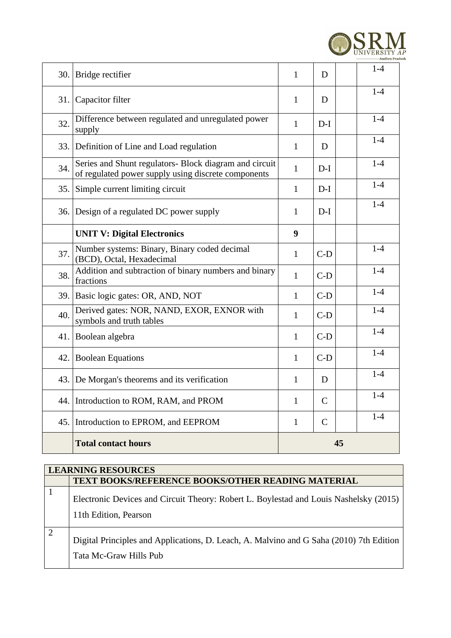

|     | 30. Bridge rectifier                                                                                          | $\mathbf{1}$                 | D            | $1 - 4$ |
|-----|---------------------------------------------------------------------------------------------------------------|------------------------------|--------------|---------|
| 31. | Capacitor filter                                                                                              | 1                            | D            | $1 - 4$ |
| 32. | Difference between regulated and unregulated power<br>supply                                                  | $\mathbf{1}$                 | $D-I$        | $1-4$   |
|     | 33. Definition of Line and Load regulation                                                                    | 1                            | D            | $1 - 4$ |
| 34. | Series and Shunt regulators- Block diagram and circuit<br>of regulated power supply using discrete components | $\mathbf{1}$                 | $D-I$        | $1-4$   |
| 35. | Simple current limiting circuit                                                                               | $\mathbf{1}$                 | $D-I$        | $1-4$   |
| 36. | Design of a regulated DC power supply                                                                         |                              | $D-I$        | $1 - 4$ |
|     | <b>UNIT V: Digital Electronics</b>                                                                            | 9                            |              |         |
| 37. | Number systems: Binary, Binary coded decimal<br>(BCD), Octal, Hexadecimal                                     | $\mathbf{1}$                 | $C-D$        | $1 - 4$ |
| 38. | Addition and subtraction of binary numbers and binary<br>fractions                                            | $\mathbf{1}$                 | $C-D$        | $1-4$   |
|     | 39. Basic logic gates: OR, AND, NOT                                                                           | $\mathbf{1}$                 | $C-D$        | $1-4$   |
| 40. | Derived gates: NOR, NAND, EXOR, EXNOR with<br>symbols and truth tables                                        | $\mathbf{1}$                 | $C-D$        | $1 - 4$ |
| 41. | Boolean algebra                                                                                               | $\mathbf{1}$                 | $C-D$        | $1-4$   |
| 42. | <b>Boolean Equations</b>                                                                                      | $\mathbf{1}$                 | $C-D$        | $1-4$   |
| 43. | De Morgan's theorems and its verification                                                                     | $\mathbf{1}$                 | D            | $1 - 4$ |
|     | 44. Introduction to ROM, RAM, and PROM                                                                        | $\mathbf{1}$                 | $\mathsf{C}$ | $1-4$   |
|     | 45. Introduction to EPROM, and EEPROM                                                                         | $\mathsf{C}$<br>$\mathbf{1}$ |              | $1 - 4$ |
|     | <b>Total contact hours</b>                                                                                    | 45                           |              |         |

| <b>LEARNING RESOURCES</b>                                                                                         |
|-------------------------------------------------------------------------------------------------------------------|
| <b>TEXT BOOKS/REFERENCE BOOKS/OTHER READING MATERIAL</b>                                                          |
| Electronic Devices and Circuit Theory: Robert L. Boylestad and Louis Nashelsky (2015)<br>11th Edition, Pearson    |
| Digital Principles and Applications, D. Leach, A. Malvino and G Saha (2010) 7th Edition<br>Tata Mc-Graw Hills Pub |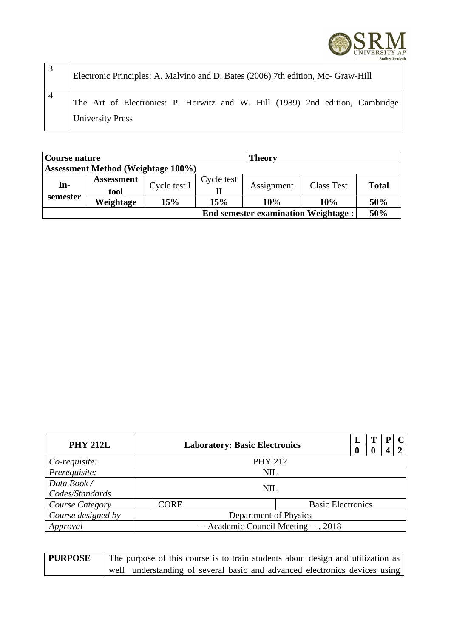

| Electronic Principles: A. Malvino and D. Bates (2006) 7th edition, Mc- Graw-Hill                        |
|---------------------------------------------------------------------------------------------------------|
| The Art of Electronics: P. Horwitz and W. Hill (1989) 2nd edition, Cambridge<br><b>University Press</b> |

| <b>Theory</b><br>Course nature             |                   |              |            |            |                   |              |  |  |
|--------------------------------------------|-------------------|--------------|------------|------------|-------------------|--------------|--|--|
| <b>Assessment Method (Weightage 100%)</b>  |                   |              |            |            |                   |              |  |  |
| In-<br>semester                            | <b>Assessment</b> | Cycle test I | Cycle test | Assignment | <b>Class Test</b> | <b>Total</b> |  |  |
|                                            | tool              |              |            |            |                   |              |  |  |
|                                            | Weightage         | 15%          | 15%        | 10%        | 10%               | 50%          |  |  |
| <b>End semester examination Weightage:</b> |                   |              |            |            |                   |              |  |  |

| <b>PHY 212L</b>                             | <b>Laboratory: Basic Electronics</b>    |                |  |                  | P        |   |  |
|---------------------------------------------|-----------------------------------------|----------------|--|------------------|----------|---|--|
|                                             |                                         |                |  | $\boldsymbol{0}$ | $\bf{0}$ | 4 |  |
| Co-requisite:                               |                                         | <b>PHY 212</b> |  |                  |          |   |  |
| Prerequisite:                               | <b>NIL</b>                              |                |  |                  |          |   |  |
| Data Book /                                 |                                         | NIL.           |  |                  |          |   |  |
| Codes/Standards                             |                                         |                |  |                  |          |   |  |
| Course Category                             | <b>Basic Electronics</b><br><b>CORE</b> |                |  |                  |          |   |  |
| Course designed by<br>Department of Physics |                                         |                |  |                  |          |   |  |
| Approval                                    | -- Academic Council Meeting --, 2018    |                |  |                  |          |   |  |

**PURPOSE** The purpose of this course is to train students about design and utilization as well understanding of several basic and advanced electronics devices using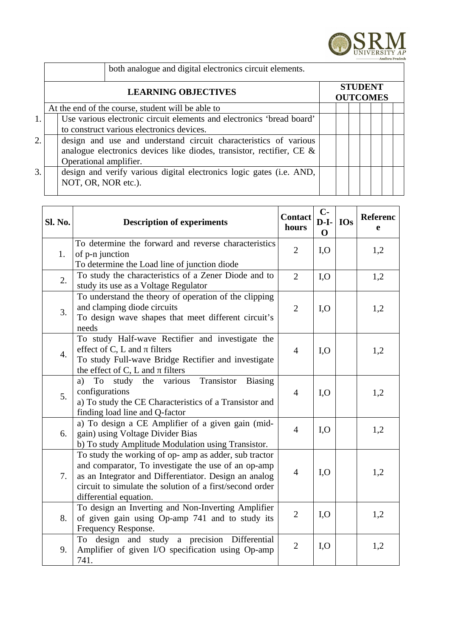

|    | both analogue and digital electronics circuit elements.               |                                   |  |  |  |  |  |
|----|-----------------------------------------------------------------------|-----------------------------------|--|--|--|--|--|
|    | <b>LEARNING OBJECTIVES</b>                                            | <b>STUDENT</b><br><b>OUTCOMES</b> |  |  |  |  |  |
|    | At the end of the course, student will be able to                     |                                   |  |  |  |  |  |
| 1. | Use various electronic circuit elements and electronics 'bread board' |                                   |  |  |  |  |  |
|    | to construct various electronics devices.                             |                                   |  |  |  |  |  |
| 2. | design and use and understand circuit characteristics of various      |                                   |  |  |  |  |  |
|    | analogue electronics devices like diodes, transistor, rectifier, CE & |                                   |  |  |  |  |  |
|    | Operational amplifier.                                                |                                   |  |  |  |  |  |
| 3. | design and verify various digital electronics logic gates (i.e. AND,  |                                   |  |  |  |  |  |
|    | NOT, OR, NOR etc.).                                                   |                                   |  |  |  |  |  |
|    |                                                                       |                                   |  |  |  |  |  |

| Sl. No. | <b>Description of experiments</b>                                                                                                                                                                                                                           | <b>Contact</b><br>hours | $C-$<br>$D-I-$<br>$\mathbf{O}$ | <b>IOs</b> | Referenc<br>e |
|---------|-------------------------------------------------------------------------------------------------------------------------------------------------------------------------------------------------------------------------------------------------------------|-------------------------|--------------------------------|------------|---------------|
| 1.      | To determine the forward and reverse characteristics<br>of p-n junction<br>To determine the Load line of junction diode                                                                                                                                     | $\overline{2}$          | I, O                           |            | 1,2           |
| 2.      | To study the characteristics of a Zener Diode and to<br>study its use as a Voltage Regulator                                                                                                                                                                | $\overline{2}$          | I, O                           |            | 1,2           |
| 3.      | To understand the theory of operation of the clipping<br>and clamping diode circuits<br>To design wave shapes that meet different circuit's<br>needs                                                                                                        | $\overline{2}$          | I, O                           |            | 1,2           |
| 4.      | To study Half-wave Rectifier and investigate the<br>effect of C, L and $\pi$ filters<br>To study Full-wave Bridge Rectifier and investigate<br>the effect of C, L and $\pi$ filters                                                                         | $\overline{4}$          | I, O                           |            | 1,2           |
| 5.      | study the various Transistor<br>To<br><b>Biasing</b><br>a)<br>configurations<br>a) To study the CE Characteristics of a Transistor and<br>finding load line and Q-factor                                                                                    | $\overline{4}$          | I, O                           |            | 1,2           |
| 6.      | a) To design a CE Amplifier of a given gain (mid-<br>gain) using Voltage Divider Bias<br>b) To study Amplitude Modulation using Transistor.                                                                                                                 | $\overline{4}$          | I, O                           |            | 1,2           |
| 7.      | To study the working of op- amp as adder, sub tractor<br>and comparator, To investigate the use of an op-amp<br>as an Integrator and Differentiator. Design an analog<br>circuit to simulate the solution of a first/second order<br>differential equation. | $\overline{4}$          | I, O                           |            | 1,2           |
| 8.      | To design an Inverting and Non-Inverting Amplifier<br>of given gain using Op-amp 741 and to study its<br>Frequency Response.                                                                                                                                | $\overline{2}$          | I, O                           |            | 1,2           |
| 9.      | design and study a precision Differential<br>To<br>Amplifier of given I/O specification using Op-amp<br>741.                                                                                                                                                | $\overline{2}$          | I, O                           |            | 1,2           |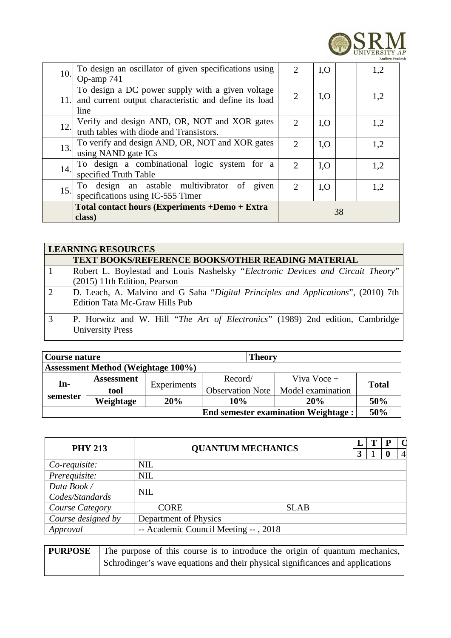

| 10. | To design an oscillator of given specifications using<br>Op-amp 741                                                   | $\mathcal{L}$ | I, O | 1,2 |  |
|-----|-----------------------------------------------------------------------------------------------------------------------|---------------|------|-----|--|
|     | To design a DC power supply with a given voltage<br>11. and current output characteristic and define its load<br>line | 2             | I, O | 1,2 |  |
| 12. | Verify and design AND, OR, NOT and XOR gates<br>truth tables with diode and Transistors.                              | $\mathcal{L}$ | I, O | 1,2 |  |
| 13. | To verify and design AND, OR, NOT and XOR gates<br>using NAND gate ICs                                                | $\mathcal{L}$ | I, O | 1,2 |  |
| 14. | To design a combinational logic system for a<br>specified Truth Table                                                 | $\mathcal{L}$ | I, O | 1,2 |  |
| 15. | design an astable multivibrator of<br>given<br>To<br>specifications using IC-555 Timer                                | $\mathcal{P}$ | I, O | 1,2 |  |
|     | Total contact hours (Experiments +Demo + Extra<br>class)                                                              | 38            |      |     |  |

|               | <b>LEARNING RESOURCES</b>                                                         |  |  |  |  |  |
|---------------|-----------------------------------------------------------------------------------|--|--|--|--|--|
|               | <b>TEXT BOOKS/REFERENCE BOOKS/OTHER READING MATERIAL</b>                          |  |  |  |  |  |
|               | Robert L. Boylestad and Louis Nashelsky "Electronic Devices and Circuit Theory"   |  |  |  |  |  |
|               | (2015) 11th Edition, Pearson                                                      |  |  |  |  |  |
| $\mathcal{L}$ | D. Leach, A. Malvino and G Saha "Digital Principles and Applications", (2010) 7th |  |  |  |  |  |
|               | <b>Edition Tata Mc-Graw Hills Pub</b>                                             |  |  |  |  |  |
| 3             | P. Horwitz and W. Hill "The Art of Electronics" (1989) 2nd edition, Cambridge     |  |  |  |  |  |
|               | <b>University Press</b>                                                           |  |  |  |  |  |

| <b>Theory</b><br>Course nature             |                   |             |                         |                   |       |  |  |
|--------------------------------------------|-------------------|-------------|-------------------------|-------------------|-------|--|--|
| <b>Assessment Method (Weightage 100%)</b>  |                   |             |                         |                   |       |  |  |
| In-<br>semester                            | <b>Assessment</b> | Experiments | Record/                 | Viva Voce +       | Total |  |  |
|                                            | tool              |             | <b>Observation Note</b> | Model examination |       |  |  |
|                                            | Weightage         | 20%         | 10%                     | 20%               | 50%   |  |  |
| <b>End semester examination Weightage:</b> |                   |             |                         |                   |       |  |  |

| <b>PHY 213</b>         | <b>QUANTUM MECHANICS</b>     |                                      |             |  | T | P | $\mathbf C$    |
|------------------------|------------------------------|--------------------------------------|-------------|--|---|---|----------------|
|                        |                              |                                      |             |  |   |   | $\overline{4}$ |
| Co-requisite:          | <b>NIL</b>                   |                                      |             |  |   |   |                |
| Prerequisite:          |                              | <b>NIL</b>                           |             |  |   |   |                |
| Data Book /            |                              | <b>NIL</b>                           |             |  |   |   |                |
| Codes/Standards        |                              |                                      |             |  |   |   |                |
| <b>Course Category</b> |                              | <b>CORE</b>                          | <b>SLAB</b> |  |   |   |                |
| Course designed by     | <b>Department of Physics</b> |                                      |             |  |   |   |                |
| Approval               |                              | -- Academic Council Meeting --, 2018 |             |  |   |   |                |

| <b>PURPOSE</b> | The purpose of this course is to introduce the origin of quantum mechanics,    |
|----------------|--------------------------------------------------------------------------------|
|                | Schrodinger's wave equations and their physical significances and applications |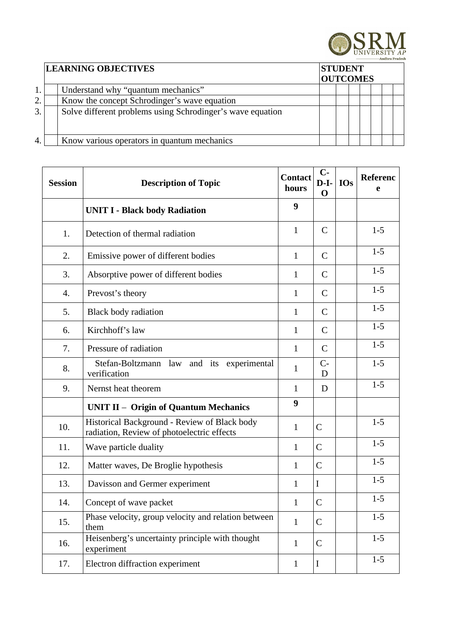

|              | <b>LEARNING OBJECTIVES</b><br><b>STUDENT</b><br><b>OUTCOMES</b> |  |  |  |  |  |  |  |  |
|--------------|-----------------------------------------------------------------|--|--|--|--|--|--|--|--|
|              | Understand why "quantum mechanics"                              |  |  |  |  |  |  |  |  |
| 2.           | Know the concept Schrodinger's wave equation                    |  |  |  |  |  |  |  |  |
| $\mathbf{3}$ | Solve different problems using Schrodinger's wave equation      |  |  |  |  |  |  |  |  |
|              | Know various operators in quantum mechanics                     |  |  |  |  |  |  |  |  |

| <b>Session</b> | <b>Description of Topic</b>                                                                | <b>Contact</b><br>hours | $C-$<br>$D-I-$<br>$\mathbf 0$ | <b>IOs</b> | Referenc<br>e |
|----------------|--------------------------------------------------------------------------------------------|-------------------------|-------------------------------|------------|---------------|
|                | <b>UNIT I - Black body Radiation</b>                                                       | 9                       |                               |            |               |
| 1.             | Detection of thermal radiation                                                             | 1                       | $\mathsf{C}$                  |            | $1-5$         |
| 2.             | Emissive power of different bodies                                                         | $\mathbf{1}$            | $\mathsf{C}$                  |            | $1 - 5$       |
| 3.             | Absorptive power of different bodies                                                       | $\mathbf{1}$            | $\mathsf{C}$                  |            | $1-5$         |
| 4.             | Prevost's theory                                                                           | 1                       | $\mathsf{C}$                  |            | $1-5$         |
| 5.             | <b>Black body radiation</b>                                                                | 1                       | $\mathsf{C}$                  |            | $1-5$         |
| 6.             | Kirchhoff's law                                                                            | 1                       | $\mathsf{C}$                  |            | $1-5$         |
| 7.             | Pressure of radiation                                                                      | $\mathbf{1}$            | $\mathsf{C}$                  |            | $1-5$         |
| 8.             | Stefan-Boltzmann law and its experimental<br>verification                                  | $\mathbf{1}$            | $C-$<br>D                     |            | $1-5$         |
| 9.             | Nernst heat theorem                                                                        | $\mathbf{1}$            | D                             |            | $1 - 5$       |
|                | UNIT II - Origin of Quantum Mechanics                                                      | 9                       |                               |            |               |
| 10.            | Historical Background - Review of Black body<br>radiation, Review of photoelectric effects | $\mathbf{1}$            | $\mathsf{C}$                  |            | $1-5$         |
| 11.            | Wave particle duality                                                                      | $\mathbf{1}$            | $\mathsf{C}$                  |            | $1 - 5$       |
| 12.            | Matter waves, De Broglie hypothesis                                                        | $\mathbf{1}$            | $\mathsf{C}$                  |            | $1 - 5$       |
| 13.            | Davisson and Germer experiment                                                             | $\mathbf{1}$            | $\mathbf I$                   |            | $1 - 5$       |
| 14.            | Concept of wave packet                                                                     | $\mathbf{1}$            | $\mathsf{C}$                  |            | $1 - 5$       |
| 15.            | Phase velocity, group velocity and relation between<br>them                                | $\mathbf{1}$            | $\mathsf{C}$                  |            | $1 - 5$       |
| 16.            | Heisenberg's uncertainty principle with thought<br>experiment                              | $\mathbf{1}$            | $\mathsf{C}$                  |            | $1-5$         |
| 17.            | Electron diffraction experiment                                                            | $\mathbf{1}$            | $\bf{I}$                      |            | $1 - 5$       |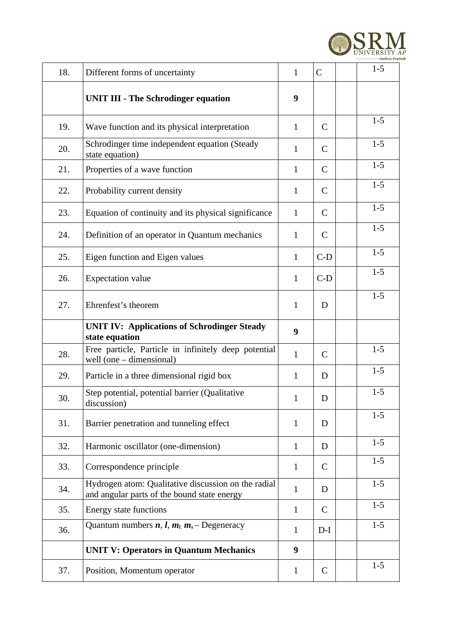

| 18. | Different forms of uncertainty                                                                     | $\mathbf{1}$ | $\mathsf{C}$ | $1-5$   |
|-----|----------------------------------------------------------------------------------------------------|--------------|--------------|---------|
|     | <b>UNIT III - The Schrodinger equation</b>                                                         | 9            |              |         |
| 19. | Wave function and its physical interpretation                                                      | $\mathbf{1}$ | $\mathsf{C}$ | $1-5$   |
| 20. | Schrodinger time independent equation (Steady<br>state equation)                                   | $\mathbf{1}$ | $\mathsf{C}$ | $1 - 5$ |
| 21. | Properties of a wave function                                                                      | $\mathbf{1}$ | C            | $1 - 5$ |
| 22. | Probability current density                                                                        | $\mathbf{1}$ | $\mathsf{C}$ | $1 - 5$ |
| 23. | Equation of continuity and its physical significance                                               | $\mathbf{1}$ | $\mathsf{C}$ | $1-5$   |
| 24. | Definition of an operator in Quantum mechanics                                                     | $\mathbf{1}$ | $\mathsf{C}$ | $1 - 5$ |
| 25. | Eigen function and Eigen values                                                                    | $\mathbf{1}$ | $C-D$        | $1-5$   |
| 26. | <b>Expectation value</b>                                                                           | $\mathbf{1}$ | $C-D$        | $1-5$   |
| 27. | Ehrenfest's theorem                                                                                | $\mathbf{1}$ | D            | $1 - 5$ |
|     | <b>UNIT IV: Applications of Schrodinger Steady</b><br>state equation                               | 9            |              |         |
| 28. | Free particle, Particle in infinitely deep potential<br>well (one $-$ dimensional)                 | $\mathbf{1}$ | $\mathsf{C}$ | $1-5$   |
| 29. | Particle in a three dimensional rigid box                                                          | $\mathbf{1}$ | D            | $1-5$   |
| 30. | Step potential, potential barrier (Qualitative<br>discussion)                                      | $\mathbf{1}$ | D            | $1 - 5$ |
| 31. | Barrier penetration and tunneling effect                                                           | 1            | D            | $1-5$   |
| 32. | Harmonic oscillator (one-dimension)                                                                | $\mathbf{1}$ | D            | $1-5$   |
| 33. | Correspondence principle                                                                           | $\mathbf{1}$ | C            | $1 - 5$ |
| 34. | Hydrogen atom: Qualitative discussion on the radial<br>and angular parts of the bound state energy | $\mathbf{1}$ | D            | $1-5$   |
| 35. | <b>Energy state functions</b>                                                                      | $\mathbf{1}$ | $\mathsf{C}$ | $1-5$   |
| 36. | Quantum numbers $n, l, m_l, m_s$ - Degeneracy                                                      | $\mathbf{1}$ | $D-I$        | $1-5$   |
|     | <b>UNIT V: Operators in Quantum Mechanics</b>                                                      | 9            |              |         |
| 37. | Position, Momentum operator                                                                        | $\mathbf{1}$ | $\mathsf{C}$ | $1 - 5$ |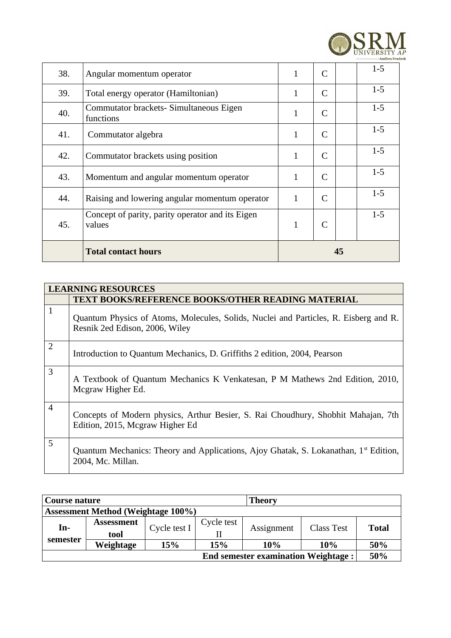

| 38. | Angular momentum operator                                  | 1            | C            |  | $1-5$   |
|-----|------------------------------------------------------------|--------------|--------------|--|---------|
| 39. | Total energy operator (Hamiltonian)                        | $\mathbf{1}$ | C            |  | $1-5$   |
| 40. | Commutator brackets- Simultaneous Eigen<br>functions       | 1            | C            |  | $1-5$   |
| 41. | Commutator algebra                                         | 1            | $\mathsf{C}$ |  | $1-5$   |
| 42. | Commutator brackets using position                         | 1            | $\mathsf{C}$ |  | $1-5$   |
| 43. | Momentum and angular momentum operator                     | 1            | $\mathsf{C}$ |  | $1 - 5$ |
| 44. | Raising and lowering angular momentum operator             | $\mathbf{1}$ | $\mathsf{C}$ |  | $1 - 5$ |
| 45. | Concept of parity, parity operator and its Eigen<br>values | 1            |              |  | $1-5$   |
|     | <b>Total contact hours</b>                                 | 45           |              |  |         |

|                | <b>LEARNING RESOURCES</b>                                                                                              |
|----------------|------------------------------------------------------------------------------------------------------------------------|
|                | <b>TEXT BOOKS/REFERENCE BOOKS/OTHER READING MATERIAL</b>                                                               |
| $\mathbf{1}$   | Quantum Physics of Atoms, Molecules, Solids, Nuclei and Particles, R. Eisberg and R.<br>Resnik 2ed Edison, 2006, Wiley |
| $\overline{2}$ | Introduction to Quantum Mechanics, D. Griffiths 2 edition, 2004, Pearson                                               |
| 3              | A Textbook of Quantum Mechanics K Venkatesan, P M Mathews 2nd Edition, 2010,<br>Mcgraw Higher Ed.                      |
| $\overline{4}$ | Concepts of Modern physics, Arthur Besier, S. Rai Choudhury, Shobhit Mahajan, 7th<br>Edition, 2015, Mcgraw Higher Ed   |
| 5              | Quantum Mechanics: Theory and Applications, Ajoy Ghatak, S. Lokanathan, 1 <sup>st</sup> Edition,<br>2004, Mc. Millan.  |

| Course nature                              |                   |              |            | <b>Theory</b> |                   |              |
|--------------------------------------------|-------------------|--------------|------------|---------------|-------------------|--------------|
| <b>Assessment Method (Weightage 100%)</b>  |                   |              |            |               |                   |              |
| In-                                        | <b>Assessment</b> | Cycle test I | Cycle test |               | <b>Class Test</b> | <b>Total</b> |
|                                            | tool              |              |            | Assignment    |                   |              |
| semester                                   | Weightage         | 15%          | 15%        | 10%           | 10%               | 50%          |
| <b>End semester examination Weightage:</b> |                   |              |            |               |                   |              |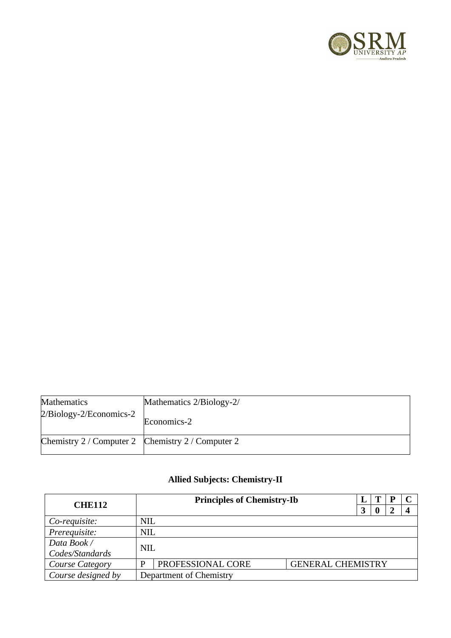

| <b>Mathematics</b>                                | Mathematics 2/Biology-2/ |
|---------------------------------------------------|--------------------------|
| $2/Biology-2/Economics-2$                         | Economics-2              |
| Chemistry 2 / Computer 2 Chemistry 2 / Computer 2 |                          |

## **Allied Subjects: Chemistry-II**

| <b>CHE112</b>      |            | <b>Principles of Chemistry-Ib</b> |                          |   |  |  |  |
|--------------------|------------|-----------------------------------|--------------------------|---|--|--|--|
|                    |            |                                   |                          | 3 |  |  |  |
| Co-requisite:      | <b>NIL</b> |                                   |                          |   |  |  |  |
| Prerequisite:      | <b>NIL</b> |                                   |                          |   |  |  |  |
| Data Book /        | <b>NIL</b> |                                   |                          |   |  |  |  |
| Codes/Standards    |            |                                   |                          |   |  |  |  |
| Course Category    | D          | PROFESSIONAL CORE                 | <b>GENERAL CHEMISTRY</b> |   |  |  |  |
| Course designed by |            | Department of Chemistry           |                          |   |  |  |  |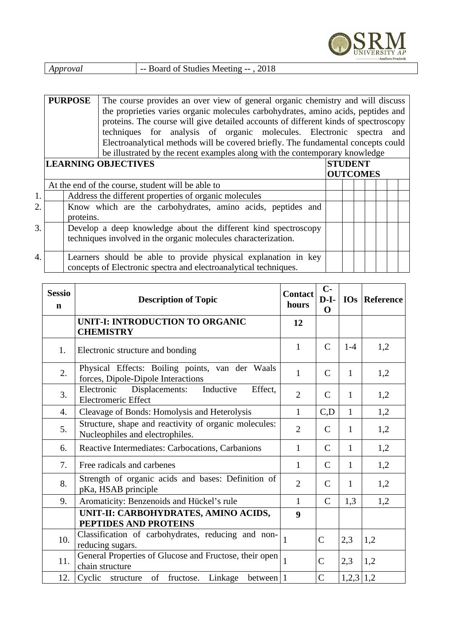

|  | Approval | -- Board of Studies Meeting --, 2018 |
|--|----------|--------------------------------------|
|--|----------|--------------------------------------|

|    | <b>PURPOSE</b><br>The course provides an over view of general organic chemistry and will discuss<br>the proprieties varies organic molecules carbohydrates, amino acids, peptides and<br>proteins. The course will give detailed accounts of different kinds of spectroscopy<br>techniques for analysis of organic molecules. Electronic spectra and<br>Electroanalytical methods will be covered briefly. The fundamental concepts could<br>be illustrated by the recent examples along with the contemporary knowledge |                                   |                                                                                                                                    |  |  |  |  |  |
|----|--------------------------------------------------------------------------------------------------------------------------------------------------------------------------------------------------------------------------------------------------------------------------------------------------------------------------------------------------------------------------------------------------------------------------------------------------------------------------------------------------------------------------|-----------------------------------|------------------------------------------------------------------------------------------------------------------------------------|--|--|--|--|--|
|    | <b>LEARNING OBJECTIVES</b>                                                                                                                                                                                                                                                                                                                                                                                                                                                                                               | <b>STUDENT</b><br><b>OUTCOMES</b> |                                                                                                                                    |  |  |  |  |  |
|    |                                                                                                                                                                                                                                                                                                                                                                                                                                                                                                                          |                                   | At the end of the course, student will be able to                                                                                  |  |  |  |  |  |
| 1. |                                                                                                                                                                                                                                                                                                                                                                                                                                                                                                                          |                                   | Address the different properties of organic molecules                                                                              |  |  |  |  |  |
| 2. |                                                                                                                                                                                                                                                                                                                                                                                                                                                                                                                          | proteins.                         | Know which are the carbohydrates, amino acids, peptides and                                                                        |  |  |  |  |  |
| 3. |                                                                                                                                                                                                                                                                                                                                                                                                                                                                                                                          |                                   | Develop a deep knowledge about the different kind spectroscopy<br>techniques involved in the organic molecules characterization.   |  |  |  |  |  |
| 4. |                                                                                                                                                                                                                                                                                                                                                                                                                                                                                                                          |                                   | Learners should be able to provide physical explanation in key<br>concepts of Electronic spectra and electroanalytical techniques. |  |  |  |  |  |

| <b>Sessio</b><br>$\mathbf n$ | <b>Description of Topic</b>                                                              | <b>Contact</b><br>hours | $C-$<br>$D-I-$<br>$\mathbf 0$ |              | IOs   Reference |
|------------------------------|------------------------------------------------------------------------------------------|-------------------------|-------------------------------|--------------|-----------------|
|                              | <b>UNIT-I: INTRODUCTION TO ORGANIC</b><br><b>CHEMISTRY</b>                               | 12                      |                               |              |                 |
| 1.                           | Electronic structure and bonding                                                         | $\mathbf{1}$            | $\mathsf{C}$                  | $1 - 4$      | 1,2             |
| 2.                           | Physical Effects: Boiling points, van der Waals<br>forces, Dipole-Dipole Interactions    | $\mathbf{1}$            | $\mathsf{C}$                  | $\mathbf{1}$ | 1,2             |
| 3.                           | Inductive<br>Electronic<br>Displacements:<br>Effect,<br><b>Electromeric Effect</b>       | $\overline{2}$          | $\mathsf{C}$                  | $\mathbf{1}$ | 1,2             |
| 4.                           | Cleavage of Bonds: Homolysis and Heterolysis                                             | $\mathbf{1}$            | C, D                          | $\mathbf{1}$ | 1,2             |
| 5.                           | Structure, shape and reactivity of organic molecules:<br>Nucleophiles and electrophiles. | $\overline{2}$          | C                             | $\mathbf{1}$ | 1,2             |
| 6.                           | Reactive Intermediates: Carbocations, Carbanions                                         | $\mathbf{1}$            | $\mathsf{C}$                  | $\mathbf{1}$ | 1,2             |
| 7.                           | Free radicals and carbenes                                                               | $\mathbf{1}$            | C                             | $\mathbf{1}$ | 1,2             |
| 8.                           | Strength of organic acids and bases: Definition of<br>pKa, HSAB principle                | $\overline{2}$          | C                             | $\mathbf{1}$ | 1,2             |
| 9.                           | Aromaticity: Benzenoids and Hückel's rule                                                | $\mathbf{1}$            | $\mathsf{C}$                  | 1,3          | 1,2             |
|                              | UNIT-II: CARBOHYDRATES, AMINO ACIDS,<br>PEPTIDES AND PROTEINS                            | 9                       |                               |              |                 |
| 10.                          | Classification of carbohydrates, reducing and non-<br>reducing sugars.                   | $\mathbf{1}$            | C                             | 2,3          | 1,2             |
| 11.                          | General Properties of Glucose and Fructose, their open<br>chain structure                | $\mathbf{1}$            | $\mathsf{C}$                  | 2,3          | 1,2             |
| 12.                          | of fructose.<br>Cyclic structure<br>between $ 1$<br>Linkage                              |                         | $\overline{C}$                | $1,2,3$ 1,2  |                 |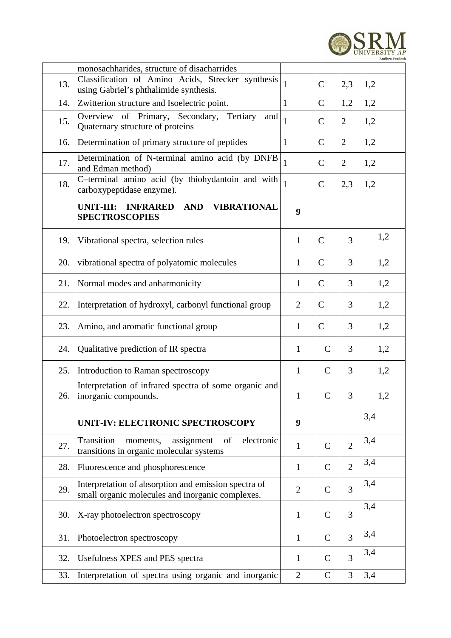

|     | monosachharides, structure of disacharrides                                                                     |                |              |                |     |
|-----|-----------------------------------------------------------------------------------------------------------------|----------------|--------------|----------------|-----|
| 13. | Classification of Amino Acids, Strecker synthesis<br>using Gabriel's phthalimide synthesis.                     | $\mathbf{1}$   | C            | 2,3            | 1,2 |
| 14. | Zwitterion structure and Isoelectric point.                                                                     | $\mathbf{1}$   | C            | 1,2            | 1,2 |
| 15. | Overview of Primary, Secondary, Tertiary<br>and<br>Quaternary structure of proteins                             | $\mathbf{1}$   | C            | 2              | 1,2 |
| 16. | Determination of primary structure of peptides                                                                  | $\mathbf{1}$   | C            | 2              | 1,2 |
| 17. | Determination of N-terminal amino acid (by DNFB<br>and Edman method)                                            | $\mathbf{1}$   | $\mathsf C$  | $\overline{2}$ | 1,2 |
| 18. | C-terminal amino acid (by thiohydantoin and with<br>carboxypeptidase enzyme).                                   | $\mathbf{1}$   | $\mathsf C$  | 2,3            | 1,2 |
|     | UNIT-III: INFRARED<br><b>AND</b><br><b>VIBRATIONAL</b><br><b>SPECTROSCOPIES</b>                                 | 9              |              |                |     |
| 19. | Vibrational spectra, selection rules                                                                            | $\mathbf{1}$   | $\mathsf C$  | 3              | 1,2 |
| 20. | vibrational spectra of polyatomic molecules                                                                     | $\mathbf{1}$   | $\mathsf C$  | 3              | 1,2 |
| 21. | Normal modes and anharmonicity                                                                                  | $\mathbf{1}$   | $\mathsf C$  | 3              | 1,2 |
| 22. | Interpretation of hydroxyl, carbonyl functional group                                                           | $\overline{2}$ | $\mathsf C$  | 3              | 1,2 |
| 23. | Amino, and aromatic functional group                                                                            | $\mathbf{1}$   | $\mathsf C$  | 3              | 1,2 |
| 24. | Qualitative prediction of IR spectra                                                                            | $\mathbf{1}$   | $\mathsf C$  | 3              | 1,2 |
| 25. | Introduction to Raman spectroscopy                                                                              | $\mathbf{1}$   | $\mathsf C$  | 3              | 1,2 |
| 26. | Interpretation of infrared spectra of some organic and<br>inorganic compounds.                                  | $\mathbf{1}$   | $\mathsf{C}$ | 3              | 1,2 |
|     | UNIT-IV: ELECTRONIC SPECTROSCOPY                                                                                | 9              |              |                | 3,4 |
| 27. | electronic<br>Transition<br>assignment<br><sub>of</sub><br>moments,<br>transitions in organic molecular systems | $\mathbf{1}$   | C            | $\overline{2}$ | 3,4 |
| 28. | Fluorescence and phosphorescence                                                                                | $\mathbf{1}$   | C            | $\overline{2}$ | 3,4 |
| 29. | Interpretation of absorption and emission spectra of<br>small organic molecules and inorganic complexes.        | $\overline{2}$ | C            | 3              | 3,4 |
| 30. | X-ray photoelectron spectroscopy                                                                                | $\mathbf{1}$   | $\mathsf C$  | 3              | 3,4 |
| 31. | Photoelectron spectroscopy                                                                                      | $\mathbf{1}$   | $\mathsf C$  | 3              | 3,4 |
| 32. | Usefulness XPES and PES spectra                                                                                 | $\mathbf{1}$   | C            | 3              | 3,4 |
| 33. | Interpretation of spectra using organic and inorganic                                                           | $\overline{2}$ | C            | 3              | 3,4 |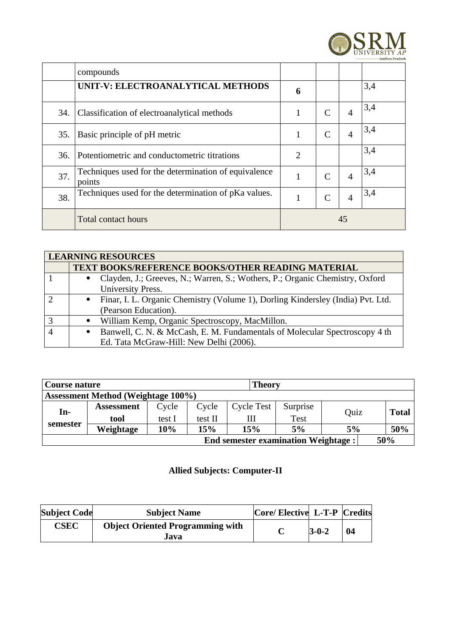

|     | compounds                                                      |              |   |                       |     |
|-----|----------------------------------------------------------------|--------------|---|-----------------------|-----|
|     | UNIT-V: ELECTROANALYTICAL METHODS                              | 6            |   |                       | 3,4 |
| 34. | Classification of electroanalytical methods                    | 1            | C | $\boldsymbol{\Delta}$ | 3,4 |
| 35. | Basic principle of pH metric                                   | 1            |   | $\overline{4}$        | 3,4 |
| 36. | Potentiometric and conductometric titrations                   | 2            |   |                       | 3,4 |
| 37. | Techniques used for the determination of equivalence<br>points | $\mathbf{1}$ | C | $\overline{4}$        | 3,4 |
| 38. | Techniques used for the determination of pKa values.           | 1            |   | $\overline{4}$        | 3,4 |
|     | <b>Total contact hours</b>                                     | 45           |   |                       |     |

|   | <b>LEARNING RESOURCES</b>                                                         |  |  |  |  |  |
|---|-----------------------------------------------------------------------------------|--|--|--|--|--|
|   | <b>TEXT BOOKS/REFERENCE BOOKS/OTHER READING MATERIAL</b>                          |  |  |  |  |  |
|   | Clayden, J.; Greeves, N.; Warren, S.; Wothers, P.; Organic Chemistry, Oxford      |  |  |  |  |  |
|   | <b>University Press.</b>                                                          |  |  |  |  |  |
|   | • Finar, I. L. Organic Chemistry (Volume 1), Dorling Kindersley (India) Pvt. Ltd. |  |  |  |  |  |
|   | (Pearson Education).                                                              |  |  |  |  |  |
| З | William Kemp, Organic Spectroscopy, MacMillon.                                    |  |  |  |  |  |
|   | Banwell, C. N. & McCash, E. M. Fundamentals of Molecular Spectroscopy 4 th        |  |  |  |  |  |
|   | Ed. Tata McGraw-Hill: New Delhi (2006).                                           |  |  |  |  |  |

| <b>Theory</b><br>Course nature |                                                   |        |         |                   |             |      |       |
|--------------------------------|---------------------------------------------------|--------|---------|-------------------|-------------|------|-------|
|                                | <b>Assessment Method (Weightage 100%)</b>         |        |         |                   |             |      |       |
| In-                            | <b>Assessment</b>                                 | Cycle  | Cycle   | <b>Cycle Test</b> | Surprise    | Ouiz | Total |
|                                | tool                                              | test I | test II | Ш                 | <b>Test</b> |      |       |
| semester                       | Weightage                                         | 10%    | 15%     | 15%               | 5%          | 5%   | 50%   |
|                                | <b>End semester examination Weightage:</b><br>50% |        |         |                   |             |      |       |

## **Allied Subjects: Computer-II**

| <b>Subject Code</b> | <b>Subject Name</b>                     | Core/ Elective L-T-P Credits |    |  |
|---------------------|-----------------------------------------|------------------------------|----|--|
| <b>CSEC</b>         | <b>Object Oriented Programming with</b> | $3-0-2$                      | 04 |  |
|                     | Java                                    |                              |    |  |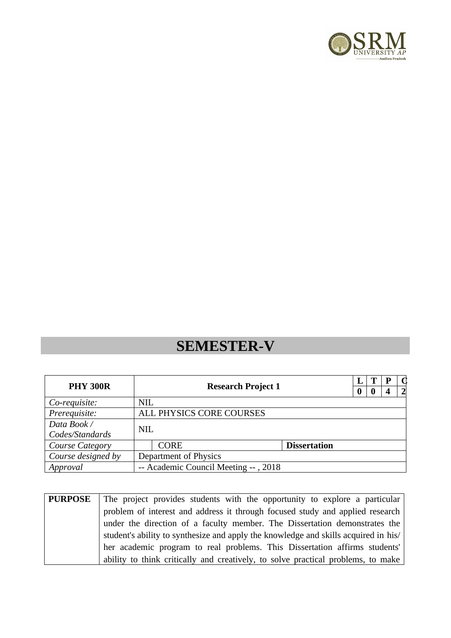

# **SEMESTER-V**

| <b>PHY 300R</b>    |                       | <b>Research Project 1</b>            |                     |  |  | $\overline{2}$ |
|--------------------|-----------------------|--------------------------------------|---------------------|--|--|----------------|
| Co-requisite:      | <b>NIL</b>            |                                      |                     |  |  |                |
| Prerequisite:      |                       | ALL PHYSICS CORE COURSES             |                     |  |  |                |
| Data Book /        |                       | <b>NIL</b>                           |                     |  |  |                |
| Codes/Standards    |                       |                                      |                     |  |  |                |
| Course Category    |                       | <b>CORE</b>                          | <b>Dissertation</b> |  |  |                |
| Course designed by | Department of Physics |                                      |                     |  |  |                |
| Approval           |                       | -- Academic Council Meeting --, 2018 |                     |  |  |                |

| <b>PURPOSE</b> | The project provides students with the opportunity to explore a particular          |
|----------------|-------------------------------------------------------------------------------------|
|                | problem of interest and address it through focused study and applied research       |
|                | under the direction of a faculty member. The Dissertation demonstrates the          |
|                | student's ability to synthesize and apply the knowledge and skills acquired in his/ |
|                | her academic program to real problems. This Dissertation affirms students'          |
|                | ability to think critically and creatively, to solve practical problems, to make    |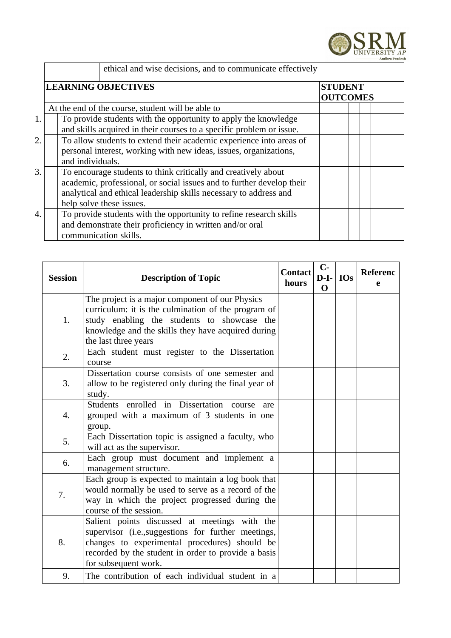

|    | ethical and wise decisions, and to communicate effectively            |                 |  |  |  |  |  |
|----|-----------------------------------------------------------------------|-----------------|--|--|--|--|--|
|    | <b>LEARNING OBJECTIVES</b>                                            | <b>STUDENT</b>  |  |  |  |  |  |
|    |                                                                       | <b>OUTCOMES</b> |  |  |  |  |  |
|    |                                                                       |                 |  |  |  |  |  |
|    | At the end of the course, student will be able to                     |                 |  |  |  |  |  |
| 1. | To provide students with the opportunity to apply the knowledge       |                 |  |  |  |  |  |
|    | and skills acquired in their courses to a specific problem or issue.  |                 |  |  |  |  |  |
| 2. | To allow students to extend their academic experience into areas of   |                 |  |  |  |  |  |
|    | personal interest, working with new ideas, issues, organizations,     |                 |  |  |  |  |  |
|    | and individuals.                                                      |                 |  |  |  |  |  |
| 3. | To encourage students to think critically and creatively about        |                 |  |  |  |  |  |
|    | academic, professional, or social issues and to further develop their |                 |  |  |  |  |  |
|    | analytical and ethical leadership skills necessary to address and     |                 |  |  |  |  |  |
|    | help solve these issues.                                              |                 |  |  |  |  |  |
| 4. | To provide students with the opportunity to refine research skills    |                 |  |  |  |  |  |
|    | and demonstrate their proficiency in written and/or oral              |                 |  |  |  |  |  |
|    | communication skills.                                                 |                 |  |  |  |  |  |

| <b>Session</b> | <b>Description of Topic</b>                                                                                                                                                                                                          | <b>Contact</b><br>hours | $C-$<br>$D-I-$<br>$\mathbf 0$ | <b>IOs</b> | <b>Referenc</b><br>e |
|----------------|--------------------------------------------------------------------------------------------------------------------------------------------------------------------------------------------------------------------------------------|-------------------------|-------------------------------|------------|----------------------|
| 1.             | The project is a major component of our Physics<br>curriculum: it is the culmination of the program of<br>study enabling the students to showcase the<br>knowledge and the skills they have acquired during<br>the last three years  |                         |                               |            |                      |
| 2.             | Each student must register to the Dissertation<br>course                                                                                                                                                                             |                         |                               |            |                      |
| 3.             | Dissertation course consists of one semester and<br>allow to be registered only during the final year of<br>study.                                                                                                                   |                         |                               |            |                      |
| 4.             | Students enrolled in Dissertation course<br>are<br>grouped with a maximum of 3 students in one<br>group.                                                                                                                             |                         |                               |            |                      |
| 5.             | Each Dissertation topic is assigned a faculty, who<br>will act as the supervisor.                                                                                                                                                    |                         |                               |            |                      |
| 6.             | Each group must document and implement a<br>management structure.                                                                                                                                                                    |                         |                               |            |                      |
| 7.             | Each group is expected to maintain a log book that<br>would normally be used to serve as a record of the<br>way in which the project progressed during the<br>course of the session.                                                 |                         |                               |            |                      |
| 8.             | Salient points discussed at meetings with the<br>supervisor (i.e., suggestions for further meetings,<br>changes to experimental procedures) should be<br>recorded by the student in order to provide a basis<br>for subsequent work. |                         |                               |            |                      |
| 9.             | The contribution of each individual student in a                                                                                                                                                                                     |                         |                               |            |                      |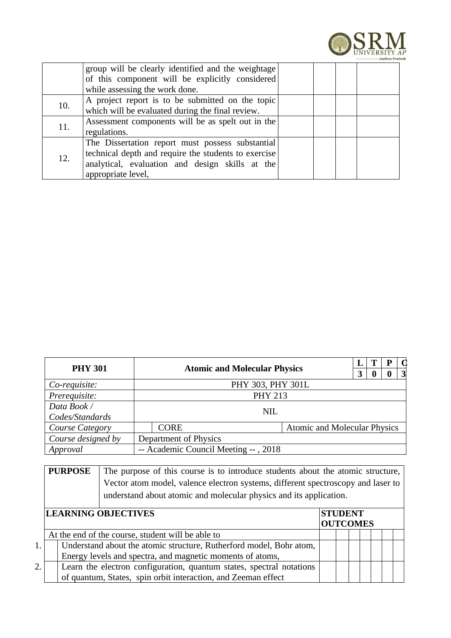

|     | group will be clearly identified and the weightage<br>of this component will be explicitly considered |  |  |
|-----|-------------------------------------------------------------------------------------------------------|--|--|
|     | while assessing the work done.                                                                        |  |  |
| 10. | A project report is to be submitted on the topic                                                      |  |  |
|     | which will be evaluated during the final review.                                                      |  |  |
| 11. | Assessment components will be as spelt out in the                                                     |  |  |
|     | regulations.                                                                                          |  |  |
|     | The Dissertation report must possess substantial                                                      |  |  |
| 12. | technical depth and require the students to exercise                                                  |  |  |
|     | analytical, evaluation and design skills at the                                                       |  |  |
|     | appropriate level,                                                                                    |  |  |

| <b>PHY 301</b>     |                                                    |                                      |  |  |  | р | $\Omega$        |  |  |
|--------------------|----------------------------------------------------|--------------------------------------|--|--|--|---|-----------------|--|--|
|                    |                                                    | <b>Atomic and Molecular Physics</b>  |  |  |  |   | $\vert 3 \vert$ |  |  |
| Co-requisite:      | PHY 303, PHY 301L                                  |                                      |  |  |  |   |                 |  |  |
| Prerequisite:      |                                                    | <b>PHY 213</b>                       |  |  |  |   |                 |  |  |
| Data Book /        |                                                    |                                      |  |  |  |   |                 |  |  |
| Codes/Standards    | <b>NIL</b>                                         |                                      |  |  |  |   |                 |  |  |
| Course Category    | <b>Atomic and Molecular Physics</b><br><b>CORE</b> |                                      |  |  |  |   |                 |  |  |
| Course designed by |                                                    | Department of Physics                |  |  |  |   |                 |  |  |
| Approval           |                                                    | -- Academic Council Meeting --, 2018 |  |  |  |   |                 |  |  |

| <b>PURPOSE</b> | The purpose of this course is to introduce students about the atomic structure,  |
|----------------|----------------------------------------------------------------------------------|
|                | Vector atom model, valence electron systems, different spectroscopy and laser to |
|                | understand about atomic and molecular physics and its application.               |

|  | <b>LEARNING OBJECTIVES</b>                                           | <b>STUDENT</b>  |  |  |  |  |  |  |
|--|----------------------------------------------------------------------|-----------------|--|--|--|--|--|--|
|  |                                                                      | <b>OUTCOMES</b> |  |  |  |  |  |  |
|  | At the end of the course, student will be able to                    |                 |  |  |  |  |  |  |
|  | Understand about the atomic structure, Rutherford model, Bohr atom,  |                 |  |  |  |  |  |  |
|  | Energy levels and spectra, and magnetic moments of atoms,            |                 |  |  |  |  |  |  |
|  | Learn the electron configuration, quantum states, spectral notations |                 |  |  |  |  |  |  |
|  | of quantum, States, spin orbit interaction, and Zeeman effect        |                 |  |  |  |  |  |  |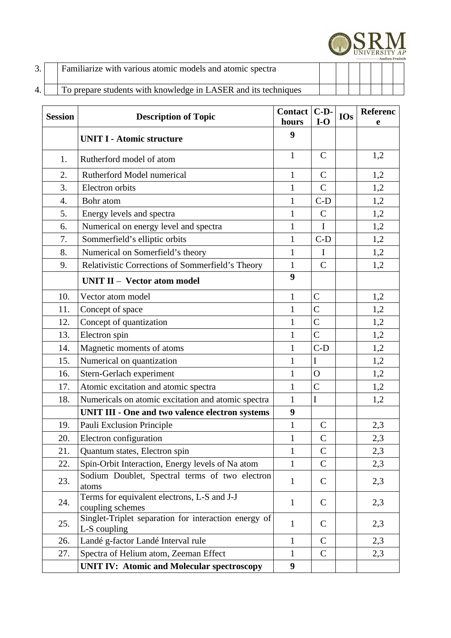

| 3.               | Familiarize with various atomic models and atomic spectra      |  |  |  |  |
|------------------|----------------------------------------------------------------|--|--|--|--|
| $\overline{4}$ . | To prepare students with knowledge in LASER and its techniques |  |  |  |  |

| <b>Session</b> | <b>Description of Topic</b>                                          | <b>Contact</b><br>hours | $C-D-$<br>$I-O$ | <b>IOs</b> | Referenc<br>e |
|----------------|----------------------------------------------------------------------|-------------------------|-----------------|------------|---------------|
|                | <b>UNIT I - Atomic structure</b>                                     | 9                       |                 |            |               |
| 1.             | Rutherford model of atom                                             | $\mathbf{1}$            | $\mathsf{C}$    |            | 1,2           |
| 2.             | Rutherford Model numerical                                           | $\mathbf{1}$            | $\mathsf C$     |            | 1,2           |
| 3.             | Electron orbits                                                      | $\mathbf{1}$            | $\mathsf{C}$    |            | 1,2           |
| 4.             | Bohr atom                                                            | $\mathbf{1}$            | $C-D$           |            | 1,2           |
| 5.             | Energy levels and spectra                                            | $\mathbf{1}$            | $\mathsf{C}$    |            | 1,2           |
| 6.             | Numerical on energy level and spectra                                | $\mathbf{1}$            | $\mathbf I$     |            | 1,2           |
| 7.             | Sommerfield's elliptic orbits                                        | $\mathbf{1}$            | $C-D$           |            | 1,2           |
| 8.             | Numerical on Somerfield's theory                                     | $\mathbf{1}$            | $\mathbf I$     |            | 1,2           |
| 9.             | Relativistic Corrections of Sommerfield's Theory                     | $\mathbf{1}$            | $\mathsf{C}$    |            | 1,2           |
|                | <b>UNIT II - Vector atom model</b>                                   | 9                       |                 |            |               |
| 10.            | Vector atom model                                                    | $\mathbf{1}$            | $\mathsf C$     |            | 1,2           |
| 11.            | Concept of space                                                     | $\mathbf 1$             | $\overline{C}$  |            | 1,2           |
| 12.            | Concept of quantization                                              | $\mathbf{1}$            | $\mathsf C$     |            | 1,2           |
| 13.            | Electron spin                                                        | $\mathbf{1}$            | $\overline{C}$  |            | 1,2           |
| 14.            | Magnetic moments of atoms                                            | $\mathbf{1}$            | $C-D$           |            | 1,2           |
| 15.            | Numerical on quantization                                            | $\mathbf{1}$            | $\mathbf I$     |            | 1,2           |
| 16.            | Stern-Gerlach experiment                                             | $\mathbf{1}$            | $\overline{O}$  |            | 1,2           |
| 17.            | Atomic excitation and atomic spectra                                 | $\mathbf{1}$            | $\overline{C}$  |            | 1,2           |
| 18.            | Numericals on atomic excitation and atomic spectra                   | $\mathbf{1}$            | I               |            | 1,2           |
|                | <b>UNIT III - One and two valence electron systems</b>               | $\boldsymbol{9}$        |                 |            |               |
| 19.            | Pauli Exclusion Principle                                            | $\mathbf{1}$            | $\mathsf{C}$    |            | 2,3           |
| 20.            | Electron configuration                                               | $\mathbf{1}$            | $\mathsf C$     |            | 2,3           |
| 21.            | Quantum states, Electron spin                                        | $\mathbf{1}$            | $\mathsf C$     |            | 2,3           |
| 22.            | Spin-Orbit Interaction, Energy levels of Na atom                     | $\mathbf{1}$            | C               |            | 2,3           |
| 23.            | Sodium Doublet, Spectral terms of two electron<br>atoms              | $\mathbf{1}$            | C               |            | 2,3           |
| 24.            | Terms for equivalent electrons, L-S and J-J<br>coupling schemes      | $\mathbf{1}$            | $\mathsf{C}$    |            | 2,3           |
| 25.            | Singlet-Triplet separation for interaction energy of<br>L-S coupling | $\mathbf{1}$            | C               |            | 2,3           |
| 26.            | Landé g-factor Landé Interval rule                                   | $\mathbf{1}$            | $\mathsf{C}$    |            | 2,3           |
| 27.            | Spectra of Helium atom, Zeeman Effect                                | $\mathbf{1}$            | $\mathsf{C}$    |            | 2,3           |
|                | <b>UNIT IV: Atomic and Molecular spectroscopy</b>                    | $\boldsymbol{9}$        |                 |            |               |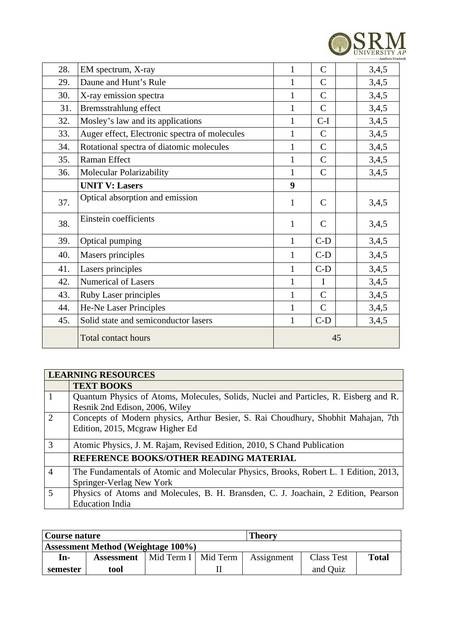

| 28. | EM spectrum, X-ray                            | $\mathbf 1$  | $\mathsf{C}$ | 3,4,5 |
|-----|-----------------------------------------------|--------------|--------------|-------|
| 29. | Daune and Hunt's Rule                         | $\mathbf 1$  | C            | 3,4,5 |
| 30. | X-ray emission spectra                        | $\mathbf 1$  | $\mathsf{C}$ | 3,4,5 |
| 31. | Bremsstrahlung effect                         | $\mathbf 1$  | $\mathsf{C}$ | 3,4,5 |
| 32. | Mosley's law and its applications             | $\mathbf 1$  | $C-I$        | 3,4,5 |
| 33. | Auger effect, Electronic spectra of molecules | $\mathbf{1}$ | $\mathsf{C}$ | 3,4,5 |
| 34. | Rotational spectra of diatomic molecules      | $\mathbf 1$  | $\mathsf{C}$ | 3,4,5 |
| 35. | Raman Effect                                  | $\mathbf 1$  | C            | 3,4,5 |
| 36. | <b>Molecular Polarizability</b>               | $\mathbf{1}$ | $\mathsf{C}$ | 3,4,5 |
|     | <b>UNIT V: Lasers</b>                         | 9            |              |       |
| 37. | Optical absorption and emission               | $\mathbf{1}$ | $\mathsf{C}$ | 3,4,5 |
| 38. | Einstein coefficients                         | $\mathbf{1}$ | $\mathsf{C}$ | 3,4,5 |
| 39. | Optical pumping                               | $\mathbf{1}$ | $C-D$        | 3,4,5 |
| 40. | Masers principles                             | $\mathbf{1}$ | $C-D$        | 3,4,5 |
| 41. | Lasers principles                             | $\mathbf{1}$ | $C-D$        | 3,4,5 |
| 42. | <b>Numerical of Lasers</b>                    | $\mathbf{1}$ | $\mathbf I$  | 3,4,5 |
| 43. | <b>Ruby Laser principles</b>                  | $\mathbf{1}$ | $\mathsf{C}$ | 3,4,5 |
| 44. | He-Ne Laser Principles                        | 1            | $\mathsf{C}$ | 3,4,5 |
| 45. | Solid state and semiconductor lasers          | $\mathbf{1}$ | $C-D$        | 3,4,5 |
|     | <b>Total contact hours</b>                    |              | 45           |       |

|                | <b>LEARNING RESOURCES</b>                                                                                              |
|----------------|------------------------------------------------------------------------------------------------------------------------|
|                | <b>TEXT BOOKS</b>                                                                                                      |
| 1              | Quantum Physics of Atoms, Molecules, Solids, Nuclei and Particles, R. Eisberg and R.<br>Resnik 2nd Edison, 2006, Wiley |
| $\mathcal{L}$  | Concepts of Modern physics, Arthur Besier, S. Rai Choudhury, Shobhit Mahajan, 7th<br>Edition, 2015, Mcgraw Higher Ed   |
| 3              | Atomic Physics, J. M. Rajam, Revised Edition, 2010, S Chand Publication                                                |
|                | <b>REFERENCE BOOKS/OTHER READING MATERIAL</b>                                                                          |
| $\overline{4}$ | The Fundamentals of Atomic and Molecular Physics, Brooks, Robert L. 1 Edition, 2013,<br>Springer-Verlag New York       |
| .5             | Physics of Atoms and Molecules, B. H. Bransden, C. J. Joachain, 2 Edition, Pearson<br><b>Education India</b>           |

| <b>Theory</b><br>  Course nature   |                   |                       |  |            |                   |              |
|------------------------------------|-------------------|-----------------------|--|------------|-------------------|--------------|
| Assessment Method (Weightage 100%) |                   |                       |  |            |                   |              |
| In-                                | <b>Assessment</b> | Mid Term I   Mid Term |  | Assignment | <b>Class Test</b> | <b>Total</b> |
| semester                           | tool              |                       |  |            | and Quiz          |              |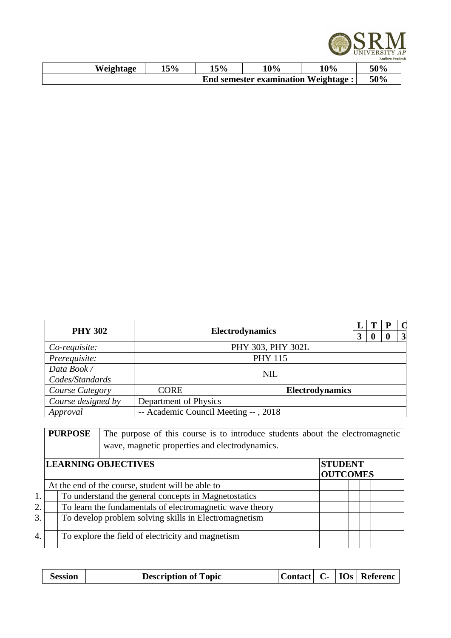

| Weightage | 15% | 5% | 10%                                 | 10% | 50% |
|-----------|-----|----|-------------------------------------|-----|-----|
|           |     |    | End semester examination Weightage: |     | 50% |

| <b>PHY 302</b>         |  |                                      | <b>Electrodynamics</b> |                        |  | T | P | $\bigcap$       |
|------------------------|--|--------------------------------------|------------------------|------------------------|--|---|---|-----------------|
|                        |  |                                      |                        |                        |  |   |   | $\vert 3 \vert$ |
| Co-requisite:          |  |                                      | PHY 303, PHY 302L      |                        |  |   |   |                 |
| Prerequisite:          |  | <b>PHY 115</b>                       |                        |                        |  |   |   |                 |
| Data Book /            |  |                                      |                        |                        |  |   |   |                 |
| Codes/Standards        |  | <b>NIL</b>                           |                        |                        |  |   |   |                 |
| <b>Course Category</b> |  | <b>CORE</b>                          |                        | <b>Electrodynamics</b> |  |   |   |                 |
| Course designed by     |  | <b>Department of Physics</b>         |                        |                        |  |   |   |                 |
| Approval               |  | -- Academic Council Meeting --, 2018 |                        |                        |  |   |   |                 |

|    | <b>PURPOSE</b> | The purpose of this course is to introduce students about the electromagnetic<br>wave, magnetic properties and electrodynamics. |                                   |  |  |
|----|----------------|---------------------------------------------------------------------------------------------------------------------------------|-----------------------------------|--|--|
|    |                | <b>LEARNING OBJECTIVES</b>                                                                                                      | <b>STUDENT</b><br><b>OUTCOMES</b> |  |  |
|    |                | At the end of the course, student will be able to                                                                               |                                   |  |  |
| 1. |                | To understand the general concepts in Magnetostatics                                                                            |                                   |  |  |
| 2. |                | To learn the fundamentals of electromagnetic wave theory                                                                        |                                   |  |  |
| 3. |                | To develop problem solving skills in Electromagnetism                                                                           |                                   |  |  |
| 4. |                | To explore the field of electricity and magnetism                                                                               |                                   |  |  |

|--|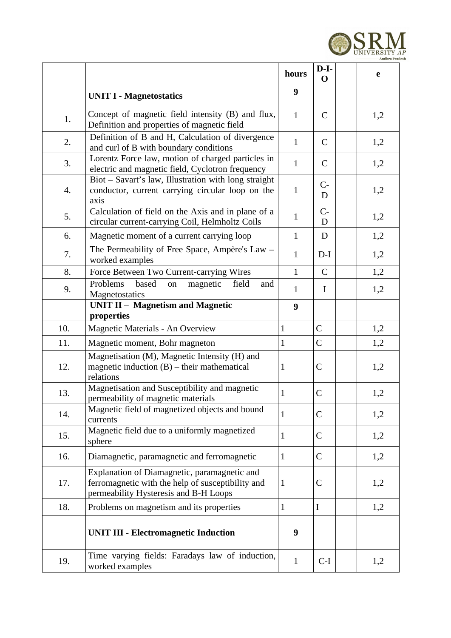

|     |                                                                                                                                            | hours        | $D-I-$<br>$\mathbf 0$ | e   |
|-----|--------------------------------------------------------------------------------------------------------------------------------------------|--------------|-----------------------|-----|
|     | <b>UNIT I - Magnetostatics</b>                                                                                                             | 9            |                       |     |
| 1.  | Concept of magnetic field intensity (B) and flux,<br>Definition and properties of magnetic field                                           | $\mathbf{1}$ | $\mathsf{C}$          | 1,2 |
| 2.  | Definition of B and H, Calculation of divergence<br>and curl of B with boundary conditions                                                 | $\mathbf{1}$ | $\mathsf{C}$          | 1,2 |
| 3.  | Lorentz Force law, motion of charged particles in<br>electric and magnetic field, Cyclotron frequency                                      | $\mathbf{1}$ | $\mathsf{C}$          | 1,2 |
| 4.  | Biot - Savart's law, Illustration with long straight<br>conductor, current carrying circular loop on the<br>axis                           | $\mathbf{1}$ | $C -$<br>D            | 1,2 |
| 5.  | Calculation of field on the Axis and in plane of a<br>circular current-carrying Coil, Helmholtz Coils                                      | $\mathbf{1}$ | $C-$<br>D             | 1,2 |
| 6.  | Magnetic moment of a current carrying loop                                                                                                 | $\mathbf{1}$ | D                     | 1,2 |
| 7.  | The Permeability of Free Space, Ampère's Law -<br>worked examples                                                                          | $\mathbf{1}$ | $D-I$                 | 1,2 |
| 8.  | Force Between Two Current-carrying Wires                                                                                                   | $\mathbf{1}$ | $\mathsf{C}$          | 1,2 |
| 9.  | Problems<br>based<br>magnetic<br>field<br>on<br>and<br>Magnetostatics                                                                      | $\mathbf{1}$ | $\mathbf I$           | 1,2 |
|     | <b>UNIT II - Magnetism and Magnetic</b>                                                                                                    | 9            |                       |     |
| 10. | properties                                                                                                                                 | $\mathbf{1}$ | $\mathsf{C}$          |     |
|     | Magnetic Materials - An Overview                                                                                                           |              |                       | 1,2 |
| 11. | Magnetic moment, Bohr magneton                                                                                                             | $\mathbf{1}$ | $\mathsf C$           | 1,2 |
| 12. | Magnetisation (M), Magnetic Intensity (H) and<br>magnetic induction $(B)$ – their mathematical<br>relations                                | $\mathbf{1}$ | $\mathsf C$           | 1,2 |
| 13. | Magnetisation and Susceptibility and magnetic<br>permeability of magnetic materials                                                        | $\mathbf{1}$ | C                     | 1,2 |
| 14. | Magnetic field of magnetized objects and bound<br>currents                                                                                 | $\mathbf{1}$ | $\mathsf C$           | 1,2 |
| 15. | Magnetic field due to a uniformly magnetized<br>sphere                                                                                     | $\mathbf{1}$ | $\mathsf C$           | 1,2 |
| 16. | Diamagnetic, paramagnetic and ferromagnetic                                                                                                | $\mathbf{1}$ | $\mathsf C$           | 1,2 |
| 17. | Explanation of Diamagnetic, paramagnetic and<br>ferromagnetic with the help of susceptibility and<br>permeability Hysteresis and B-H Loops | $\mathbf{1}$ | C                     | 1,2 |
| 18. | Problems on magnetism and its properties                                                                                                   | $\mathbf{1}$ | $\mathbf I$           | 1,2 |
|     | <b>UNIT III - Electromagnetic Induction</b>                                                                                                | 9            |                       |     |
| 19. | Time varying fields: Faradays law of induction,<br>worked examples                                                                         | $\mathbf{1}$ | $C-I$                 | 1,2 |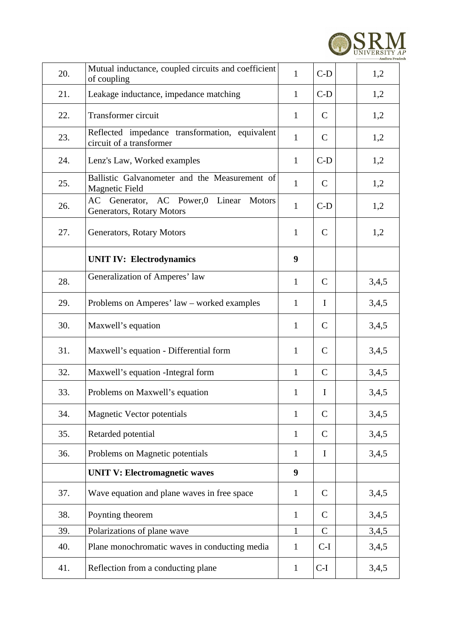

| 20. | Mutual inductance, coupled circuits and coefficient<br>of coupling                      | $\mathbf{1}$ | $C-D$        | 1,2   |
|-----|-----------------------------------------------------------------------------------------|--------------|--------------|-------|
| 21. | Leakage inductance, impedance matching                                                  | $\mathbf{1}$ | $C-D$        | 1,2   |
| 22. | Transformer circuit                                                                     | $\mathbf{1}$ | $\mathsf{C}$ | 1,2   |
| 23. | Reflected impedance transformation, equivalent<br>circuit of a transformer              | $\mathbf{1}$ | $\mathsf{C}$ | 1,2   |
| 24. | Lenz's Law, Worked examples                                                             | $\mathbf{1}$ | $C-D$        | 1,2   |
| 25. | Ballistic Galvanometer and the Measurement of<br><b>Magnetic Field</b>                  | $\mathbf{1}$ | $\mathsf{C}$ | 1,2   |
| 26. | AC<br>Generator, AC Power,0 Linear<br><b>Motors</b><br><b>Generators, Rotary Motors</b> | $\mathbf{1}$ | $C-D$        | 1,2   |
| 27. | Generators, Rotary Motors                                                               | $\mathbf{1}$ | $\mathsf{C}$ | 1,2   |
|     | <b>UNIT IV: Electrodynamics</b>                                                         | 9            |              |       |
| 28. | Generalization of Amperes' law                                                          | $\mathbf{1}$ | $\mathsf{C}$ | 3,4,5 |
| 29. | Problems on Amperes' law – worked examples                                              | $\mathbf{1}$ | $\mathbf I$  | 3,4,5 |
| 30. | Maxwell's equation                                                                      | $\mathbf{1}$ | C            | 3,4,5 |
| 31. | Maxwell's equation - Differential form                                                  | $\mathbf{1}$ | $\mathsf{C}$ | 3,4,5 |
| 32. | Maxwell's equation - Integral form                                                      | $\mathbf{1}$ | $\mathsf{C}$ | 3,4,5 |
| 33. | Problems on Maxwell's equation                                                          | $\mathbf{1}$ | Ι            | 3,4,5 |
| 34. | <b>Magnetic Vector potentials</b>                                                       | $\mathbf{1}$ | $\mathsf{C}$ | 3,4,5 |
| 35. | Retarded potential                                                                      | $\mathbf{1}$ | $\mathsf{C}$ | 3,4,5 |
| 36. | Problems on Magnetic potentials                                                         | $\mathbf{1}$ | $\bf{I}$     | 3,4,5 |
|     | <b>UNIT V: Electromagnetic waves</b>                                                    | 9            |              |       |
| 37. | Wave equation and plane waves in free space                                             | $\mathbf{1}$ | $\mathsf{C}$ | 3,4,5 |
| 38. | Poynting theorem                                                                        | $\mathbf{1}$ | $\mathsf{C}$ | 3,4,5 |
| 39. | Polarizations of plane wave                                                             | $\mathbf{1}$ | $\mathsf{C}$ | 3,4,5 |
| 40. | Plane monochromatic waves in conducting media                                           | $\mathbf{1}$ | $C-I$        | 3,4,5 |
| 41. | Reflection from a conducting plane                                                      | $\mathbf{1}$ | $C-I$        | 3,4,5 |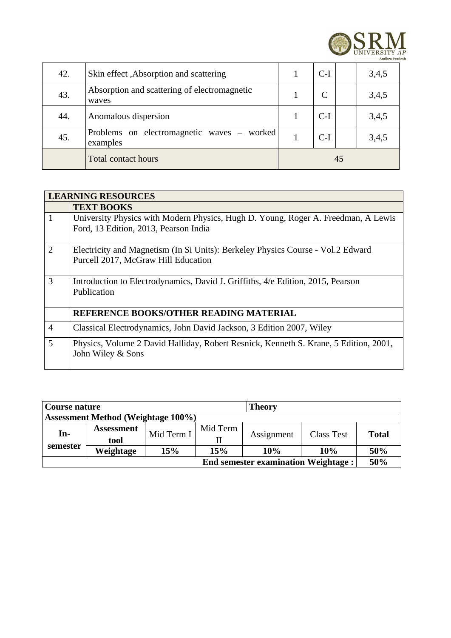

| 42. | Skin effect , Absorption and scattering                | $C-I$ |    | 3,4,5 |
|-----|--------------------------------------------------------|-------|----|-------|
| 43. | Absorption and scattering of electromagnetic<br>waves  |       |    | 3,4,5 |
| 44. | Anomalous dispersion                                   | $C-I$ |    | 3,4,5 |
| 45. | Problems on electromagnetic waves - worked<br>examples | $C-I$ |    | 3,4,5 |
|     | <b>Total contact hours</b>                             |       | 45 |       |

| <b>LEARNING RESOURCES</b> |                                                                                                                            |  |  |  |  |  |
|---------------------------|----------------------------------------------------------------------------------------------------------------------------|--|--|--|--|--|
|                           | <b>TEXT BOOKS</b>                                                                                                          |  |  |  |  |  |
| $\mathbf{1}$              | University Physics with Modern Physics, Hugh D. Young, Roger A. Freedman, A Lewis<br>Ford, 13 Edition, 2013, Pearson India |  |  |  |  |  |
| 2                         | Electricity and Magnetism (In Si Units): Berkeley Physics Course - Vol.2 Edward<br>Purcell 2017, McGraw Hill Education     |  |  |  |  |  |
| $\mathbf{3}$              | Introduction to Electrodynamics, David J. Griffiths, 4/e Edition, 2015, Pearson<br>Publication                             |  |  |  |  |  |
|                           | REFERENCE BOOKS/OTHER READING MATERIAL                                                                                     |  |  |  |  |  |
| $\overline{4}$            | Classical Electrodynamics, John David Jackson, 3 Edition 2007, Wiley                                                       |  |  |  |  |  |
| 5                         | Physics, Volume 2 David Halliday, Robert Resnick, Kenneth S. Krane, 5 Edition, 2001,<br>John Wiley & Sons                  |  |  |  |  |  |

| Course nature                              |                   |            |          | <b>Theory</b> |            |              |  |  |  |  |
|--------------------------------------------|-------------------|------------|----------|---------------|------------|--------------|--|--|--|--|
| <b>Assessment Method (Weightage 100%)</b>  |                   |            |          |               |            |              |  |  |  |  |
| In-<br>semester                            | <b>Assessment</b> | Mid Term I | Mid Term | Assignment    | Class Test |              |  |  |  |  |
|                                            | tool              |            |          |               |            | <b>Total</b> |  |  |  |  |
|                                            | Weightage         | 15%        | 15%      | 10%           | 10%        | 50%          |  |  |  |  |
| <b>End semester examination Weightage:</b> |                   |            |          |               |            |              |  |  |  |  |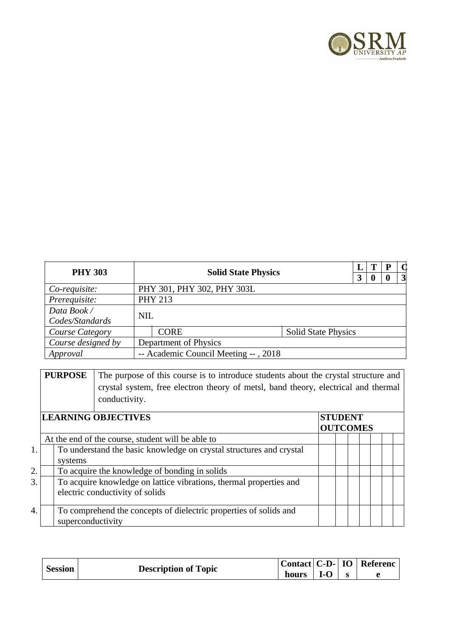

| <b>PHY 303</b><br><b>Solid State Physics</b> |            |                                      | T                          | P | $\mathbf \Omega$ |  |                 |
|----------------------------------------------|------------|--------------------------------------|----------------------------|---|------------------|--|-----------------|
|                                              |            |                                      |                            | 3 | 0                |  | $\vert 3 \vert$ |
| Co-requisite:                                |            | PHY 301, PHY 302, PHY 303L           |                            |   |                  |  |                 |
| Prerequisite:                                |            | <b>PHY 213</b>                       |                            |   |                  |  |                 |
| Data Book /                                  |            |                                      |                            |   |                  |  |                 |
| Codes/Standards                              | <b>NIL</b> |                                      |                            |   |                  |  |                 |
| Course Category                              |            | <b>CORE</b>                          | <b>Solid State Physics</b> |   |                  |  |                 |
| Course designed by                           |            | Department of Physics                |                            |   |                  |  |                 |
| Approval                                     |            | -- Academic Council Meeting --, 2018 |                            |   |                  |  |                 |

**PURPOSE** The purpose of this course is to introduce students about the crystal structure and crystal system, free electron theory of metsl, band theory, electrical and thermal conductivity.

|    | <b>LEARNING OBJECTIVES</b>                                          | <b>STUDENT</b><br><b>OUTCOMES</b> |  |  |  |  |  |  |  |  |
|----|---------------------------------------------------------------------|-----------------------------------|--|--|--|--|--|--|--|--|
|    | At the end of the course, student will be able to                   |                                   |  |  |  |  |  |  |  |  |
| 1. | To understand the basic knowledge on crystal structures and crystal |                                   |  |  |  |  |  |  |  |  |
|    | systems                                                             |                                   |  |  |  |  |  |  |  |  |
| 2. | To acquire the knowledge of bonding in solids                       |                                   |  |  |  |  |  |  |  |  |
| 3. | To acquire knowledge on lattice vibrations, thermal properties and  |                                   |  |  |  |  |  |  |  |  |
|    | electric conductivity of solids                                     |                                   |  |  |  |  |  |  |  |  |
|    |                                                                     |                                   |  |  |  |  |  |  |  |  |
| 4. | To comprehend the concepts of dielectric properties of solids and   |                                   |  |  |  |  |  |  |  |  |
|    | superconductivity                                                   |                                   |  |  |  |  |  |  |  |  |

|         | <b>Description of Topic</b> | Contact   C-D-   IO |       | $^{\mathrm{+}}$ Referenc $_{\mathrm{+}}$ |
|---------|-----------------------------|---------------------|-------|------------------------------------------|
| Session |                             | hours               | $I-O$ |                                          |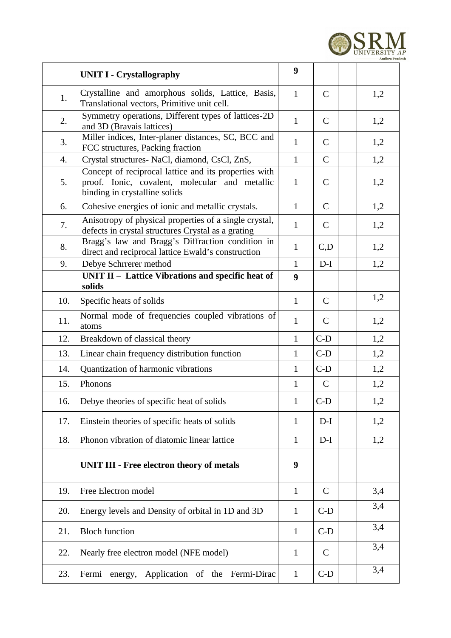

|     | <b>UNIT I - Crystallography</b>                                                                                                          | 9            |              |     |
|-----|------------------------------------------------------------------------------------------------------------------------------------------|--------------|--------------|-----|
| 1.  | Crystalline and amorphous solids, Lattice, Basis,<br>Translational vectors, Primitive unit cell.                                         | $\mathbf{1}$ | $\mathsf{C}$ | 1,2 |
| 2.  | Symmetry operations, Different types of lattices-2D<br>and 3D (Bravais lattices)                                                         | $\mathbf{1}$ | $\mathsf{C}$ | 1,2 |
| 3.  | Miller indices, Inter-planer distances, SC, BCC and<br>FCC structures, Packing fraction                                                  | $\mathbf{1}$ | $\mathsf{C}$ | 1,2 |
| 4.  | Crystal structures- NaCl, diamond, CsCl, ZnS,                                                                                            | $\mathbf{1}$ | $\mathsf{C}$ | 1,2 |
| 5.  | Concept of reciprocal lattice and its properties with<br>proof. Ionic, covalent, molecular and metallic<br>binding in crystalline solids | $\mathbf{1}$ | $\mathsf{C}$ | 1,2 |
| 6.  | Cohesive energies of ionic and metallic crystals.                                                                                        | $\mathbf{1}$ | $\mathsf{C}$ | 1,2 |
| 7.  | Anisotropy of physical properties of a single crystal,<br>defects in crystal structures Crystal as a grating                             | $\mathbf{1}$ | $\mathsf{C}$ | 1,2 |
| 8.  | Bragg's law and Bragg's Diffraction condition in<br>direct and reciprocal lattice Ewald's construction                                   | $\mathbf{1}$ | C,D          | 1,2 |
| 9.  | Debye Schrrerer method                                                                                                                   | $\mathbf{1}$ | $D-I$        | 1,2 |
|     | UNIT II - Lattice Vibrations and specific heat of<br>solids                                                                              | 9            |              |     |
| 10. | Specific heats of solids                                                                                                                 | $\mathbf{1}$ | $\mathsf{C}$ | 1,2 |
| 11. | Normal mode of frequencies coupled vibrations of<br>atoms                                                                                | $\mathbf{1}$ | $\mathsf{C}$ | 1,2 |
| 12. | Breakdown of classical theory                                                                                                            | $\mathbf{1}$ | $C-D$        | 1,2 |
| 13. | Linear chain frequency distribution function                                                                                             | $\mathbf{1}$ | $C-D$        | 1,2 |
| 14. | Quantization of harmonic vibrations                                                                                                      | $\mathbf{1}$ | $C-D$        | 1,2 |
| 15. | Phonons                                                                                                                                  | $\mathbf{1}$ | $\mathsf{C}$ | 1,2 |
| 16. | Debye theories of specific heat of solids                                                                                                | 1            | $C-D$        | 1,2 |
| 17. | Einstein theories of specific heats of solids                                                                                            | $\mathbf{1}$ | $D-I$        | 1,2 |
| 18. | Phonon vibration of diatomic linear lattice                                                                                              | $\mathbf{1}$ | $D-I$        | 1,2 |
|     | <b>UNIT III - Free electron theory of metals</b>                                                                                         | 9            |              |     |
| 19. | Free Electron model                                                                                                                      | $\mathbf{1}$ | $\mathsf{C}$ | 3,4 |
| 20. | Energy levels and Density of orbital in 1D and 3D                                                                                        | $\mathbf{1}$ | $C-D$        | 3,4 |
| 21. | <b>Bloch function</b>                                                                                                                    | $\mathbf{1}$ | $C-D$        | 3,4 |
| 22. | Nearly free electron model (NFE model)                                                                                                   | $\mathbf{1}$ | $\mathsf{C}$ | 3,4 |
| 23. | energy, Application of the Fermi-Dirac<br>Fermi                                                                                          | $\mathbf{1}$ | $C-D$        | 3,4 |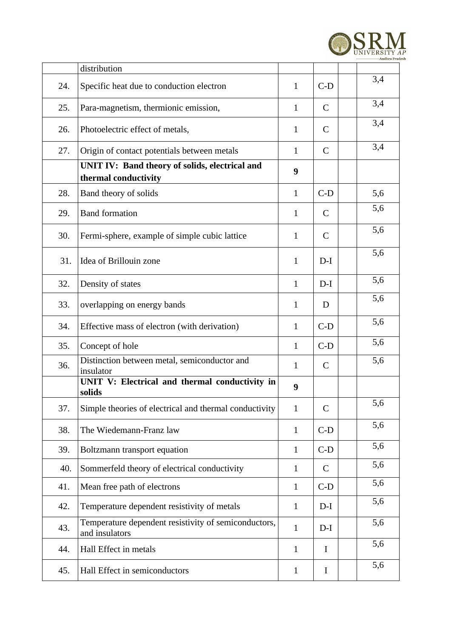

|     | distribution                                                           |              |              |     |
|-----|------------------------------------------------------------------------|--------------|--------------|-----|
| 24. | Specific heat due to conduction electron                               | $\mathbf{1}$ | $C-D$        | 3,4 |
| 25. | Para-magnetism, thermionic emission,                                   | $\mathbf{1}$ | $\mathsf{C}$ | 3,4 |
| 26. | Photoelectric effect of metals,                                        | $\mathbf{1}$ | C            | 3,4 |
| 27. | Origin of contact potentials between metals                            | $\mathbf{1}$ | $\mathsf{C}$ | 3,4 |
|     | UNIT IV: Band theory of solids, electrical and<br>thermal conductivity | 9            |              |     |
| 28. | Band theory of solids                                                  | $\mathbf{1}$ | $C-D$        | 5,6 |
| 29. | <b>Band formation</b>                                                  | $\mathbf{1}$ | C            | 5,6 |
| 30. | Fermi-sphere, example of simple cubic lattice                          | $\mathbf{1}$ | $\mathsf{C}$ | 5,6 |
| 31. | Idea of Brillouin zone                                                 | $\mathbf{1}$ | $D-I$        | 5,6 |
| 32. | Density of states                                                      | $\mathbf{1}$ | $D-I$        | 5,6 |
| 33. | overlapping on energy bands                                            | $\mathbf{1}$ | D            | 5,6 |
| 34. | Effective mass of electron (with derivation)                           | $\mathbf{1}$ | $C-D$        | 5,6 |
| 35. | Concept of hole                                                        | $\mathbf{1}$ | $C-D$        | 5,6 |
| 36. | Distinction between metal, semiconductor and<br>insulator              | $\mathbf{1}$ | C            | 5,6 |
|     | UNIT V: Electrical and thermal conductivity in<br>solids               | 9            |              |     |
| 37. | Simple theories of electrical and thermal conductivity                 | $\mathbf{1}$ | C            | 5,6 |
| 38. | The Wiedemann-Franz law                                                | $\mathbf{1}$ | $C-D$        | 5,6 |
| 39. | Boltzmann transport equation                                           | $\mathbf{1}$ | $C-D$        | 5,6 |
| 40. | Sommerfeld theory of electrical conductivity                           | $\mathbf{1}$ | $\mathsf{C}$ | 5,6 |
| 41. | Mean free path of electrons                                            | $\mathbf{1}$ | $C-D$        | 5,6 |
| 42. | Temperature dependent resistivity of metals                            | $\mathbf{1}$ | $D-I$        | 5,6 |
| 43. | Temperature dependent resistivity of semiconductors,<br>and insulators | $\mathbf{1}$ | $D-I$        | 5,6 |
| 44. | Hall Effect in metals                                                  | $\mathbf{1}$ | $\mathbf I$  | 5,6 |
| 45. | Hall Effect in semiconductors                                          | $\mathbf{1}$ | $\bf{I}$     | 5,6 |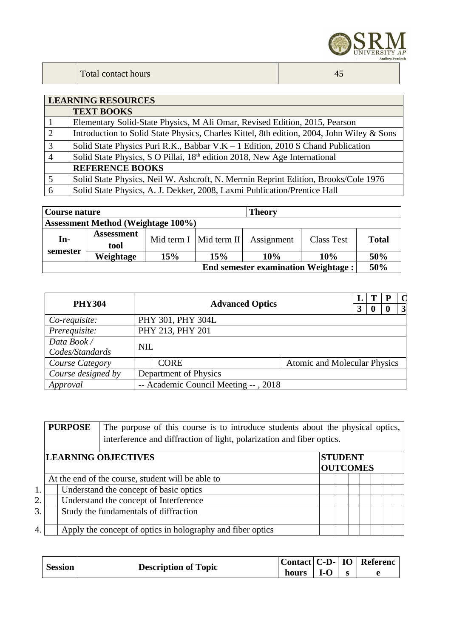

|                | <b>LEARNING RESOURCES</b>                                                                 |  |  |  |  |  |  |  |
|----------------|-------------------------------------------------------------------------------------------|--|--|--|--|--|--|--|
|                | <b>TEXT BOOKS</b>                                                                         |  |  |  |  |  |  |  |
|                | Elementary Solid-State Physics, M Ali Omar, Revised Edition, 2015, Pearson                |  |  |  |  |  |  |  |
| 2              | Introduction to Solid State Physics, Charles Kittel, 8th edition, 2004, John Wiley & Sons |  |  |  |  |  |  |  |
| $\overline{3}$ | Solid State Physics Puri R.K., Babbar V.K $-1$ Edition, 2010 S Chand Publication          |  |  |  |  |  |  |  |
| $\overline{4}$ | Solid State Physics, S O Pillai, 18 <sup>th</sup> edition 2018, New Age International     |  |  |  |  |  |  |  |
|                | <b>REFERENCE BOOKS</b>                                                                    |  |  |  |  |  |  |  |
| 5              | Solid State Physics, Neil W. Ashcroft, N. Mermin Reprint Edition, Brooks/Cole 1976        |  |  |  |  |  |  |  |
| 6              | Solid State Physics, A. J. Dekker, 2008, Laxmi Publication/Prentice Hall                  |  |  |  |  |  |  |  |

| Course nature                             |                                            |     |                          | <b>Theory</b> |            |       |  |
|-------------------------------------------|--------------------------------------------|-----|--------------------------|---------------|------------|-------|--|
| <b>Assessment Method (Weightage 100%)</b> |                                            |     |                          |               |            |       |  |
| In-                                       | <b>Assessment</b><br>tool                  |     | Mid term I   Mid term II | Assignment    | Class Test | Total |  |
| semester                                  | Weightage                                  | 15% | 15%                      | 10%           | 10%        | 50%   |  |
|                                           | <b>End semester examination Weightage:</b> |     |                          |               |            |       |  |

| <b>PHY304</b>      |            | <b>Advanced Optics</b>               |                                     |  | T | P | $\mathbf \Omega$ |
|--------------------|------------|--------------------------------------|-------------------------------------|--|---|---|------------------|
|                    |            |                                      |                                     |  | 0 |   | $\vert 3 \vert$  |
| Co-requisite:      |            | PHY 301, PHY 304L                    |                                     |  |   |   |                  |
| Prerequisite:      |            | PHY 213, PHY 201                     |                                     |  |   |   |                  |
| Data Book /        | <b>NIL</b> |                                      |                                     |  |   |   |                  |
| Codes/Standards    |            |                                      |                                     |  |   |   |                  |
| Course Category    |            | <b>CORE</b>                          | <b>Atomic and Molecular Physics</b> |  |   |   |                  |
| Course designed by |            | Department of Physics                |                                     |  |   |   |                  |
| Approval           |            | -- Academic Council Meeting --, 2018 |                                     |  |   |   |                  |

|    | <b>PURPOSE</b> | The purpose of this course is to introduce students about the physical optics,<br>interference and diffraction of light, polarization and fiber optics. |  |                 |  |  |  |  |  |
|----|----------------|---------------------------------------------------------------------------------------------------------------------------------------------------------|--|-----------------|--|--|--|--|--|
|    |                | <b>LEARNING OBJECTIVES</b>                                                                                                                              |  | <b>STUDENT</b>  |  |  |  |  |  |
|    |                |                                                                                                                                                         |  | <b>OUTCOMES</b> |  |  |  |  |  |
|    |                | At the end of the course, student will be able to                                                                                                       |  |                 |  |  |  |  |  |
| 1. |                | Understand the concept of basic optics                                                                                                                  |  |                 |  |  |  |  |  |
| 2. |                | Understand the concept of Interference                                                                                                                  |  |                 |  |  |  |  |  |
| 3. |                | Study the fundamentals of diffraction                                                                                                                   |  |                 |  |  |  |  |  |
|    |                |                                                                                                                                                         |  |                 |  |  |  |  |  |
| 4. |                | Apply the concept of optics in holography and fiber optics                                                                                              |  |                 |  |  |  |  |  |

|         |                             |       |                              | $ $ Contact $ $ C-D- $ $ IO $ $ Referenc |
|---------|-----------------------------|-------|------------------------------|------------------------------------------|
| Session | <b>Description of Topic</b> | hours | $\overline{\phantom{a}}$ I-O |                                          |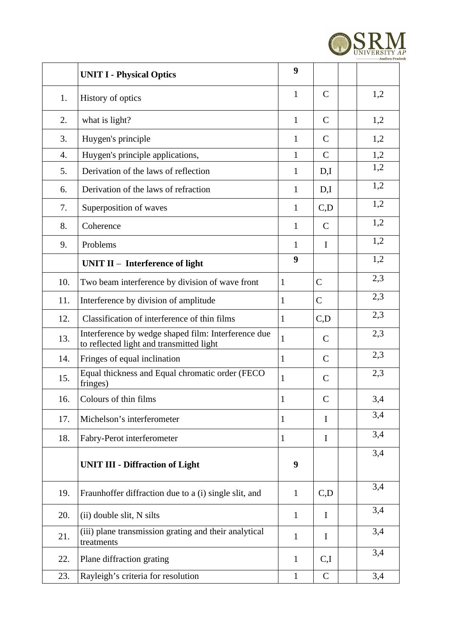

|     | <b>UNIT I - Physical Optics</b>                                                                 | 9            |              |     |
|-----|-------------------------------------------------------------------------------------------------|--------------|--------------|-----|
| 1.  | History of optics                                                                               | $\mathbf{1}$ | $\mathsf{C}$ | 1,2 |
| 2.  | what is light?                                                                                  | $\mathbf{1}$ | $\mathsf{C}$ | 1,2 |
| 3.  | Huygen's principle                                                                              | $\mathbf{1}$ | C            | 1,2 |
| 4.  | Huygen's principle applications,                                                                | $\mathbf{1}$ | $\mathsf{C}$ | 1,2 |
| 5.  | Derivation of the laws of reflection                                                            | $\mathbf{1}$ | D,I          | 1,2 |
| 6.  | Derivation of the laws of refraction                                                            | $\mathbf{1}$ | D,I          | 1,2 |
| 7.  | Superposition of waves                                                                          | $\mathbf{1}$ | C, D         | 1,2 |
| 8.  | Coherence                                                                                       | $\mathbf{1}$ | $\mathsf{C}$ | 1,2 |
| 9.  | Problems                                                                                        | $\mathbf{1}$ | $\mathbf I$  | 1,2 |
|     | UNIT $II$ – Interference of light                                                               | 9            |              | 1,2 |
| 10. | Two beam interference by division of wave front                                                 | $\mathbf{1}$ | $\mathsf C$  | 2,3 |
| 11. | Interference by division of amplitude                                                           | $\mathbf{1}$ | $\mathsf{C}$ | 2,3 |
| 12. | Classification of interference of thin films                                                    | $\mathbf{1}$ | C, D         | 2,3 |
| 13. | Interference by wedge shaped film: Interference due<br>to reflected light and transmitted light | $\mathbf{1}$ | $\mathsf{C}$ | 2,3 |
| 14. | Fringes of equal inclination                                                                    | $\mathbf{1}$ | $\mathsf{C}$ | 2,3 |
| 15. | Equal thickness and Equal chromatic order (FECO<br>fringes)                                     | $\mathbf{1}$ | C            | 2,3 |
| 16. | Colours of thin films                                                                           | $\mathbf{1}$ | C            | 3,4 |
| 17. | Michelson's interferometer                                                                      | $\mathbf{1}$ | I            | 3,4 |
| 18. | Fabry-Perot interferometer                                                                      | $\mathbf{1}$ | Ι            | 3,4 |
|     | <b>UNIT III - Diffraction of Light</b>                                                          | 9            |              | 3,4 |
| 19. | Fraunhoffer diffraction due to a (i) single slit, and                                           | $\mathbf{1}$ | C, D         | 3,4 |
| 20. | (ii) double slit, N silts                                                                       | $\mathbf{1}$ | I            | 3,4 |
| 21. | (iii) plane transmission grating and their analytical<br>treatments                             | $\mathbf{1}$ | I            | 3,4 |
| 22. | Plane diffraction grating                                                                       | $\mathbf{1}$ | C,I          | 3,4 |
| 23. | Rayleigh's criteria for resolution                                                              | $\mathbf{1}$ | $\mathsf{C}$ | 3,4 |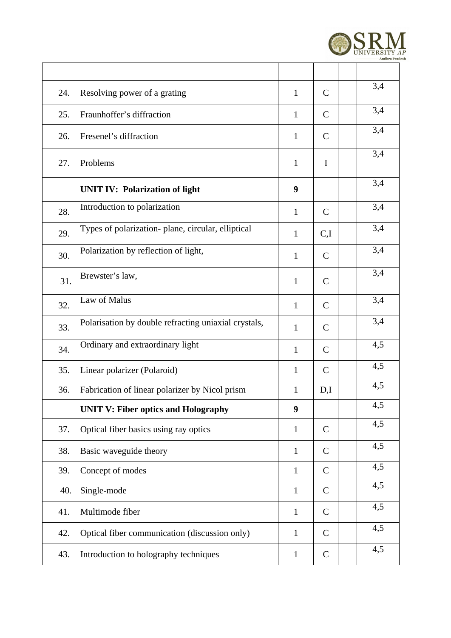

| 24. | Resolving power of a grating                         | $\mathbf{1}$ | $\mathsf{C}$ | 3,4 |
|-----|------------------------------------------------------|--------------|--------------|-----|
| 25. | Fraunhoffer's diffraction                            | $\mathbf{1}$ | $\mathsf{C}$ | 3,4 |
| 26. | Fresenel's diffraction                               | $\mathbf{1}$ | $\mathsf{C}$ | 3,4 |
| 27. | Problems                                             | $\mathbf{1}$ | I            | 3,4 |
|     | <b>UNIT IV: Polarization of light</b>                | 9            |              | 3,4 |
| 28. | Introduction to polarization                         | $\mathbf{1}$ | $\mathsf{C}$ | 3,4 |
| 29. | Types of polarization- plane, circular, elliptical   | $\mathbf{1}$ | C,I          | 3,4 |
| 30. | Polarization by reflection of light,                 | $\mathbf{1}$ | $\mathsf{C}$ | 3,4 |
| 31. | Brewster's law,                                      | $\mathbf{1}$ | $\mathsf{C}$ | 3,4 |
| 32. | Law of Malus                                         | $\mathbf{1}$ | $\mathsf{C}$ | 3,4 |
| 33. | Polarisation by double refracting uniaxial crystals, | $\mathbf{1}$ | $\mathsf{C}$ | 3,4 |
| 34. | Ordinary and extraordinary light                     | $\mathbf{1}$ | $\mathsf{C}$ | 4,5 |
| 35. | Linear polarizer (Polaroid)                          | $\mathbf{1}$ | $\mathsf{C}$ | 4,5 |
| 36. | Fabrication of linear polarizer by Nicol prism       | $\mathbf{1}$ | D,I          | 4,5 |
|     | <b>UNIT V: Fiber optics and Holography</b>           | 9            |              | 4,5 |
| 37. | Optical fiber basics using ray optics                | $\mathbf{1}$ | $\mathsf{C}$ | 4,5 |
| 38. | Basic waveguide theory                               | $\mathbf{1}$ | $\mathsf{C}$ | 4,5 |
| 39. | Concept of modes                                     | $\mathbf{1}$ | $\mathsf{C}$ | 4,5 |
| 40. | Single-mode                                          | $\mathbf{1}$ | $\mathsf{C}$ | 4,5 |
| 41. | Multimode fiber                                      | $\mathbf{1}$ | $\mathsf{C}$ | 4,5 |
| 42. | Optical fiber communication (discussion only)        | $\mathbf{1}$ | $\mathsf{C}$ | 4,5 |
| 43. | Introduction to holography techniques                | $\mathbf{1}$ | $\mathsf{C}$ | 4,5 |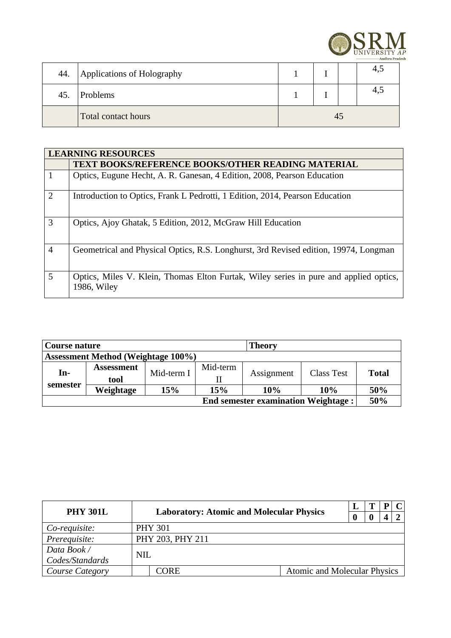

| 44. | Applications of Holography |    |  |  | 4,5 |  |
|-----|----------------------------|----|--|--|-----|--|
| 45. | Problems                   |    |  |  | 4,5 |  |
|     | Total contact hours        | 45 |  |  |     |  |

|                | <b>LEARNING RESOURCES</b>                                                                            |
|----------------|------------------------------------------------------------------------------------------------------|
|                | <b>TEXT BOOKS/REFERENCE BOOKS/OTHER READING MATERIAL</b>                                             |
|                | Optics, Eugune Hecht, A. R. Ganesan, 4 Edition, 2008, Pearson Education                              |
| $\mathcal{L}$  | Introduction to Optics, Frank L Pedrotti, 1 Edition, 2014, Pearson Education                         |
| 3              | Optics, Ajoy Ghatak, 5 Edition, 2012, McGraw Hill Education                                          |
| $\overline{4}$ | Geometrical and Physical Optics, R.S. Longhurst, 3rd Revised edition, 19974, Longman                 |
| 5              | Optics, Miles V. Klein, Thomas Elton Furtak, Wiley series in pure and applied optics,<br>1986, Wiley |

| Course nature                              |                   |            | <b>Theory</b> |            |            |              |  |  |
|--------------------------------------------|-------------------|------------|---------------|------------|------------|--------------|--|--|
| <b>Assessment Method (Weightage 100%)</b>  |                   |            |               |            |            |              |  |  |
| In-                                        | <b>Assessment</b> |            | Mid-term      |            |            | <b>Total</b> |  |  |
|                                            | tool              | Mid-term I |               | Assignment | Class Test |              |  |  |
| semester                                   | Weightage         | 15%        | 15%           | 10%        | 10%        | 50%          |  |  |
| <b>End semester examination Weightage:</b> |                   |            |               |            |            |              |  |  |

| <b>PHY 301L</b> | <b>Laboratory: Atomic and Molecular Physics</b> |                                     |  |  |  |
|-----------------|-------------------------------------------------|-------------------------------------|--|--|--|
|                 |                                                 |                                     |  |  |  |
| Co-requisite:   | <b>PHY 301</b>                                  |                                     |  |  |  |
| Prerequisite:   | PHY 203, PHY 211                                |                                     |  |  |  |
| Data Book /     | <b>NIL</b>                                      |                                     |  |  |  |
| Codes/Standards |                                                 |                                     |  |  |  |
| Course Category | CORE.                                           | <b>Atomic and Molecular Physics</b> |  |  |  |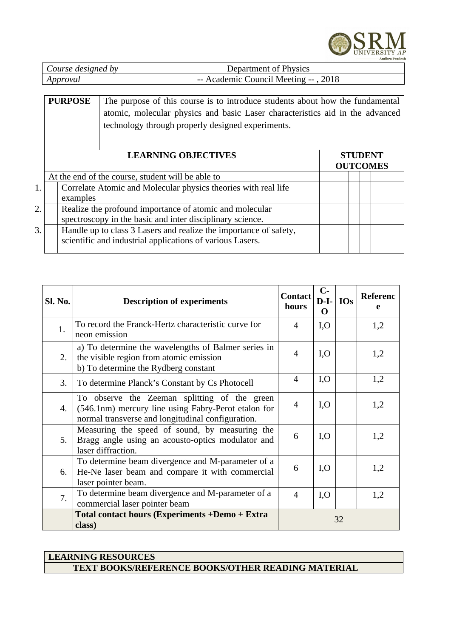

| Course designed by | Department of Physics                |
|--------------------|--------------------------------------|
| Approval           | -- Academic Council Meeting --, 2018 |

## **PURPOSE** The purpose of this course is to introduce students about how the fundamental atomic, molecular physics and basic Laser characteristics aid in the advanced technology through properly designed experiments.

|    | <b>LEARNING OBJECTIVES</b><br>Correlate Atomic and Molecular physics theories with real life                                   |  |  |  | <b>STUDENT</b><br><b>OUTCOMES</b> |  |
|----|--------------------------------------------------------------------------------------------------------------------------------|--|--|--|-----------------------------------|--|
|    | At the end of the course, student will be able to                                                                              |  |  |  |                                   |  |
|    | examples                                                                                                                       |  |  |  |                                   |  |
| 2. | Realize the profound importance of atomic and molecular<br>spectroscopy in the basic and inter disciplinary science.           |  |  |  |                                   |  |
| 3. | Handle up to class 3 Lasers and realize the importance of safety,<br>scientific and industrial applications of various Lasers. |  |  |  |                                   |  |

| Sl. No. | <b>Description of experiments</b>                                                                                                                        | <b>Contact</b><br>hours | $C-$<br>$D-I-$<br>O | <b>IOs</b> | <b>Referenc</b><br>e |
|---------|----------------------------------------------------------------------------------------------------------------------------------------------------------|-------------------------|---------------------|------------|----------------------|
| 1.      | To record the Franck-Hertz characteristic curve for<br>neon emission                                                                                     | $\overline{4}$          | I, O                |            | 1,2                  |
| 2.      | a) To determine the wavelengths of Balmer series in<br>the visible region from atomic emission<br>b) To determine the Rydberg constant                   | $\overline{4}$          | I, O                |            | 1,2                  |
| 3.      | To determine Planck's Constant by Cs Photocell                                                                                                           | $\overline{4}$          | I, O                |            | 1,2                  |
| 4.      | To observe the Zeeman splitting of the green<br>(546.1nm) mercury line using Fabry-Perot etalon for<br>normal transverse and longitudinal configuration. | $\overline{4}$          | I, O                |            | 1,2                  |
| 5.      | Measuring the speed of sound, by measuring the<br>Bragg angle using an acousto-optics modulator and<br>laser diffraction.                                | 6                       | I, O                |            | 1,2                  |
| 6.      | To determine beam divergence and M-parameter of a<br>He-Ne laser beam and compare it with commercial<br>laser pointer beam.                              | 6                       | I, O                |            | 1,2                  |
| 7.      | To determine beam divergence and M-parameter of a<br>commercial laser pointer beam                                                                       | $\overline{4}$          | I, O                |            | 1,2                  |
|         | Total contact hours (Experiments +Demo + Extra<br>class)                                                                                                 | 32                      |                     |            |                      |

**LEARNING RESOURCES TEXT BOOKS/REFERENCE BOOKS/OTHER READING MATERIAL**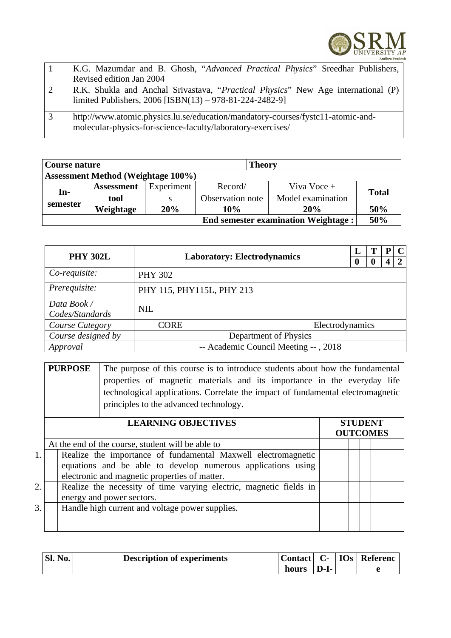

|   | K.G. Mazumdar and B. Ghosh, "Advanced Practical Physics" Sreedhar Publishers,                                                                  |
|---|------------------------------------------------------------------------------------------------------------------------------------------------|
|   | Revised edition Jan 2004                                                                                                                       |
|   | R.K. Shukla and Anchal Srivastava, "Practical Physics" New Age international (P)<br>limited Publishers, 2006 [ISBN(13) - 978-81-224-2482-9]    |
| 3 | http://www.atomic.physics.lu.se/education/mandatory-courses/fystc11-atomic-and-<br>molecular-physics-for-science-faculty/laboratory-exercises/ |

| Course nature<br><b>Theory</b>             |                                           |            |                  |                   |       |  |  |  |
|--------------------------------------------|-------------------------------------------|------------|------------------|-------------------|-------|--|--|--|
|                                            | <b>Assessment Method (Weightage 100%)</b> |            |                  |                   |       |  |  |  |
| In-                                        | <b>Assessment</b>                         | Experiment | Record/          | Viva Voce +       |       |  |  |  |
|                                            | tool                                      |            | Observation note | Model examination | Total |  |  |  |
| semester                                   | Weightage                                 | 20%        | <b>10%</b>       | <b>20%</b>        | 50%   |  |  |  |
| <b>End semester examination Weightage:</b> |                                           |            |                  |                   |       |  |  |  |

| <b>PHY 302L</b>                 |                                      |                           |                 |  | т | Р | C            |  |  |  |
|---------------------------------|--------------------------------------|---------------------------|-----------------|--|---|---|--------------|--|--|--|
|                                 | <b>Laboratory: Electrodynamics</b>   |                           |                 |  |   |   | $\mathbf{D}$ |  |  |  |
| Co-requisite:<br><b>PHY 302</b> |                                      |                           |                 |  |   |   |              |  |  |  |
| Prerequisite:                   |                                      | PHY 115, PHY115L, PHY 213 |                 |  |   |   |              |  |  |  |
| Data Book /                     |                                      | <b>NIL</b>                |                 |  |   |   |              |  |  |  |
| Codes/Standards                 |                                      |                           |                 |  |   |   |              |  |  |  |
| <b>Course Category</b>          |                                      | <b>CORE</b>               | Electrodynamics |  |   |   |              |  |  |  |
| Course designed by              | Department of Physics                |                           |                 |  |   |   |              |  |  |  |
| Approval                        | -- Academic Council Meeting --, 2018 |                           |                 |  |   |   |              |  |  |  |

**PURPOSE** The purpose of this course is to introduce students about how the fundamental properties of magnetic materials and its importance in the everyday life technological applications. Correlate the impact of fundamental electromagnetic principles to the advanced technology.

|                  | <b>LEARNING OBJECTIVES</b>                                                                                                                                                     | <b>OUTCOMES</b> |  | <b>STUDENT</b> |  |
|------------------|--------------------------------------------------------------------------------------------------------------------------------------------------------------------------------|-----------------|--|----------------|--|
|                  | At the end of the course, student will be able to                                                                                                                              |                 |  |                |  |
| 1.               | Realize the importance of fundamental Maxwell electromagnetic<br>equations and be able to develop numerous applications using<br>electronic and magnetic properties of matter. |                 |  |                |  |
| $\overline{2}$ . | Realize the necessity of time varying electric, magnetic fields in<br>energy and power sectors.                                                                                |                 |  |                |  |
| 3.               | Handle high current and voltage power supplies.                                                                                                                                |                 |  |                |  |

| <sup>1</sup> Sl. No. | <b>Description of experiments</b> |       |                  | $ $ Contact $ C -  IOs $ Referenc |
|----------------------|-----------------------------------|-------|------------------|-----------------------------------|
|                      |                                   | hours | $\mathbf{D}$ -I- |                                   |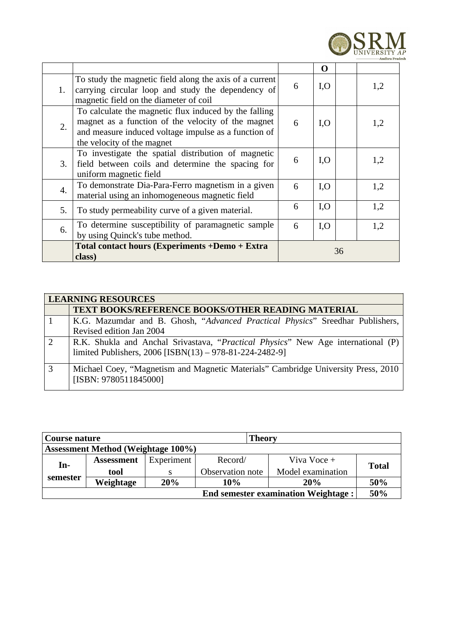

|    |                                                                                                                                                                                                   |    | O    |  |     |
|----|---------------------------------------------------------------------------------------------------------------------------------------------------------------------------------------------------|----|------|--|-----|
| 1. | To study the magnetic field along the axis of a current<br>carrying circular loop and study the dependency of<br>magnetic field on the diameter of coil                                           | 6  | I, O |  | 1,2 |
| 2. | To calculate the magnetic flux induced by the falling<br>magnet as a function of the velocity of the magnet<br>and measure induced voltage impulse as a function of<br>the velocity of the magnet | 6  | I, O |  | 1,2 |
| 3. | To investigate the spatial distribution of magnetic<br>field between coils and determine the spacing for<br>uniform magnetic field                                                                | 6  | I, O |  | 1,2 |
| 4. | To demonstrate Dia-Para-Ferro magnetism in a given<br>material using an inhomogeneous magnetic field                                                                                              | 6  | I, O |  | 1,2 |
| 5. | To study permeability curve of a given material.                                                                                                                                                  | 6  | I, O |  | 1,2 |
| 6. | To determine susceptibility of paramagnetic sample<br>by using Quinck's tube method.                                                                                                              | 6  | I, O |  | 1,2 |
|    | Total contact hours (Experiments +Demo + Extra<br>class)                                                                                                                                          | 36 |      |  |     |

| <b>LEARNING RESOURCES</b>                                                                                  |  |  |  |  |  |
|------------------------------------------------------------------------------------------------------------|--|--|--|--|--|
| <b>TEXT BOOKS/REFERENCE BOOKS/OTHER READING MATERIAL</b>                                                   |  |  |  |  |  |
| K.G. Mazumdar and B. Ghosh, "Advanced Practical Physics" Sreedhar Publishers,                              |  |  |  |  |  |
| Revised edition Jan 2004                                                                                   |  |  |  |  |  |
| R.K. Shukla and Anchal Srivastava, "Practical Physics" New Age international (P)                           |  |  |  |  |  |
| limited Publishers, 2006 [ISBN(13) - 978-81-224-2482-9]                                                    |  |  |  |  |  |
| Michael Coey, "Magnetism and Magnetic Materials" Cambridge University Press, 2010<br>[ISBN: 9780511845000] |  |  |  |  |  |

| <b>Theory</b><br>Course nature             |                                           |            |                  |                   |       |  |  |
|--------------------------------------------|-------------------------------------------|------------|------------------|-------------------|-------|--|--|
|                                            | <b>Assessment Method (Weightage 100%)</b> |            |                  |                   |       |  |  |
| In-                                        | <b>Assessment</b>                         | Experiment | Record/          | Viva Voce +       |       |  |  |
|                                            | tool                                      |            | Observation note | Model examination | Total |  |  |
| semester                                   | Weightage                                 | 20%        | 10%              | 20%               | 50%   |  |  |
| <b>End semester examination Weightage:</b> |                                           |            |                  |                   | 50%   |  |  |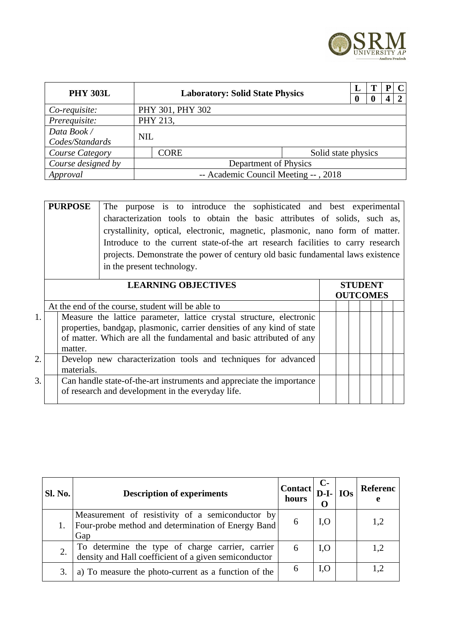

| <b>PHY 303L</b>    | <b>Laboratory: Solid State Physics</b> |                  |                     |  | т | р |               |
|--------------------|----------------------------------------|------------------|---------------------|--|---|---|---------------|
|                    |                                        |                  |                     |  |   |   | $\mathcal{P}$ |
| Co-requisite:      |                                        | PHY 301, PHY 302 |                     |  |   |   |               |
| Prerequisite:      | PHY 213,                               |                  |                     |  |   |   |               |
| Data Book /        |                                        |                  |                     |  |   |   |               |
| Codes/Standards    |                                        | <b>NIL</b>       |                     |  |   |   |               |
| Course Category    | CORE                                   |                  | Solid state physics |  |   |   |               |
| Course designed by | Department of Physics                  |                  |                     |  |   |   |               |
| Approval           | -- Academic Council Meeting --, 2018   |                  |                     |  |   |   |               |

|    | <b>PURPOSE</b> | The purpose is to introduce the sophisticated and best experimental             |                 |
|----|----------------|---------------------------------------------------------------------------------|-----------------|
|    |                | characterization tools to obtain the basic attributes of solids, such as,       |                 |
|    |                | crystallinity, optical, electronic, magnetic, plasmonic, nano form of matter.   |                 |
|    |                | Introduce to the current state-of-the art research facilities to carry research |                 |
|    |                | projects. Demonstrate the power of century old basic fundamental laws existence |                 |
|    |                | in the present technology.                                                      |                 |
|    |                |                                                                                 |                 |
|    |                |                                                                                 |                 |
|    |                | <b>LEARNING OBJECTIVES</b>                                                      | <b>STUDENT</b>  |
|    |                |                                                                                 | <b>OUTCOMES</b> |
|    |                | At the end of the course, student will be able to                               |                 |
| 1. |                | Measure the lattice parameter, lattice crystal structure, electronic            |                 |
|    |                | properties, bandgap, plasmonic, carrier densities of any kind of state          |                 |
|    |                | of matter. Which are all the fundamental and basic attributed of any            |                 |
|    | matter.        |                                                                                 |                 |

|    |                                                                       | mauch.                                                         |  |  |  |  |  |
|----|-----------------------------------------------------------------------|----------------------------------------------------------------|--|--|--|--|--|
| 2. |                                                                       | Develop new characterization tools and techniques for advanced |  |  |  |  |  |
|    |                                                                       | materials.                                                     |  |  |  |  |  |
| 3. | Can handle state-of-the-art instruments and appreciate the importance |                                                                |  |  |  |  |  |
|    |                                                                       | of research and development in the everyday life.              |  |  |  |  |  |

| Sl. No. | <b>Description of experiments</b>                                                                             | <b>Contact</b><br>hours | $D-I$ - $\log$ | Referenc<br>е |
|---------|---------------------------------------------------------------------------------------------------------------|-------------------------|----------------|---------------|
|         | Measurement of resistivity of a semiconductor by<br>Four-probe method and determination of Energy Band<br>Gap | 6                       | I, O           | 1,2           |
|         | To determine the type of charge carrier, carrier density and Hall coefficient of a given semiconductor        | 6                       | I, O           | 1,2           |
|         | a) To measure the photo-current as a function of the                                                          | 6                       | 1,0            | 1,2           |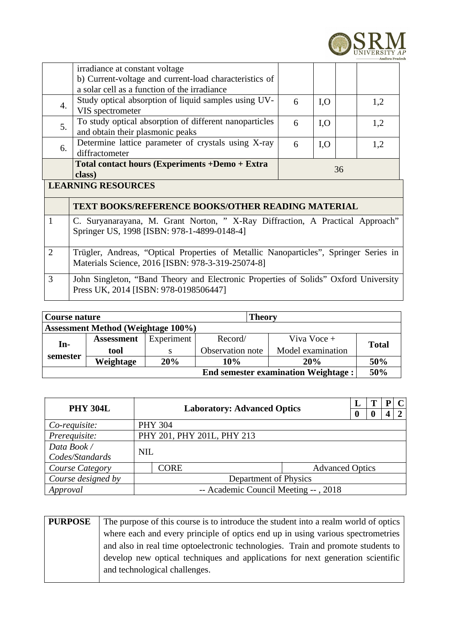

|                           | irradiance at constant voltage                         |   |      |  |     |  |
|---------------------------|--------------------------------------------------------|---|------|--|-----|--|
|                           | b) Current-voltage and current-load characteristics of |   |      |  |     |  |
|                           | a solar cell as a function of the irradiance           |   |      |  |     |  |
| 4.                        | Study optical absorption of liquid samples using UV-   | 6 | I, O |  | 1,2 |  |
|                           | VIS spectrometer                                       |   |      |  |     |  |
| 5.                        | To study optical absorption of different nanoparticles | 6 | I, O |  | 1,2 |  |
|                           | and obtain their plasmonic peaks                       |   |      |  |     |  |
| 6.                        | Determine lattice parameter of crystals using X-ray    | 6 | I, O |  | 1,2 |  |
|                           | diffractometer                                         |   |      |  |     |  |
|                           | Total contact hours (Experiments +Demo + Extra         |   |      |  |     |  |
| 36<br>class)              |                                                        |   |      |  |     |  |
| <b>LEARNING RESOURCES</b> |                                                        |   |      |  |     |  |
|                           |                                                        |   |      |  |     |  |
|                           | TEXT BOOKS/REFERENCE BOOKS/OTHER READING MATERIAL      |   |      |  |     |  |

|   | C. Suryanarayana, M. Grant Norton, "X-Ray Diffraction, A Practical Approach"<br>Springer US, 1998 [ISBN: 978-1-4899-0148-4]               |
|---|-------------------------------------------------------------------------------------------------------------------------------------------|
|   | Trügler, Andreas, "Optical Properties of Metallic Nanoparticles", Springer Series in<br>Materials Science, 2016 [ISBN: 978-3-319-25074-8] |
| 3 | John Singleton, "Band Theory and Electronic Properties of Solids" Oxford University<br>Press UK, 2014 [ISBN: 978-0198506447]              |

| <b>Theory</b><br>Course nature             |                                           |            |                  |                   |       |  |  |
|--------------------------------------------|-------------------------------------------|------------|------------------|-------------------|-------|--|--|
|                                            | <b>Assessment Method (Weightage 100%)</b> |            |                  |                   |       |  |  |
| In-                                        | <b>Assessment</b>                         | Experiment | Record/          | Viva Voce +       |       |  |  |
|                                            | tool                                      |            | Observation note | Model examination | Total |  |  |
| semester                                   | Weightage                                 | 20%        | 10%              | <b>20%</b>        | 50%   |  |  |
| <b>End semester examination Weightage:</b> |                                           |            |                  |                   | 50%   |  |  |

| <b>PHY 304L</b>                             |                                      |                                    |                        |  |              | P | C |
|---------------------------------------------|--------------------------------------|------------------------------------|------------------------|--|--------------|---|---|
|                                             |                                      | <b>Laboratory: Advanced Optics</b> |                        |  | $\mathbf{0}$ | 4 | റ |
| Co-requisite:                               |                                      | <b>PHY 304</b>                     |                        |  |              |   |   |
| Prerequisite:<br>PHY 201, PHY 201L, PHY 213 |                                      |                                    |                        |  |              |   |   |
| Data Book /                                 |                                      |                                    |                        |  |              |   |   |
| Codes/Standards                             |                                      | <b>NIL</b>                         |                        |  |              |   |   |
| <b>Course Category</b>                      |                                      | <b>CORE</b>                        | <b>Advanced Optics</b> |  |              |   |   |
| Course designed by                          | Department of Physics                |                                    |                        |  |              |   |   |
| Approval                                    | -- Academic Council Meeting --, 2018 |                                    |                        |  |              |   |   |

| <b>PURPOSE</b> | The purpose of this course is to introduce the student into a realm world of optics |
|----------------|-------------------------------------------------------------------------------------|
|                | where each and every principle of optics end up in using various spectrometries     |
|                | and also in real time optoelectronic technologies. Train and promote students to    |
|                | develop new optical techniques and applications for next generation scientific      |
|                | and technological challenges.                                                       |
|                |                                                                                     |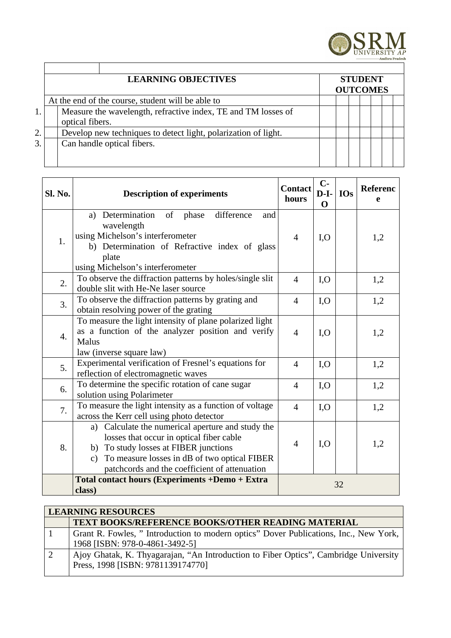

|    | <b>LEARNING OBJECTIVES</b>                                                       | <b>STUDENT</b><br><b>OUTCOMES</b> |  |  |
|----|----------------------------------------------------------------------------------|-----------------------------------|--|--|
|    | At the end of the course, student will be able to                                |                                   |  |  |
|    | Measure the wavelength, refractive index, TE and TM losses of<br>optical fibers. |                                   |  |  |
| 2. | Develop new techniques to detect light, polarization of light.                   |                                   |  |  |
| 3. | Can handle optical fibers.                                                       |                                   |  |  |
|    |                                                                                  |                                   |  |  |

| Sl. No. | <b>Description of experiments</b>                                                                                                                                                                                                                          | <b>Contact</b><br>hours | $C -$<br>$D-I-$<br>$\Omega$ | <b>IOs</b> | <b>Referenc</b><br>e |
|---------|------------------------------------------------------------------------------------------------------------------------------------------------------------------------------------------------------------------------------------------------------------|-------------------------|-----------------------------|------------|----------------------|
| 1.      | difference<br>a) Determination of<br>phase<br>and<br>wavelength<br>using Michelson's interferometer<br>b) Determination of Refractive index of glass<br>plate<br>using Michelson's interferometer                                                          | $\overline{4}$          | I, O                        |            | 1,2                  |
| 2.      | To observe the diffraction patterns by holes/single slit<br>double slit with He-Ne laser source                                                                                                                                                            | $\overline{4}$          | I, O                        |            | 1,2                  |
| 3.      | To observe the diffraction patterns by grating and<br>obtain resolving power of the grating                                                                                                                                                                | $\overline{4}$          | I, O                        |            | 1,2                  |
| 4.      | To measure the light intensity of plane polarized light<br>as a function of the analyzer position and verify<br><b>Malus</b><br>law (inverse square law)                                                                                                   | $\overline{4}$          | I, O                        |            | 1,2                  |
| 5.      | Experimental verification of Fresnel's equations for<br>reflection of electromagnetic waves                                                                                                                                                                | $\overline{4}$          | I, O                        |            | 1,2                  |
| 6.      | To determine the specific rotation of cane sugar<br>solution using Polarimeter                                                                                                                                                                             | $\overline{4}$          | I, O                        |            | 1,2                  |
| 7.      | To measure the light intensity as a function of voltage<br>across the Kerr cell using photo detector                                                                                                                                                       | $\overline{4}$          | I, O                        |            | 1,2                  |
| 8.      | Calculate the numerical aperture and study the<br>a)<br>losses that occur in optical fiber cable<br>b) To study losses at FIBER junctions<br>To measure losses in dB of two optical FIBER<br>$\mathsf{C}$<br>patchcords and the coefficient of attenuation | $\overline{4}$          | I, O                        |            | 1,2                  |
|         | Total contact hours (Experiments +Demo + Extra<br>class)                                                                                                                                                                                                   |                         |                             | 32         |                      |

| <b>LEARNING RESOURCES</b>                                                            |  |  |  |  |  |  |  |  |
|--------------------------------------------------------------------------------------|--|--|--|--|--|--|--|--|
| <b>TEXT BOOKS/REFERENCE BOOKS/OTHER READING MATERIAL</b>                             |  |  |  |  |  |  |  |  |
| Grant R. Fowles, "Introduction to modern optics" Dover Publications, Inc., New York, |  |  |  |  |  |  |  |  |
| 1968 [ISBN: 978-0-4861-3492-5]                                                       |  |  |  |  |  |  |  |  |
| Ajoy Ghatak, K. Thyagarajan, "An Introduction to Fiber Optics", Cambridge University |  |  |  |  |  |  |  |  |
| Press, 1998 [ISBN: 9781139174770]                                                    |  |  |  |  |  |  |  |  |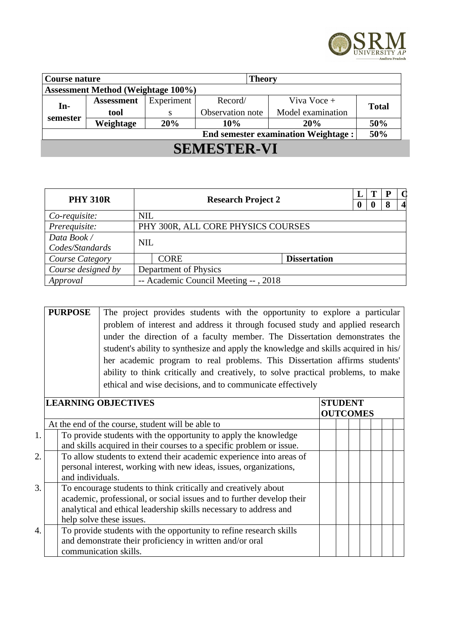

| Course nature<br><b>Theory</b> |                                           |            |         |  |                                            |     |                  |  |                   |              |
|--------------------------------|-------------------------------------------|------------|---------|--|--------------------------------------------|-----|------------------|--|-------------------|--------------|
|                                | <b>Assessment Method (Weightage 100%)</b> |            |         |  |                                            |     |                  |  |                   |              |
| $In-$                          | <b>Assessment</b>                         | Experiment | Record/ |  | Viva Voce +                                |     |                  |  |                   |              |
|                                | tool<br>S                                 |            |         |  |                                            |     | Observation note |  | Model examination | <b>Total</b> |
| semester                       | Weightage                                 | 20%        | 10%     |  | <b>20%</b>                                 | 50% |                  |  |                   |              |
|                                |                                           |            |         |  | <b>End semester examination Weightage:</b> | 50% |                  |  |                   |              |
| <b>SEMESTER-VI</b>             |                                           |            |         |  |                                            |     |                  |  |                   |              |

| <b>PHY 310R</b>    | <b>Research Project 2</b>            |                                    |                     |   | T | P  | d                |
|--------------------|--------------------------------------|------------------------------------|---------------------|---|---|----|------------------|
|                    |                                      |                                    |                     | 0 | 0 | -8 | $\boldsymbol{4}$ |
| Co-requisite:      | <b>NIL</b>                           |                                    |                     |   |   |    |                  |
| Prerequisite:      |                                      | PHY 300R, ALL CORE PHYSICS COURSES |                     |   |   |    |                  |
| Data Book /        | <b>NIL</b>                           |                                    |                     |   |   |    |                  |
| Codes/Standards    |                                      |                                    |                     |   |   |    |                  |
| Course Category    |                                      | <b>CORE</b>                        | <b>Dissertation</b> |   |   |    |                  |
| Course designed by |                                      | Department of Physics              |                     |   |   |    |                  |
| Approval           | -- Academic Council Meeting --, 2018 |                                    |                     |   |   |    |                  |

|    | <b>PURPOSE</b>   | The project provides students with the opportunity to explore a particular          |                 |  |  |  |
|----|------------------|-------------------------------------------------------------------------------------|-----------------|--|--|--|
|    |                  | problem of interest and address it through focused study and applied research       |                 |  |  |  |
|    |                  | under the direction of a faculty member. The Dissertation demonstrates the          |                 |  |  |  |
|    |                  | student's ability to synthesize and apply the knowledge and skills acquired in his/ |                 |  |  |  |
|    |                  | her academic program to real problems. This Dissertation affirms students'          |                 |  |  |  |
|    |                  | ability to think critically and creatively, to solve practical problems, to make    |                 |  |  |  |
|    |                  | ethical and wise decisions, and to communicate effectively                          |                 |  |  |  |
|    |                  |                                                                                     |                 |  |  |  |
|    |                  | <b>LEARNING OBJECTIVES</b>                                                          | <b>STUDENT</b>  |  |  |  |
|    |                  |                                                                                     | <b>OUTCOMES</b> |  |  |  |
|    |                  | At the end of the course, student will be able to                                   |                 |  |  |  |
| 1. |                  | To provide students with the opportunity to apply the knowledge                     |                 |  |  |  |
|    |                  | and skills acquired in their courses to a specific problem or issue.                |                 |  |  |  |
| 2. |                  | To allow students to extend their academic experience into areas of                 |                 |  |  |  |
|    |                  | personal interest, working with new ideas, issues, organizations,                   |                 |  |  |  |
|    | and individuals. |                                                                                     |                 |  |  |  |
| 3. |                  | To encourage students to think critically and creatively about                      |                 |  |  |  |
|    |                  | academic, professional, or social issues and to further develop their               |                 |  |  |  |
|    |                  | analytical and ethical leadership skills necessary to address and                   |                 |  |  |  |
|    |                  | help solve these issues.                                                            |                 |  |  |  |
| 4. |                  | To provide students with the opportunity to refine research skills                  |                 |  |  |  |
|    |                  | and demonstrate their proficiency in written and/or oral                            |                 |  |  |  |
|    |                  | communication skills.                                                               |                 |  |  |  |
|    |                  |                                                                                     |                 |  |  |  |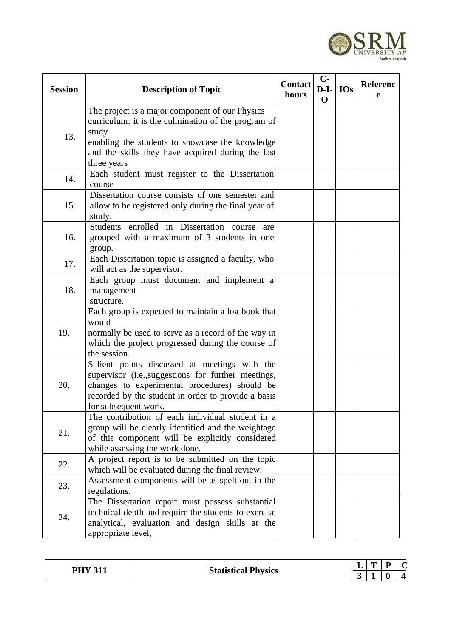

| <b>Session</b> | <b>Description of Topic</b>                                                                                                                                                                                                            | <b>Contact</b><br>hours | $C-$<br>$D-I-$<br>$\mathbf 0$ | <b>IOs</b> | Referenc<br>e |
|----------------|----------------------------------------------------------------------------------------------------------------------------------------------------------------------------------------------------------------------------------------|-------------------------|-------------------------------|------------|---------------|
| 13.            | The project is a major component of our Physics<br>curriculum: it is the culmination of the program of<br>study<br>enabling the students to showcase the knowledge<br>and the skills they have acquired during the last<br>three years |                         |                               |            |               |
| 14.            | Each student must register to the Dissertation<br>course                                                                                                                                                                               |                         |                               |            |               |
| 15.            | Dissertation course consists of one semester and<br>allow to be registered only during the final year of<br>study.                                                                                                                     |                         |                               |            |               |
| 16.            | Students enrolled in Dissertation course are<br>grouped with a maximum of 3 students in one<br>group.                                                                                                                                  |                         |                               |            |               |
| 17.            | Each Dissertation topic is assigned a faculty, who<br>will act as the supervisor.                                                                                                                                                      |                         |                               |            |               |
| 18.            | Each group must document and implement a<br>management<br>structure.                                                                                                                                                                   |                         |                               |            |               |
| 19.            | Each group is expected to maintain a log book that<br>would<br>normally be used to serve as a record of the way in<br>which the project progressed during the course of<br>the session.                                                |                         |                               |            |               |
| 20.            | Salient points discussed at meetings with the<br>supervisor (i.e., suggestions for further meetings,<br>changes to experimental procedures) should be<br>recorded by the student in order to provide a basis<br>for subsequent work.   |                         |                               |            |               |
| 21.            | The contribution of each individual student in a<br>group will be clearly identified and the weightage<br>of this component will be explicitly considered<br>while assessing the work done.                                            |                         |                               |            |               |
| 22.            | A project report is to be submitted on the topic<br>which will be evaluated during the final review.                                                                                                                                   |                         |                               |            |               |
| 23.            | Assessment components will be as spelt out in the<br>regulations.                                                                                                                                                                      |                         |                               |            |               |
| 24.            | The Dissertation report must possess substantial<br>technical depth and require the students to exercise<br>analytical, evaluation and design skills at the<br>appropriate level,                                                      |                         |                               |            |               |

| DLIV 911   |                            |   | -- |  |
|------------|----------------------------|---|----|--|
| <u>UII</u> | <b>Statistical Physics</b> | ັ |    |  |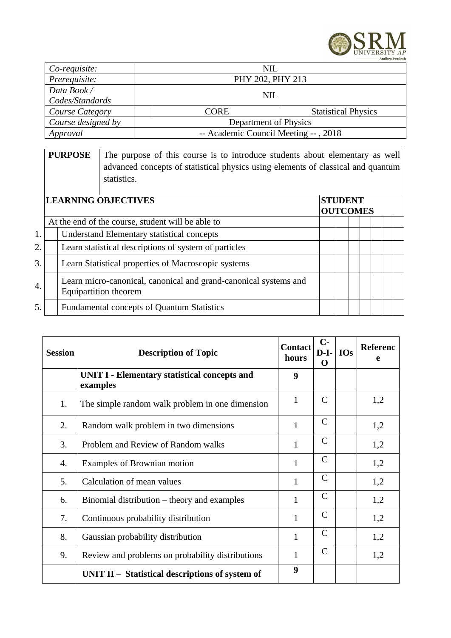

| Co-requisite:      | NIL                                  |                            |
|--------------------|--------------------------------------|----------------------------|
| Prerequisite:      | PHY 202, PHY 213                     |                            |
| Data Book /        | NIL.                                 |                            |
| Codes/Standards    |                                      |                            |
| Course Category    | <b>CORE</b>                          | <b>Statistical Physics</b> |
| Course designed by | Department of Physics                |                            |
| Approval           | -- Academic Council Meeting --, 2018 |                            |

|    | <b>PURPOSE</b> | The purpose of this course is to introduce students about elementary as well<br>advanced concepts of statistical physics using elements of classical and quantum<br>statistics. |                                   |  |  |
|----|----------------|---------------------------------------------------------------------------------------------------------------------------------------------------------------------------------|-----------------------------------|--|--|
|    |                | <b>LEARNING OBJECTIVES</b>                                                                                                                                                      | <b>STUDENT</b><br><b>OUTCOMES</b> |  |  |
|    |                | At the end of the course, student will be able to                                                                                                                               |                                   |  |  |
| 1. |                | <b>Understand Elementary statistical concepts</b>                                                                                                                               |                                   |  |  |
| 2. |                | Learn statistical descriptions of system of particles                                                                                                                           |                                   |  |  |
| 3. |                | Learn Statistical properties of Macroscopic systems                                                                                                                             |                                   |  |  |
| 4. |                | Learn micro-canonical, canonical and grand-canonical systems and<br><b>Equipartition theorem</b>                                                                                |                                   |  |  |
| 5. |                | <b>Fundamental concepts of Quantum Statistics</b>                                                                                                                               |                                   |  |  |

| <b>Session</b> | <b>Description of Topic</b>                                     | <b>Contact</b><br>hours | $C-$<br>$D-I-$<br>O | <b>IOs</b> | <b>Referenc</b><br>e |
|----------------|-----------------------------------------------------------------|-------------------------|---------------------|------------|----------------------|
|                | <b>UNIT I - Elementary statistical concepts and</b><br>examples | 9                       |                     |            |                      |
| 1.             | The simple random walk problem in one dimension                 | $\mathbf{1}$            | $\mathsf{C}$        |            | 1,2                  |
| 2.             | Random walk problem in two dimensions                           | $\mathbf{1}$            | $\mathsf{C}$        |            | 1,2                  |
| 3.             | Problem and Review of Random walks                              | $\mathbf{1}$            | $\mathsf{C}$        |            | 1,2                  |
| 4.             | Examples of Brownian motion                                     | $\mathbf{1}$            | $\mathsf{C}$        |            | 1,2                  |
| 5.             | Calculation of mean values                                      | $\mathbf{1}$            | $\mathsf{C}$        |            | 1,2                  |
| 6.             | Binomial distribution – theory and examples                     | $\mathbf{1}$            | $\mathsf{C}$        |            | 1,2                  |
| 7.             | Continuous probability distribution                             | $\mathbf{1}$            | $\mathsf{C}$        |            | 1,2                  |
| 8.             | Gaussian probability distribution                               | $\mathbf{1}$            | $\mathsf{C}$        |            | 1,2                  |
| 9.             | Review and problems on probability distributions                | 1                       | $\mathsf{C}$        |            | 1,2                  |
|                | UNIT II $-$ Statistical descriptions of system of               | 9                       |                     |            |                      |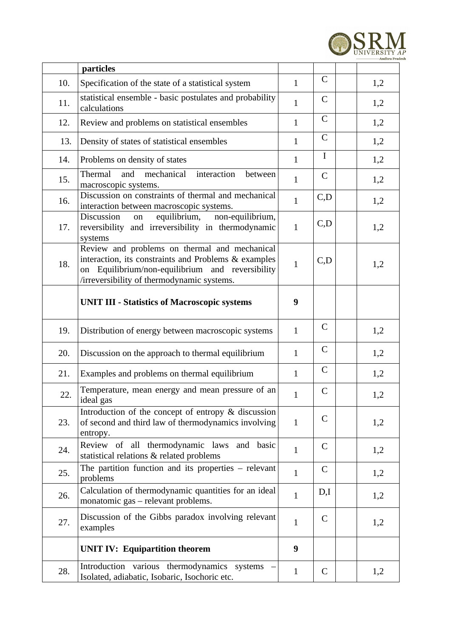

|     | particles                                                                                                                                                                                               |              |              |     |
|-----|---------------------------------------------------------------------------------------------------------------------------------------------------------------------------------------------------------|--------------|--------------|-----|
| 10. | Specification of the state of a statistical system                                                                                                                                                      | $\mathbf{1}$ | $\mathsf{C}$ | 1,2 |
| 11. | statistical ensemble - basic postulates and probability<br>calculations                                                                                                                                 | $\mathbf{1}$ | $\mathsf{C}$ | 1,2 |
| 12. | Review and problems on statistical ensembles                                                                                                                                                            | $\mathbf{1}$ | $\mathsf{C}$ | 1,2 |
| 13. | Density of states of statistical ensembles                                                                                                                                                              | $\mathbf{1}$ | $\mathsf{C}$ | 1,2 |
| 14. | Problems on density of states                                                                                                                                                                           | $\mathbf{1}$ | I            | 1,2 |
| 15. | mechanical<br>Thermal<br>and<br>interaction<br>between<br>macroscopic systems.                                                                                                                          | $\mathbf{1}$ | $\mathsf{C}$ | 1,2 |
| 16. | Discussion on constraints of thermal and mechanical<br>interaction between macroscopic systems.                                                                                                         | $\mathbf{1}$ | C, D         | 1,2 |
| 17. | equilibrium,<br>non-equilibrium,<br>Discussion<br>on<br>reversibility and irreversibility in thermodynamic<br>systems                                                                                   | $\mathbf{1}$ | C, D         | 1,2 |
| 18. | Review and problems on thermal and mechanical<br>interaction, its constraints and Problems & examples<br>on Equilibrium/non-equilibrium and reversibility<br>/irreversibility of thermodynamic systems. | $\mathbf{1}$ | C, D         | 1,2 |
|     | <b>UNIT III - Statistics of Macroscopic systems</b>                                                                                                                                                     | 9            |              |     |
| 19. | Distribution of energy between macroscopic systems                                                                                                                                                      | $\mathbf{1}$ | $\mathsf{C}$ | 1,2 |
| 20. | Discussion on the approach to thermal equilibrium                                                                                                                                                       | $\mathbf{1}$ | $\mathsf{C}$ | 1,2 |
| 21. | Examples and problems on thermal equilibrium                                                                                                                                                            | $\mathbf{1}$ | $\mathsf{C}$ | 1,2 |
| 22. | Temperature, mean energy and mean pressure of an<br>ideal gas                                                                                                                                           | $\mathbf{1}$ | $\mathsf C$  | 1,2 |
| 23. | Introduction of the concept of entropy & discussion<br>of second and third law of thermodynamics involving<br>entropy.                                                                                  | $\mathbf{1}$ | $\mathsf{C}$ | 1,2 |
| 24. | Review of all thermodynamic laws and basic<br>statistical relations & related problems                                                                                                                  | $\mathbf{1}$ | $\mathsf{C}$ | 1,2 |
| 25. | The partition function and its properties $-$ relevant<br>problems                                                                                                                                      | $\mathbf{1}$ | $\mathsf{C}$ | 1,2 |
| 26. | Calculation of thermodynamic quantities for an ideal<br>monatomic gas - relevant problems.                                                                                                              | $\mathbf{1}$ | D,I          | 1,2 |
| 27. | Discussion of the Gibbs paradox involving relevant<br>examples                                                                                                                                          | $\mathbf{1}$ | $\mathsf{C}$ | 1,2 |
|     | <b>UNIT IV: Equipartition theorem</b>                                                                                                                                                                   | 9            |              |     |
| 28. | Introduction various thermodynamics systems<br>Isolated, adiabatic, Isobaric, Isochoric etc.                                                                                                            | $\mathbf{1}$ | $\mathsf{C}$ | 1,2 |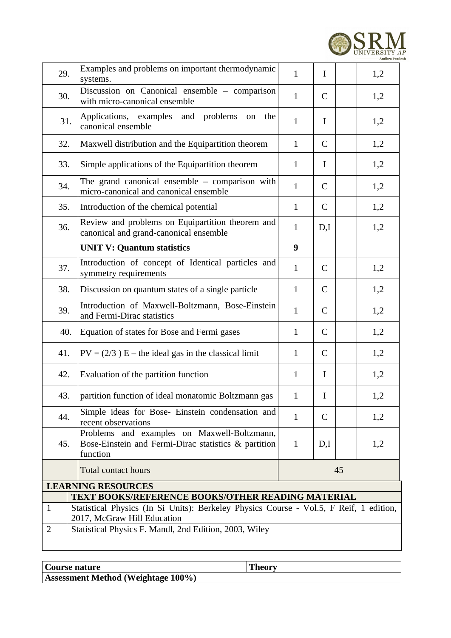

| 29.            | Examples and problems on important thermodynamic<br>systems.                                                                                | $\mathbf{1}$<br>$\mathbf I$<br>1,2 |              |    |     |  |  |  |
|----------------|---------------------------------------------------------------------------------------------------------------------------------------------|------------------------------------|--------------|----|-----|--|--|--|
| 30.            | Discussion on Canonical ensemble - comparison<br>with micro-canonical ensemble                                                              | $\mathbf{1}$                       | $\mathsf{C}$ |    | 1,2 |  |  |  |
| 31.            | Applications, examples and problems<br>the<br>on<br>canonical ensemble                                                                      | $\mathbf{1}$                       | $\bf{I}$     |    | 1,2 |  |  |  |
| 32.            | Maxwell distribution and the Equipartition theorem                                                                                          | $\mathbf{1}$                       | $\mathsf{C}$ |    | 1,2 |  |  |  |
| 33.            | Simple applications of the Equipartition theorem                                                                                            | $\mathbf{1}$                       | $\mathbf I$  |    | 1,2 |  |  |  |
| 34.            | The grand canonical ensemble $-$ comparison with<br>micro-canonical and canonical ensemble                                                  | $\mathbf{1}$                       | $\mathsf{C}$ |    | 1,2 |  |  |  |
| 35.            | Introduction of the chemical potential                                                                                                      | $\mathbf{1}$                       | C            |    | 1,2 |  |  |  |
| 36.            | Review and problems on Equipartition theorem and<br>canonical and grand-canonical ensemble                                                  | $\mathbf{1}$                       | D,I          |    | 1,2 |  |  |  |
|                | <b>UNIT V: Quantum statistics</b>                                                                                                           | 9                                  |              |    |     |  |  |  |
|                | Introduction of concept of Identical particles and<br>37.<br>symmetry requirements                                                          |                                    | $\mathsf{C}$ |    | 1,2 |  |  |  |
| 38.            | Discussion on quantum states of a single particle                                                                                           |                                    | $\mathsf{C}$ |    | 1,2 |  |  |  |
| 39.            | Introduction of Maxwell-Boltzmann, Bose-Einstein<br>and Fermi-Dirac statistics                                                              |                                    | $\mathsf{C}$ |    | 1,2 |  |  |  |
| 40.            | Equation of states for Bose and Fermi gases                                                                                                 | $\mathbf{1}$                       | C            |    | 1,2 |  |  |  |
| 41.            | $PV = (2/3) E$ – the ideal gas in the classical limit                                                                                       | $\mathbf{1}$                       | $\mathsf{C}$ |    | 1,2 |  |  |  |
| 42.            | Evaluation of the partition function                                                                                                        | $\mathbf{1}$                       | $\mathbf I$  |    | 1,2 |  |  |  |
| 43.            | partition function of ideal monatomic Boltzmann gas                                                                                         | $\mathbf{1}$                       | $\bf{I}$     |    | 1,2 |  |  |  |
| 44.            | Simple ideas for Bose- Einstein condensation and<br>recent observations                                                                     | $\mathbf{1}$                       | $\mathsf{C}$ |    | 1,2 |  |  |  |
| 45.            | Problems and examples on Maxwell-Boltzmann,<br>Bose-Einstein and Fermi-Dirac statistics & partition<br>function                             | $\mathbf{1}$                       | D,I          |    | 1,2 |  |  |  |
|                | <b>Total contact hours</b>                                                                                                                  |                                    |              | 45 |     |  |  |  |
|                | <b>LEARNING RESOURCES</b>                                                                                                                   |                                    |              |    |     |  |  |  |
| $\mathbf{1}$   | TEXT BOOKS/REFERENCE BOOKS/OTHER READING MATERIAL<br>Statistical Physics (In Si Units): Berkeley Physics Course - Vol.5, F Reif, 1 edition, |                                    |              |    |     |  |  |  |
|                | 2017, McGraw Hill Education                                                                                                                 |                                    |              |    |     |  |  |  |
| $\overline{2}$ | Statistical Physics F. Mandl, 2nd Edition, 2003, Wiley                                                                                      |                                    |              |    |     |  |  |  |

| Course nature                             | <b>Theory</b> |
|-------------------------------------------|---------------|
| <b>Assessment Method (Weightage 100%)</b> |               |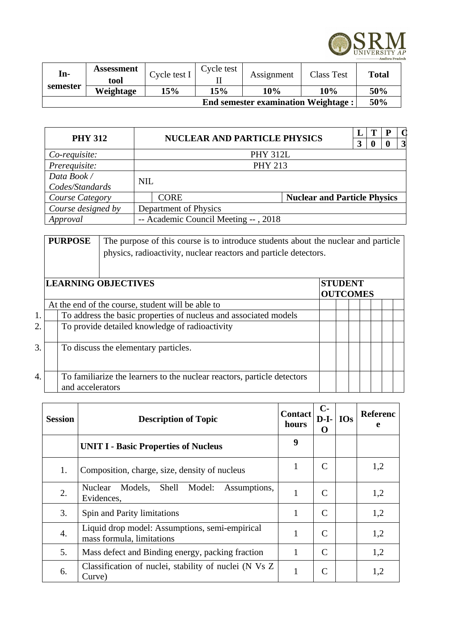

| In-                                        | Assessment | Cycle test I | Cycle test | Assignment | <b>Class Test</b> | <b>Total</b> |  |
|--------------------------------------------|------------|--------------|------------|------------|-------------------|--------------|--|
| semester                                   | tool       |              |            |            |                   |              |  |
|                                            | Weightage  | 15%          | 15%        | 10%        | 10%               | 50%          |  |
| <b>End semester examination Weightage:</b> |            |              |            |            |                   |              |  |

| <b>PHY 312</b>                  | <b>NUCLEAR AND PARTICLE PHYSICS</b>  |                                     |   |   |  | $\mathsf{C}$ |  |  |
|---------------------------------|--------------------------------------|-------------------------------------|---|---|--|--------------|--|--|
|                                 |                                      |                                     | 3 | 0 |  | 3            |  |  |
| Co-requisite:                   | <b>PHY 312L</b>                      |                                     |   |   |  |              |  |  |
| Prerequisite:<br><b>PHY 213</b> |                                      |                                     |   |   |  |              |  |  |
| Data Book /                     |                                      |                                     |   |   |  |              |  |  |
| Codes/Standards                 | <b>NIL</b>                           |                                     |   |   |  |              |  |  |
| Course Category                 | <b>CORE</b>                          | <b>Nuclear and Particle Physics</b> |   |   |  |              |  |  |
| Course designed by              | Department of Physics                |                                     |   |   |  |              |  |  |
| Approval                        | -- Academic Council Meeting --, 2018 |                                     |   |   |  |              |  |  |

|    | <b>PURPOSE</b>             | The purpose of this course is to introduce students about the nuclear and particle<br>physics, radioactivity, nuclear reactors and particle detectors. |  |  |                                   |  |  |  |  |  |
|----|----------------------------|--------------------------------------------------------------------------------------------------------------------------------------------------------|--|--|-----------------------------------|--|--|--|--|--|
|    | <b>LEARNING OBJECTIVES</b> |                                                                                                                                                        |  |  | <b>STUDENT</b><br><b>OUTCOMES</b> |  |  |  |  |  |
|    |                            | At the end of the course, student will be able to                                                                                                      |  |  |                                   |  |  |  |  |  |
| 1. |                            | To address the basic properties of nucleus and associated models                                                                                       |  |  |                                   |  |  |  |  |  |
| 2. |                            | To provide detailed knowledge of radioactivity                                                                                                         |  |  |                                   |  |  |  |  |  |
| 3. |                            | To discuss the elementary particles.                                                                                                                   |  |  |                                   |  |  |  |  |  |
| 4. | and accelerators           | To familiarize the learners to the nuclear reactors, particle detectors                                                                                |  |  |                                   |  |  |  |  |  |

| <b>Session</b> | <b>Description of Topic</b>                                                 | <b>Contact</b><br>hours | $C-$<br>$D-I-$<br>0 | <b>IOs</b> | Referenc<br>e |
|----------------|-----------------------------------------------------------------------------|-------------------------|---------------------|------------|---------------|
|                | <b>UNIT I - Basic Properties of Nucleus</b>                                 | 9                       |                     |            |               |
| 1.             | Composition, charge, size, density of nucleus                               | 1                       | C                   |            | 1,2           |
| 2.             | Shell<br>Models,<br>Nuclear<br>Model:<br>Assumptions,<br>Evidences,         |                         | C                   |            | 1,2           |
| 3.             | Spin and Parity limitations                                                 | 1                       | C                   |            | 1,2           |
| 4.             | Liquid drop model: Assumptions, semi-empirical<br>mass formula, limitations | $\mathbf{1}$            | C                   |            | 1,2           |
| 5.             | Mass defect and Binding energy, packing fraction                            | 1                       |                     |            | 1,2           |
| 6.             | Classification of nuclei, stability of nuclei (N Vs Z)<br>Curve)            | $\mathbf{1}$            | C                   |            | 1,2           |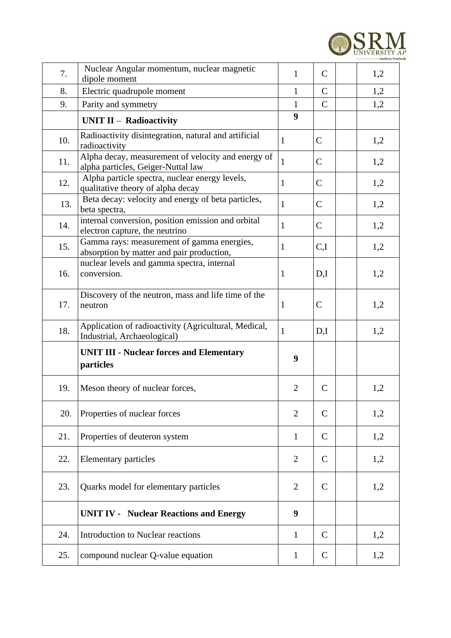

| 7.  | Nuclear Angular momentum, nuclear magnetic<br>dipole moment                              | $\mathbf{1}$   | $\mathsf{C}$ | 1,2 |
|-----|------------------------------------------------------------------------------------------|----------------|--------------|-----|
| 8.  | Electric quadrupole moment                                                               | $\mathbf{1}$   | $\mathsf{C}$ | 1,2 |
| 9.  | Parity and symmetry                                                                      | $\mathbf{1}$   | $\mathsf{C}$ | 1,2 |
|     | <b>UNIT II - Radioactivity</b>                                                           | 9              |              |     |
| 10. | Radioactivity disintegration, natural and artificial<br>radioactivity                    | $\mathbf{1}$   | $\mathsf{C}$ | 1,2 |
| 11. | Alpha decay, measurement of velocity and energy of<br>alpha particles, Geiger-Nuttal law | $\mathbf{1}$   | $\mathsf{C}$ | 1,2 |
| 12. | Alpha particle spectra, nuclear energy levels,<br>qualitative theory of alpha decay      | $\mathbf{1}$   | $\mathsf C$  | 1,2 |
| 13. | Beta decay: velocity and energy of beta particles,<br>beta spectra,                      | $\mathbf{1}$   | C            | 1,2 |
| 14. | internal conversion, position emission and orbital<br>electron capture, the neutrino     | $\mathbf{1}$   | $\mathsf{C}$ | 1,2 |
| 15. | Gamma rays: measurement of gamma energies,<br>absorption by matter and pair production,  | $\mathbf{1}$   | C,I          | 1,2 |
| 16. | nuclear levels and gamma spectra, internal<br>conversion.                                | $\mathbf{1}$   | D,I          | 1,2 |
| 17. | Discovery of the neutron, mass and life time of the<br>neutron                           |                | $\mathsf{C}$ | 1,2 |
| 18. | Application of radioactivity (Agricultural, Medical,<br>Industrial, Archaeological)      | $\mathbf{1}$   | D,I          | 1,2 |
|     | <b>UNIT III - Nuclear forces and Elementary</b><br>particles                             | 9              |              |     |
| 19. | Meson theory of nuclear forces,                                                          | 2              | $\mathsf{C}$ | 1,2 |
| 20. | Properties of nuclear forces                                                             | $\overline{2}$ | $\mathsf{C}$ | 1,2 |
| 21. | Properties of deuteron system                                                            | $\mathbf{1}$   | $\mathsf{C}$ | 1,2 |
| 22. | <b>Elementary particles</b>                                                              | 2              | C            | 1,2 |
| 23. | Quarks model for elementary particles                                                    | 2              | C            | 1,2 |
|     | <b>UNIT IV - Nuclear Reactions and Energy</b>                                            | 9              |              |     |
| 24. | <b>Introduction to Nuclear reactions</b>                                                 | $\mathbf{1}$   | $\mathsf{C}$ | 1,2 |
| 25. | compound nuclear Q-value equation                                                        | $\mathbf{1}$   | C            | 1,2 |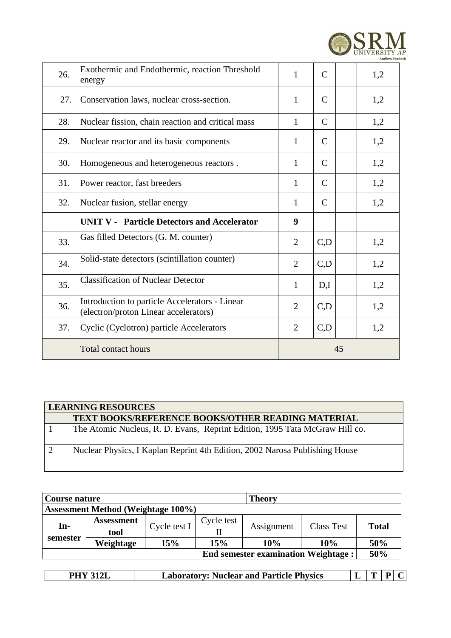

| 26. | Exothermic and Endothermic, reaction Threshold<br>energy                                | $\mathbf{1}$   | $\mathsf{C}$ | 1,2 |
|-----|-----------------------------------------------------------------------------------------|----------------|--------------|-----|
| 27. | Conservation laws, nuclear cross-section.                                               | $\mathbf{1}$   | C            | 1,2 |
| 28. | Nuclear fission, chain reaction and critical mass                                       | $\mathbf{1}$   | $\mathsf{C}$ | 1,2 |
| 29. | Nuclear reactor and its basic components                                                | 1              | $\mathsf{C}$ | 1,2 |
| 30. | Homogeneous and heterogeneous reactors.                                                 | $\mathbf{1}$   | $\mathsf{C}$ | 1,2 |
| 31. | Power reactor, fast breeders                                                            | $\mathbf{1}$   | $\mathsf{C}$ | 1,2 |
| 32. | Nuclear fusion, stellar energy                                                          |                | C            | 1,2 |
|     | <b>UNIT V - Particle Detectors and Accelerator</b>                                      | 9              |              |     |
| 33. | Gas filled Detectors (G. M. counter)                                                    | 2              | C,D          | 1,2 |
| 34. | Solid-state detectors (scintillation counter)                                           | $\overline{2}$ | C,D          | 1,2 |
| 35. | <b>Classification of Nuclear Detector</b>                                               | $\mathbf{1}$   | D,I          | 1,2 |
| 36. | Introduction to particle Accelerators - Linear<br>(electron/proton Linear accelerators) | 2              | C,D          | 1,2 |
| 37. | Cyclic (Cyclotron) particle Accelerators                                                | $\overline{2}$ | C,D          | 1,2 |
|     | <b>Total contact hours</b>                                                              | 45             |              |     |

|   | <b>LEARNING RESOURCES</b>                                                   |  |  |  |  |  |  |  |  |
|---|-----------------------------------------------------------------------------|--|--|--|--|--|--|--|--|
|   | <b>TEXT BOOKS/REFERENCE BOOKS/OTHER READING MATERIAL</b>                    |  |  |  |  |  |  |  |  |
|   | The Atomic Nucleus, R. D. Evans, Reprint Edition, 1995 Tata McGraw Hill co. |  |  |  |  |  |  |  |  |
| 2 | Nuclear Physics, I Kaplan Reprint 4th Edition, 2002 Narosa Publishing House |  |  |  |  |  |  |  |  |

| Course nature                              |                   |              | <b>Theory</b> |            |                   |              |  |  |  |
|--------------------------------------------|-------------------|--------------|---------------|------------|-------------------|--------------|--|--|--|
| <b>Assessment Method (Weightage 100%)</b>  |                   |              |               |            |                   |              |  |  |  |
| In-<br>semester                            | <b>Assessment</b> | Cycle test I | Cycle test    | Assignment | <b>Class Test</b> | <b>Total</b> |  |  |  |
|                                            | tool              |              |               |            |                   |              |  |  |  |
|                                            | Weightage         | 15%          | 15%           | 10%        | 10%               | 50%          |  |  |  |
| <b>End semester examination Weightage:</b> |                   |              |               |            |                   |              |  |  |  |

|  |  | : Nuclear and Particle Physics<br>. .aboratory: ´ |  |  |  |  |
|--|--|---------------------------------------------------|--|--|--|--|
|--|--|---------------------------------------------------|--|--|--|--|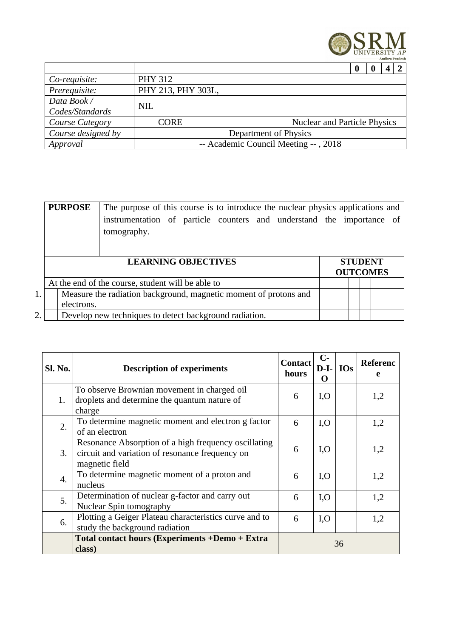

|                        |                                      |                    |                                     | 0 |  |  |  |
|------------------------|--------------------------------------|--------------------|-------------------------------------|---|--|--|--|
| Co-requisite:          |                                      | <b>PHY 312</b>     |                                     |   |  |  |  |
| Prerequisite:          |                                      | PHY 213, PHY 303L, |                                     |   |  |  |  |
| Data Book /            | <b>NIL</b>                           |                    |                                     |   |  |  |  |
| Codes/Standards        |                                      |                    |                                     |   |  |  |  |
| <b>Course Category</b> |                                      | CORE               | <b>Nuclear and Particle Physics</b> |   |  |  |  |
| Course designed by     | Department of Physics                |                    |                                     |   |  |  |  |
| Approval               | -- Academic Council Meeting --, 2018 |                    |                                     |   |  |  |  |

|    |                                                                  | <b>PURPOSE</b> | The purpose of this course is to introduce the nuclear physics applications and<br>instrumentation of particle counters and understand the importance of<br>tomography. |  |  |                                   |  |  |  |  |
|----|------------------------------------------------------------------|----------------|-------------------------------------------------------------------------------------------------------------------------------------------------------------------------|--|--|-----------------------------------|--|--|--|--|
|    | <b>LEARNING OBJECTIVES</b>                                       |                |                                                                                                                                                                         |  |  | <b>STUDENT</b><br><b>OUTCOMES</b> |  |  |  |  |
|    |                                                                  |                | At the end of the course, student will be able to                                                                                                                       |  |  |                                   |  |  |  |  |
| 1. | Measure the radiation background, magnetic moment of protons and |                |                                                                                                                                                                         |  |  |                                   |  |  |  |  |
|    |                                                                  | electrons.     |                                                                                                                                                                         |  |  |                                   |  |  |  |  |
| 2. |                                                                  |                | Develop new techniques to detect background radiation.                                                                                                                  |  |  |                                   |  |  |  |  |

| Sl. No. | <b>Description of experiments</b>                                                                                         | <b>Contact</b><br>hours | $C-$<br>$D-I-$<br>O | <b>IOs</b> | <b>Referenc</b><br>e |  |
|---------|---------------------------------------------------------------------------------------------------------------------------|-------------------------|---------------------|------------|----------------------|--|
| 1.      | To observe Brownian movement in charged oil<br>droplets and determine the quantum nature of<br>charge                     | 6                       | I, O                |            | 1,2                  |  |
| 2.      | To determine magnetic moment and electron g factor<br>6<br>1,2<br>I, O<br>of an electron                                  |                         |                     |            |                      |  |
| 3.      | Resonance Absorption of a high frequency oscillating<br>circuit and variation of resonance frequency on<br>magnetic field | 6                       | I, O                |            | 1,2                  |  |
| 4.      | To determine magnetic moment of a proton and<br>nucleus                                                                   | 6                       | I, O                |            | 1,2                  |  |
| 5.      | Determination of nuclear g-factor and carry out<br>Nuclear Spin tomography                                                | 6                       | I, O                |            | 1,2                  |  |
| 6.      | Plotting a Geiger Plateau characteristics curve and to<br>study the background radiation                                  | 6                       | I, O                |            | 1,2                  |  |
|         | Total contact hours (Experiments +Demo + Extra<br>class)                                                                  |                         |                     | 36         |                      |  |